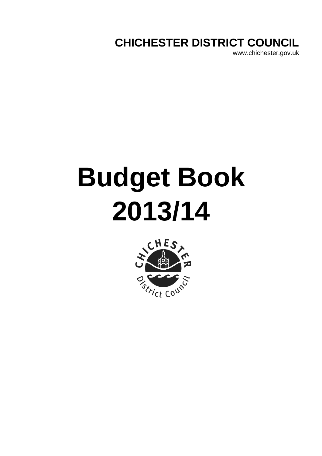**CHICHESTER DISTRICT COUNCIL**

www.chichester.gov.uk

# **Budget Book 2013/14**

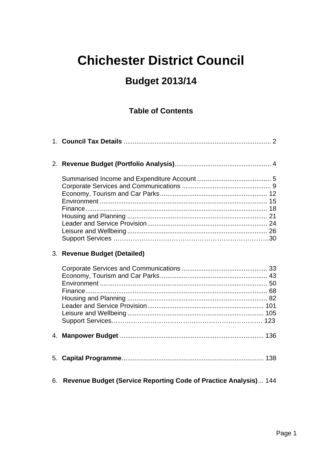## **Chichester District Council**

## **Budget 2013/14**

#### **Table of Contents**

|    | 3. Revenue Budget (Detailed)                                     |
|----|------------------------------------------------------------------|
|    |                                                                  |
|    |                                                                  |
|    |                                                                  |
|    |                                                                  |
| 6. | Revenue Budget (Service Reporting Code of Practice Analysis) 144 |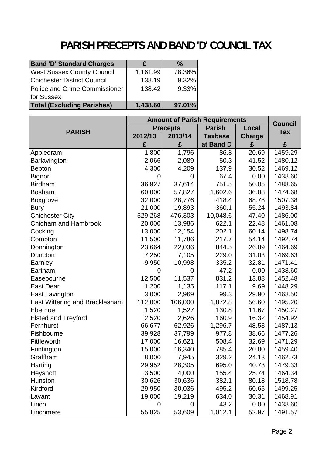## **PARISH PRECEPTS AND BAND 'D' COUNCIL TAX**

<span id="page-2-0"></span>

| <b>Band 'D' Standard Charges</b>   |          | $\%$   |
|------------------------------------|----------|--------|
| <b>West Sussex County Council</b>  | 1,161.99 | 78.36% |
| <b>Chichester District Council</b> | 138.19   | 9.32%  |
| Police and Crime Commissioner      | 138.42   | 9.33%  |
| for Sussex                         |          |        |
| <b>Total (Excluding Parishes)</b>  | 1,438.60 | 97.01% |

|                                | <b>Amount of Parish Requirements</b> |                 |                |               | <b>Council</b> |
|--------------------------------|--------------------------------------|-----------------|----------------|---------------|----------------|
| <b>PARISH</b>                  |                                      | <b>Precepts</b> | <b>Parish</b>  | Local         | <b>Tax</b>     |
|                                | 2012/13                              | 2013/14         | <b>Taxbase</b> | <b>Charge</b> |                |
|                                | £                                    | £               | at Band D      | £             | £              |
| Appledram                      | 1,800                                | 1,796           | 86.8           | 20.69         | 1459.29        |
| Barlavington                   | 2,066                                | 2,089           | 50.3           | 41.52         | 1480.12        |
| <b>Bepton</b>                  | 4,300                                | 4,209           | 137.9          | 30.52         | 1469.12        |
| <b>Bignor</b>                  | 0                                    | $\overline{0}$  | 67.4           | 0.00          | 1438.60        |
| <b>Birdham</b>                 | 36,927                               | 37,614          | 751.5          | 50.05         | 1488.65        |
| <b>Bosham</b>                  | 60,000                               | 57,827          | 1,602.6        | 36.08         | 1474.68        |
| <b>Boxgrove</b>                | 32,000                               | 28,776          | 418.4          | 68.78         | 1507.38        |
| <b>Bury</b>                    | 21,000                               | 19,893          | 360.1          | 55.24         | 1493.84        |
| <b>Chichester City</b>         | 529,268                              | 476,303         | 10,048.6       | 47.40         | 1486.00        |
| Chidham and Hambrook           | 20,000                               | 13,986          | 622.1          | 22.48         | 1461.08        |
| Cocking                        | 13,000                               | 12,154          | 202.1          | 60.14         | 1498.74        |
| Compton                        | 11,500                               | 11,786          | 217.7          | 54.14         | 1492.74        |
| Donnington                     | 23,664                               | 22,036          | 844.5          | 26.09         | 1464.69        |
| Duncton                        | 7,250                                | 7,105           | 229.0          | 31.03         | 1469.63        |
| Earnley                        | 9,950                                | 10,998          | 335.2          | 32.81         | 1471.41        |
| Eartham                        | 0                                    | 0               | 47.2           | 0.00          | 1438.60        |
| Easebourne                     | 12,500                               | 11,537          | 831.2          | 13.88         | 1452.48        |
| East Dean                      | 1,200                                | 1,135           | 117.1          | 9.69          | 1448.29        |
| East Lavington                 | 3,000                                | 2,969           | 99.3           | 29.90         | 1468.50        |
| East Wittering and Bracklesham | 112,000                              | 106,000         | 1,872.8        | 56.60         | 1495.20        |
| Ebernoe                        | 1,520                                | 1,527           | 130.8          | 11.67         | 1450.27        |
| <b>Elsted and Treyford</b>     | 2,520                                | 2,626           | 160.9          | 16.32         | 1454.92        |
| Fernhurst                      | 66,677                               | 62,926          | 1,296.7        | 48.53         | 1487.13        |
| Fishbourne                     | 39,928                               | 37,799          | 977.8          | 38.66         | 1477.26        |
| Fittleworth                    | 17,000                               | 16,621          | 508.4          | 32.69         | 1471.29        |
| Funtington                     | 15,000                               | 16,340          | 785.4          | 20.80         | 1459.40        |
| Graffham                       | 8,000                                | 7,945           | 329.2          | 24.13         | 1462.73        |
| Harting                        | 29,952                               | 28,305          | 695.0          | 40.73         | 1479.33        |
| Heyshott                       | 3,500                                | 4,000           | 155.4          | 25.74         | 1464.34        |
| Hunston                        | 30,626                               | 30,636          | 382.1          | 80.18         | 1518.78        |
| Kirdford                       | 29,950                               | 30,036          | 495.2          | 60.65         | 1499.25        |
| Lavant                         | 19,000                               | 19,219          | 634.0          | 30.31         | 1468.91        |
| Linch                          | 0                                    | 0               | 43.2           | 0.00          | 1438.60        |
| Linchmere                      | 55,825                               | 53,609          | 1,012.1        | 52.97         | 1491.57        |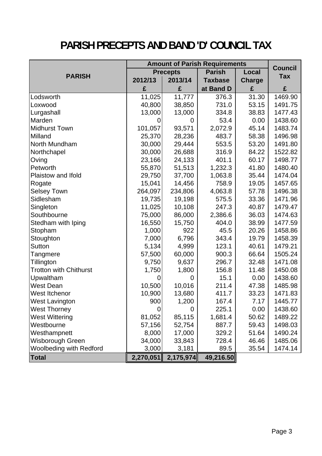## **PARISH PRECEPTS AND BAND 'D' COUNCIL TAX**

|                               | <b>Amount of Parish Requirements</b> |                 |                |               |                              |
|-------------------------------|--------------------------------------|-----------------|----------------|---------------|------------------------------|
|                               |                                      | <b>Precepts</b> | <b>Parish</b>  | Local         | <b>Council</b><br><b>Tax</b> |
| <b>PARISH</b>                 | 2012/13                              | 2013/14         | <b>Taxbase</b> | <b>Charge</b> |                              |
|                               | £                                    | £               | at Band D      | £             | £                            |
| Lodsworth                     | $\overline{11}$ ,025                 | 11,777          | 376.3          | 31.30         | 1469.90                      |
| Loxwood                       | 40,800                               | 38,850          | 731.0          | 53.15         | 1491.75                      |
| Lurgashall                    | 13,000                               | 13,000          | 334.8          | 38.83         | 1477.43                      |
| Marden                        |                                      | 0               | 53.4           | 0.00          | 1438.60                      |
| <b>Midhurst Town</b>          | 101,057                              | 93,571          | 2,072.9        | 45.14         | 1483.74                      |
| Milland                       | 25,370                               | 28,236          | 483.7          | 58.38         | 1496.98                      |
| North Mundham                 | 30,000                               | 29,444          | 553.5          | 53.20         | 1491.80                      |
| Northchapel                   | 30,000                               | 26,688          | 316.9          | 84.22         | 1522.82                      |
| Oving                         | 23,166                               | 24,133          | 401.1          | 60.17         | 1498.77                      |
| Petworth                      | 55,870                               | 51,513          | 1,232.3        | 41.80         | 1480.40                      |
| Plaistow and Ifold            | 29,750                               | 37,700          | 1,063.8        | 35.44         | 1474.04                      |
| Rogate                        | 15,041                               | 14,456          | 758.9          | 19.05         | 1457.65                      |
| <b>Selsey Town</b>            | 264,097                              | 234,806         | 4,063.8        | 57.78         | 1496.38                      |
| Sidlesham                     | 19,735                               | 19,198          | 575.5          | 33.36         | 1471.96                      |
| Singleton                     | 11,025                               | 10,108          | 247.3          | 40.87         | 1479.47                      |
| Southbourne                   | 75,000                               | 86,000          | 2,386.6        | 36.03         | 1474.63                      |
| Stedham with Iping            | 16,550                               | 15,750          | 404.0          | 38.99         | 1477.59                      |
| Stopham                       | 1,000                                | 922             | 45.5           | 20.26         | 1458.86                      |
| Stoughton                     | 7,000                                | 6,796           | 343.4          | 19.79         | 1458.39                      |
| Sutton                        | 5,134                                | 4,999           | 123.1          | 40.61         | 1479.21                      |
| Tangmere                      | 57,500                               | 60,000          | 900.3          | 66.64         | 1505.24                      |
| Tillington                    | 9,750                                | 9,637           | 296.7          | 32.48         | 1471.08                      |
| <b>Trotton with Chithurst</b> | 1,750                                | 1,800           | 156.8          | 11.48         | 1450.08                      |
| Upwaltham                     | 0                                    | 0               | 15.1           | 0.00          | 1438.60                      |
| <b>West Dean</b>              | 10,500                               | 10,016          | 211.4          | 47.38         | 1485.98                      |
| West Itchenor                 | 10,900                               | 13,680          | 411.7          | 33.23         | 1471.83                      |
| <b>West Lavington</b>         | 900                                  | 1,200           | 167.4          | 7.17          | 1445.77                      |
| <b>West Thorney</b>           | 0                                    | 0               | 225.1          | 0.00          | 1438.60                      |
| <b>West Wittering</b>         | 81,052                               | 85,115          | 1,681.4        | 50.62         | 1489.22                      |
| Westbourne                    | 57,156                               | 52,754          | 887.7          | 59.43         | 1498.03                      |
| Westhampnett                  | 8,000                                | 17,000          | 329.2          | 51.64         | 1490.24                      |
| Wisborough Green              | 34,000                               | 33,843          | 728.4          | 46.46         | 1485.06                      |
| Woolbeding with Redford       | 3,000                                | 3,181           | 89.5           | 35.54         | 1474.14                      |
| <b>Total</b>                  | 2,270,051                            | 2,175,974       | 49,216.50      |               |                              |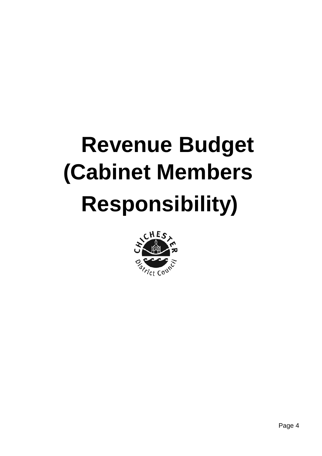## **(Cabinet Members Responsibility) Revenue Budget**

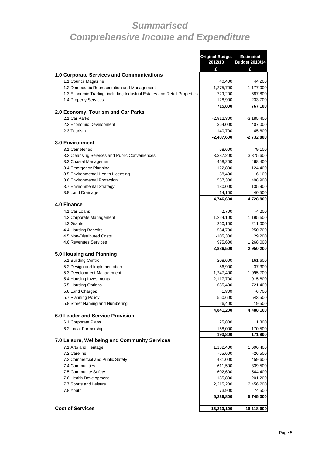### <span id="page-5-0"></span>*Summarised Comprehensive Income and Expenditure*

**Original Budget** 

**Estimated** 

|                                                                          | 2012/13              | <b>Budget 2013/14</b>  |
|--------------------------------------------------------------------------|----------------------|------------------------|
|                                                                          | £                    | £                      |
| 1.0 Corporate Services and Communications                                |                      |                        |
| 1.1 Council Magazine                                                     | 40,400               | 44,200                 |
| 1.2 Democratic Representation and Management                             | 1,275,700            | 1,177,000              |
| 1.3 Economic Trading, including Industrial Estates and Retail Properties | $-729,200$           | -687,800               |
| 1.4 Property Services                                                    | 128,900              | 233,700                |
|                                                                          | 715,800              | 767,100                |
| 2.0 Economy, Tourism and Car Parks                                       |                      |                        |
| 2.1 Car Parks                                                            | $-2,912,300$         | $-3,185,400$           |
| 2.2 Economic Development                                                 | 364,000              | 407,000                |
| 2.3 Tourism                                                              | 140,700              | 45,600                 |
|                                                                          | $-2,407,600$         | $-2,732,800$           |
| <b>3.0 Environment</b>                                                   |                      |                        |
| 3.1 Cemeteries                                                           | 68,600               | 79,100                 |
| 3.2 Cleansing Services and Public Conveniences                           | 3,337,200            | 3,375,600              |
| 3.3 Coastal Management                                                   | 458,200              | 468,400                |
| 3.4 Emergency Planning                                                   | 122,800              | 124,400                |
| 3.5 Environmental Health Licensing                                       | 58,400               | 6,100                  |
| 3.6 Environmental Protection                                             | 557,300              | 498,900                |
| 3.7 Environmental Strategy                                               | 130,000              | 135,900                |
| 3.8 Land Drainage                                                        | 14,100               | 40,500                 |
| 4.0 Finance                                                              | 4,746,600            | 4,728,900              |
|                                                                          |                      |                        |
| 4.1 Car Loans                                                            | $-2,700$             | $-4,200$               |
| 4.2 Corporate Management                                                 | 1,224,100            | 1,195,500              |
| 4.3 Grants                                                               | 260,100              | 211,000                |
| 4.4 Housing Benefits<br>4.5 Non-Distributed Costs                        | 534,700              | 250,700                |
| 4.6 Revenues Services                                                    | $-105,300$           | 29,200                 |
|                                                                          | 975,600<br>2,886,500 | 1,268,000<br>2,950,200 |
| 5.0 Housing and Planning                                                 |                      |                        |
| 5.1 Building Control                                                     | 208,600              | 161,600                |
| 5.2 Design and Implementation                                            | 56,900               | 37,300                 |
| 5.3 Development Management                                               | 1,247,400            | 1,095,700              |
| 5.4 Housing Investments                                                  | 2,117,700            | 1,915,800              |
| 5.5 Housing Options                                                      | 635,400              | 721,400                |
| 5.6 Land Charges                                                         | $-1,800$             | $-6,700$               |
| 5.7 Planning Policy                                                      | 550,600              | 543,500                |
| 5.8 Street Naming and Numbering                                          | 26,400               | 19,500                 |
|                                                                          | 4,841,200            | 4,488,100              |
| 6.0 Leader and Service Provision                                         |                      |                        |
| 6.1 Corporate Plans                                                      | 25,800               | 1,300                  |
| 6.2 Local Partnerships                                                   | 168,000              | 170,500                |
|                                                                          | 193,800              | 171,800                |
| 7.0 Leisure, Wellbeing and Community Services                            |                      |                        |
| 7.1 Arts and Heritage                                                    | 1,132,400            | 1,696,400              |
| 7.2 Careline                                                             | $-65,600$            | $-26,500$              |
| 7.3 Commercial and Public Safety                                         | 481,000              | 459,600                |
| 7.4 Communities                                                          | 611,500              | 339,500                |
| 7.5 Community Safety                                                     | 602,600              | 544,400                |
| 7.6 Health Development                                                   | 185,800              | 201,200                |
| 7.7 Sports and Leisure                                                   | 2,215,200            | 2,456,200              |
| 7.8 Youth                                                                | 73,900               | 74,500                 |
|                                                                          | 5,236,800            | 5,745,300              |
|                                                                          |                      |                        |
| <b>Cost of Services</b>                                                  | 16,213,100           | 16,118,600             |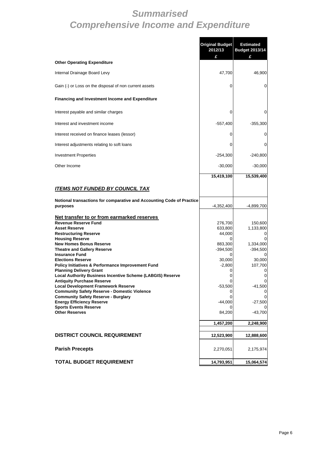### *Summarised Comprehensive Income and Expenditure*

|                                                                                                   | <b>Original Budget</b><br>2012/13<br>£ | <b>Estimated</b><br><b>Budget 2013/14</b><br>£ |
|---------------------------------------------------------------------------------------------------|----------------------------------------|------------------------------------------------|
| <b>Other Operating Expenditure</b>                                                                |                                        |                                                |
| Internal Drainage Board Levy                                                                      | 47,700                                 | 46,900                                         |
| Gain (-) or Loss on the disposal of non current assets                                            | 0                                      | 0                                              |
| <b>Financing and Investment Income and Expenditure</b>                                            |                                        |                                                |
| Interest payable and similar charges                                                              | 0                                      | 0                                              |
| Interest and investment income                                                                    | $-557,400$                             | $-355,300$                                     |
| Interest received on finance leases (lessor)                                                      | 0                                      | 0                                              |
| Interest adjustments relating to soft loans                                                       | 0                                      | 0                                              |
| <b>Investment Properties</b>                                                                      | $-254,300$                             | $-240,800$                                     |
| Other Income                                                                                      | $-30,000$                              | $-30,000$                                      |
|                                                                                                   | 15,419,100                             | 15,539,400                                     |
| <b>ITEMS NOT FUNDED BY COUNCIL TAX</b>                                                            |                                        |                                                |
| Notional transactions for comparative and Accounting Code of Practice<br>purposes                 | $-4,352,400$                           | -4,899,700                                     |
| Net transfer to or from earmarked reserves                                                        |                                        |                                                |
| <b>Revenue Reserve Fund</b><br><b>Asset Reserve</b>                                               | 276,700<br>633,800                     | 150,600<br>1,133,800                           |
| <b>Restructuring Reserve</b>                                                                      | 44,000                                 | 0                                              |
| <b>Housing Reserve</b><br><b>New Homes Bonus Reserve</b>                                          | 883,300                                | 1,334,000                                      |
| <b>Theatre and Gallery Reserve</b>                                                                | $-394,500$                             | $-394,500$                                     |
| <b>Insurance Fund</b>                                                                             | 0                                      | 0                                              |
| <b>Elections Reserve</b><br>Policy Initiatives & Performance Improvement Fund                     | 30,000<br>$-2,800$                     | 30,000<br>107,700                              |
| <b>Planning Delivery Grant</b>                                                                    | 0                                      | 0                                              |
| <b>Local Authority Business Incentive Scheme (LABGIS) Reserve</b>                                 | 0                                      | 0                                              |
| <b>Antiquity Purchase Reserve</b>                                                                 | 0                                      | 0                                              |
| <b>Local Development Framework Reserve</b><br><b>Community Safety Reserve - Domestic Violence</b> | $-53,500$                              | $-41,500$                                      |
| <b>Community Safety Reserve - Burglary</b>                                                        |                                        |                                                |
| <b>Energy Efficiency Reserve</b>                                                                  | $-44,000$                              | $-27,500$                                      |
| <b>Sports Events Reserve</b><br><b>Other Reserves</b>                                             | 84,200                                 | $-43,700$                                      |
|                                                                                                   |                                        |                                                |
|                                                                                                   | 1,457,200                              | 2,248,900                                      |
| <b>DISTRICT COUNCIL REQUIREMENT</b>                                                               | 12,523,900                             | 12,888,600                                     |
| <b>Parish Precepts</b>                                                                            | 2,270,051                              | 2,175,974                                      |
| <b>TOTAL BUDGET REQUIREMENT</b>                                                                   | 14,793,951                             | 15,064,574                                     |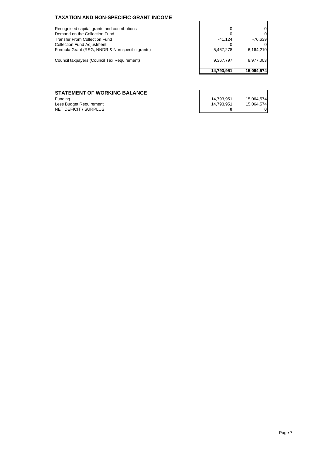#### **TAXATION AND NON-SPECIFIC GRANT INCOME**

Recognised capital grants and contributions 0 0 0 Demand on the Collection Fund 0 0 Transfer From Collection Fund -41,124 -76,639 Collection Fund Adjustment Formula Grant (RSG, NNDR & Non specific grants)

Council taxpayers (Council Tax Requirement)

| 0          |            |
|------------|------------|
| 0          |            |
| $-41,124$  | $-76,639$  |
|            |            |
| 5,467,278  | 6,164,210  |
| 9,367,797  | 8,977,003  |
| 14,793,951 | 15,064,574 |

#### **STATEMENT OF WORKING BALANCE**

| <b>STATEMENT OF WORKING BALANCE</b> |            |            |
|-------------------------------------|------------|------------|
| Fundina                             | 14.793.951 | 15.064.574 |
| Less Budget Requirement             | 14.793.951 | 15.064.574 |
| NET DEFICIT / SURPLUS               |            |            |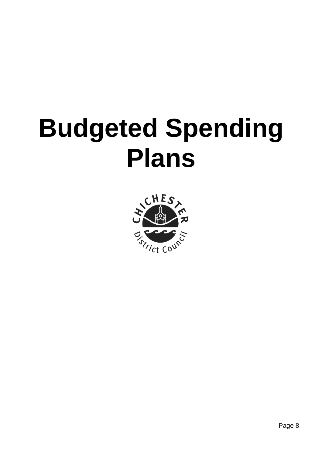## **Budgeted Spending Plans**

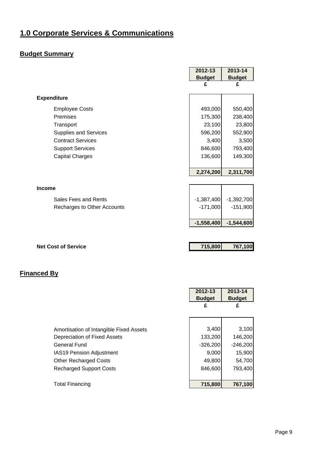#### <span id="page-9-0"></span>**Budget Summary**

|                             | 2012-13       | 2013-14       |
|-----------------------------|---------------|---------------|
|                             | <b>Budget</b> | <b>Budget</b> |
|                             | £             | £             |
| <b>Expenditure</b>          |               |               |
| <b>Employee Costs</b>       | 493,000       | 550,400       |
| Premises                    | 175,300       | 238,400       |
| Transport                   | 23,100        | 23,800        |
| Supplies and Services       | 596,200       | 552,900       |
| <b>Contract Services</b>    | 3,400         | 3,500         |
| <b>Support Services</b>     | 846,600       | 793,400       |
| <b>Capital Charges</b>      | 136,600       | 149,300       |
|                             |               |               |
|                             | 2,274,200     | 2,311,700     |
|                             |               |               |
| <b>Income</b>               |               |               |
| Sales Fees and Rents        | $-1,387,400$  | $-1,392,700$  |
| Recharges to Other Accounts | $-171,000$    | $-151,900$    |
|                             |               |               |
|                             | $-1,558,400$  | $-1,544,600$  |
|                             |               |               |
| <b>Net Cost of Service</b>  | 715,800       | 767,100       |

|                                         | 2012-13<br><b>Budget</b><br>£ | 2013-14<br><b>Budget</b><br>£ |
|-----------------------------------------|-------------------------------|-------------------------------|
|                                         |                               |                               |
| Amortisation of Intangible Fixed Assets | 3,400                         | 3,100                         |
| Depreciation of Fixed Assets            | 133,200                       | 146,200                       |
| General Fund                            | $-326,200$                    | $-246,200$                    |
| <b>IAS19 Pension Adjustment</b>         | 9,000                         | 15,900                        |
| <b>Other Recharged Costs</b>            | 49,800                        | 54,700                        |
| <b>Recharged Support Costs</b>          | 846,600                       | 793,400                       |
|                                         |                               |                               |
| <b>Total Financing</b>                  | 715,800                       | 767,100                       |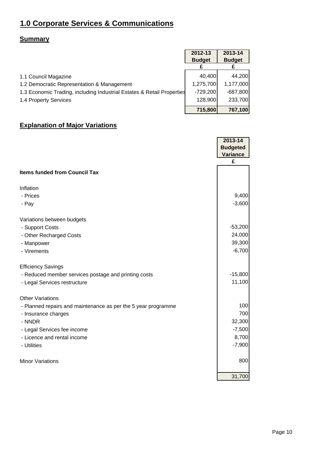#### **Summary**

|                                                                        | 2012-13       | 2013-14       |
|------------------------------------------------------------------------|---------------|---------------|
|                                                                        | <b>Budget</b> | <b>Budget</b> |
| 1.1 Council Magazine                                                   | 40,400        | 44,200        |
| 1.2 Democratic Representation & Management                             | 1,275,700     | 1,177,000     |
| 1.3 Economic Trading, including Industrial Estates & Retail Properties | $-729,200$    | $-687,800$    |
| 1.4 Property Services                                                  | 128,900       | 233,700       |
|                                                                        | 715,800       | 767,100       |

#### **Explanation of Major Variations**

|                                                               | 2013-14         |
|---------------------------------------------------------------|-----------------|
|                                                               | <b>Budgeted</b> |
|                                                               | <b>Variance</b> |
|                                                               | £               |
| <b>Items funded from Council Tax</b>                          |                 |
| Inflation                                                     |                 |
| - Prices                                                      | 9,400           |
| - Pay                                                         | $-3,600$        |
| Variations between budgets                                    |                 |
| - Support Costs                                               | $-53,200$       |
| - Other Recharged Costs                                       | 24,000          |
| - Manpower                                                    | 39,300          |
| - Virements                                                   | $-6,700$        |
| <b>Efficiency Savings</b>                                     |                 |
| - Reduced member services postage and printing costs          | $-15,800$       |
| - Legal Services restructure                                  | 11,100          |
| <b>Other Variations</b>                                       |                 |
| - Planned repairs and maintenance as per the 5 year programme | 100             |
| - Insurance charges                                           | 700             |
| - NNDR                                                        | 32,300          |
| - Legal Services fee income                                   | $-7,500$        |
| - Licence and rental income                                   | 8,700           |
| - Utilities                                                   | $-7,900$        |
| <b>Minor Variations</b>                                       | 800             |
|                                                               | 31,700          |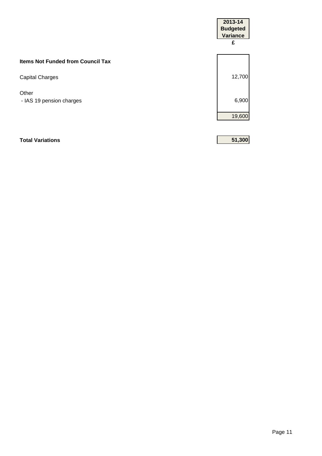|                                          | 2013-14<br><b>Budgeted</b><br><b>Variance</b><br>£ |
|------------------------------------------|----------------------------------------------------|
| <b>Items Not Funded from Council Tax</b> |                                                    |
| <b>Capital Charges</b>                   | 12,700                                             |
| Other<br>- IAS 19 pension charges        | 6,900                                              |
|                                          | 19,600                                             |
| <b>Total Variations</b>                  | 51,300                                             |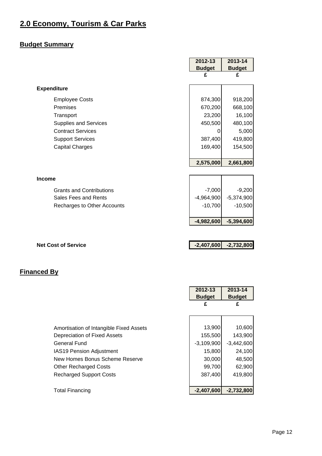#### <span id="page-12-0"></span>**2.0 Economy, Tourism & Car Parks**

#### **Budget Summary**

|                                 | 2012-13       | 2013-14       |
|---------------------------------|---------------|---------------|
|                                 | <b>Budget</b> | <b>Budget</b> |
|                                 | £             | £             |
| <b>Expenditure</b>              |               |               |
| <b>Employee Costs</b>           | 874,300       | 918,200       |
| Premises                        | 670,200       | 668,100       |
| Transport                       | 23,200        | 16,100        |
| <b>Supplies and Services</b>    | 450,500       | 480,100       |
| <b>Contract Services</b>        | 0             | 5,000         |
| <b>Support Services</b>         | 387,400       | 419,800       |
| <b>Capital Charges</b>          | 169,400       | 154,500       |
|                                 |               |               |
|                                 | 2,575,000     | 2,661,800     |
|                                 |               |               |
| <b>Income</b>                   |               |               |
| <b>Grants and Contributions</b> | $-7,000$      | $-9,200$      |
| Sales Fees and Rents            | $-4,964,900$  | $-5,374,900$  |
| Recharges to Other Accounts     | $-10,700$     | $-10,500$     |
|                                 |               |               |
|                                 | $-4,982,600$  | $-5,394,600$  |
|                                 |               |               |
|                                 |               |               |
| <b>Net Cost of Service</b>      | $-2,407,600$  | $-2,732,800$  |

|                                         | 2012-13<br><b>Budget</b> | 2013-14<br><b>Budget</b> |
|-----------------------------------------|--------------------------|--------------------------|
|                                         | £                        | £                        |
|                                         |                          |                          |
| Amortisation of Intangible Fixed Assets | 13,900                   | 10,600                   |
| Depreciation of Fixed Assets            | 155,500                  | 143,900                  |
| <b>General Fund</b>                     | $-3,109,900$             | $-3,442,600$             |
| <b>IAS19 Pension Adjustment</b>         | 15,800                   | 24,100                   |
| New Homes Bonus Scheme Reserve          | 30,000                   | 48,500                   |
| <b>Other Recharged Costs</b>            | 99,700                   | 62,900                   |
| <b>Recharged Support Costs</b>          | 387,400                  | 419,800                  |
|                                         |                          |                          |
| <b>Total Financing</b>                  | $-2,407,600$             | $-2,732,800$             |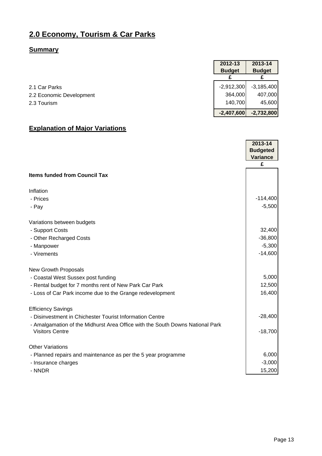#### **2.0 Economy, Tourism & Car Parks**

#### **Summary**

|                          | <b>Budget</b> | <b>Budget</b> |
|--------------------------|---------------|---------------|
|                          |               |               |
| 2.1 Car Parks            | $-2,912,300$  | $-3,185,400$  |
| 2.2 Economic Development | 364,000       | 407,000       |
| 2.3 Tourism              | 140,700       | 45,600        |
|                          | $-2,407,600$  | $-2,732,800$  |

**2012-13 2013-14** 

#### **Explanation of Major Variations**

|                                                                               | 2013-14<br><b>Budgeted</b><br><b>Variance</b> |
|-------------------------------------------------------------------------------|-----------------------------------------------|
|                                                                               | £                                             |
| <b>Items funded from Council Tax</b>                                          |                                               |
| Inflation                                                                     |                                               |
| - Prices                                                                      | $-114,400$                                    |
| - Pay                                                                         | $-5,500$                                      |
| Variations between budgets                                                    |                                               |
| - Support Costs                                                               | 32,400                                        |
| - Other Recharged Costs                                                       | $-36,800$                                     |
| - Manpower                                                                    | $-5,300$                                      |
| - Virements                                                                   | $-14,600$                                     |
| <b>New Growth Proposals</b>                                                   |                                               |
| - Coastal West Sussex post funding                                            | 5,000                                         |
| - Rental budget for 7 months rent of New Park Car Park                        | 12,500                                        |
| - Loss of Car Park income due to the Grange redevelopment                     | 16,400                                        |
| <b>Efficiency Savings</b>                                                     |                                               |
| - Disinvestment in Chichester Tourist Information Centre                      | $-28,400$                                     |
| - Amalgamation of the Midhurst Area Office with the South Downs National Park |                                               |
| <b>Visitors Centre</b>                                                        | $-18,700$                                     |
| <b>Other Variations</b>                                                       |                                               |
| - Planned repairs and maintenance as per the 5 year programme                 | 6,000                                         |
| - Insurance charges                                                           | $-3,000$                                      |
| - NNDR                                                                        | 15,200                                        |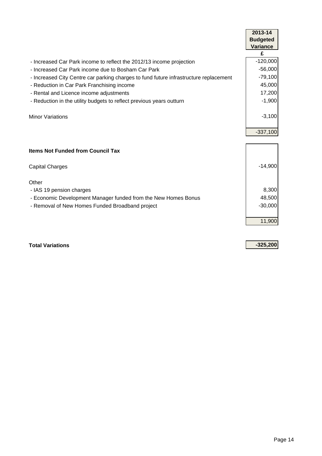| £<br>- Increased Car Park income to reflect the 2012/13 income projection<br>- Increased Car Park income due to Bosham Car Park<br>- Increased City Centre car parking charges to fund future infrastructure replacement<br>- Reduction in Car Park Franchising income<br>- Rental and Licence income adjustments<br>- Reduction in the utility budgets to reflect previous years outturn<br><b>Minor Variations</b> | 2013-14<br><b>Budgeted</b><br><b>Variance</b> |
|----------------------------------------------------------------------------------------------------------------------------------------------------------------------------------------------------------------------------------------------------------------------------------------------------------------------------------------------------------------------------------------------------------------------|-----------------------------------------------|
|                                                                                                                                                                                                                                                                                                                                                                                                                      |                                               |
|                                                                                                                                                                                                                                                                                                                                                                                                                      | $-120,000$                                    |
|                                                                                                                                                                                                                                                                                                                                                                                                                      | $-56,000$                                     |
|                                                                                                                                                                                                                                                                                                                                                                                                                      | $-79,100$                                     |
|                                                                                                                                                                                                                                                                                                                                                                                                                      | 45,000                                        |
|                                                                                                                                                                                                                                                                                                                                                                                                                      | 17,200                                        |
|                                                                                                                                                                                                                                                                                                                                                                                                                      | $-1,900$                                      |
|                                                                                                                                                                                                                                                                                                                                                                                                                      | $-3,100$                                      |
|                                                                                                                                                                                                                                                                                                                                                                                                                      | $-337,100$                                    |
|                                                                                                                                                                                                                                                                                                                                                                                                                      |                                               |
| <b>Items Not Funded from Council Tax</b>                                                                                                                                                                                                                                                                                                                                                                             |                                               |
| Capital Charges                                                                                                                                                                                                                                                                                                                                                                                                      | $-14,900$                                     |
| Other                                                                                                                                                                                                                                                                                                                                                                                                                |                                               |
| - IAS 19 pension charges                                                                                                                                                                                                                                                                                                                                                                                             | 8,300                                         |
| - Economic Development Manager funded from the New Homes Bonus                                                                                                                                                                                                                                                                                                                                                       | 48,500                                        |
| - Removal of New Homes Funded Broadband project                                                                                                                                                                                                                                                                                                                                                                      | $-30,000$                                     |
|                                                                                                                                                                                                                                                                                                                                                                                                                      |                                               |
|                                                                                                                                                                                                                                                                                                                                                                                                                      | 11,900                                        |

**Total Variations -325,200**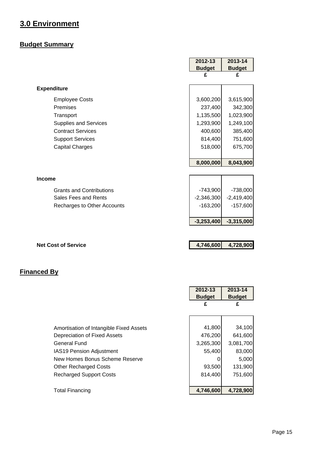#### <span id="page-15-0"></span>**3.0 Environment**

#### **Budget Summary**

|                                 | 2012-13       | 2013-14       |
|---------------------------------|---------------|---------------|
|                                 | <b>Budget</b> | <b>Budget</b> |
|                                 | £             | £             |
| <b>Expenditure</b>              |               |               |
| <b>Employee Costs</b>           | 3,600,200     | 3,615,900     |
| Premises                        | 237,400       | 342,300       |
| Transport                       | 1,135,500     | 1,023,900     |
| <b>Supplies and Services</b>    | 1,293,900     | 1,249,100     |
| <b>Contract Services</b>        | 400,600       | 385,400       |
| <b>Support Services</b>         | 814,400       | 751,600       |
| <b>Capital Charges</b>          | 518,000       | 675,700       |
|                                 | 8,000,000     | 8,043,900     |
| <b>Income</b>                   |               |               |
| <b>Grants and Contributions</b> | $-743,900$    | $-738,000$    |
| Sales Fees and Rents            | $-2,346,300$  | $-2,419,400$  |
| Recharges to Other Accounts     | $-163,200$    | $-157,600$    |
|                                 | $-3,253,400$  | $-3,315,000$  |

**Net Cost of Service 4,746,600 4,728,900** 

|                                         | 2012-13<br><b>Budget</b> | 2013-14<br><b>Budget</b> |
|-----------------------------------------|--------------------------|--------------------------|
|                                         | £                        | £                        |
|                                         |                          |                          |
| Amortisation of Intangible Fixed Assets | 41,800                   | 34,100                   |
| Depreciation of Fixed Assets            | 476,200                  | 641,600                  |
| <b>General Fund</b>                     | 3,265,300                | 3,081,700                |
| <b>IAS19 Pension Adjustment</b>         | 55,400                   | 83,000                   |
| New Homes Bonus Scheme Reserve          |                          | 5,000                    |
| <b>Other Recharged Costs</b>            | 93,500                   | 131,900                  |
| <b>Recharged Support Costs</b>          | 814,400                  | 751,600                  |
|                                         |                          |                          |
| <b>Total Financing</b>                  | 4,746,600                | 4,728,900                |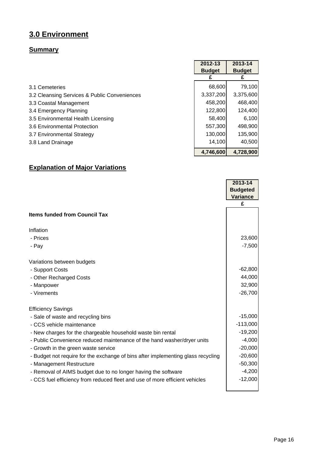#### **3.0 Environment**

#### **Summary**

|                                              | 2012-13       | 2013-14       |
|----------------------------------------------|---------------|---------------|
|                                              | <b>Budget</b> | <b>Budget</b> |
|                                              |               |               |
| 3.1 Cemeteries                               | 68,600        | 79,100        |
| 3.2 Cleansing Services & Public Conveniences | 3,337,200     | 3,375,600     |
| 3.3 Coastal Management                       | 458,200       | 468,400       |
| 3.4 Emergency Planning                       | 122,800       | 124,400       |
| 3.5 Environmental Health Licensing           | 58,400        | 6,100         |
| 3.6 Environmental Protection                 | 557,300       | 498,900       |
| 3.7 Environmental Strategy                   | 130,000       | 135,900       |
| 3.8 Land Drainage                            | 14,100        | 40,500        |
|                                              | 4,746,600     | 4,728,900     |

#### **Explanation of Major Variations**

|                                                                                  | 2013-14                            |
|----------------------------------------------------------------------------------|------------------------------------|
|                                                                                  | <b>Budgeted</b><br><b>Variance</b> |
|                                                                                  | £                                  |
| <b>Items funded from Council Tax</b>                                             |                                    |
| Inflation                                                                        |                                    |
| - Prices                                                                         | 23,600                             |
| - Pay                                                                            | $-7,500$                           |
| Variations between budgets                                                       |                                    |
| - Support Costs                                                                  | $-62,800$                          |
| - Other Recharged Costs                                                          | 44,000                             |
| - Manpower                                                                       | 32,900                             |
| - Virements                                                                      | $-26,700$                          |
| <b>Efficiency Savings</b>                                                        |                                    |
| - Sale of waste and recycling bins                                               | $-15,000$                          |
| - CCS vehicle maintenance                                                        | $-113,000$                         |
| - New charges for the chargeable household waste bin rental                      | $-19,200$                          |
| - Public Convenience reduced maintenance of the hand washer/dryer units          | $-4,000$                           |
| - Growth in the green waste service                                              | $-20,000$                          |
| - Budget not require for the exchange of bins after implementing glass recycling | $-20,600$                          |
| - Management Restructure                                                         | $-50,300$                          |
| - Removal of AIMS budget due to no longer having the software                    | $-4,200$                           |
| - CCS fuel efficiency from reduced fleet and use of more efficient vehicles      | $-12,000$                          |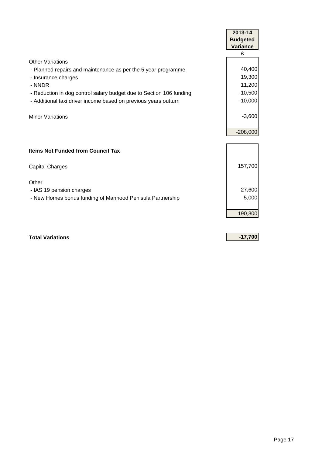|                                                                     | 2013-14         |
|---------------------------------------------------------------------|-----------------|
|                                                                     | <b>Budgeted</b> |
|                                                                     | <b>Variance</b> |
|                                                                     | £               |
| Other Variations                                                    |                 |
| - Planned repairs and maintenance as per the 5 year programme       | 40,400          |
| - Insurance charges                                                 | 19,300          |
| - NNDR                                                              | 11,200          |
| - Reduction in dog control salary budget due to Section 106 funding | $-10,500$       |
| - Additional taxi driver income based on previous years outturn     | $-10,000$       |
|                                                                     |                 |
| <b>Minor Variations</b>                                             | $-3,600$        |
|                                                                     |                 |
|                                                                     | $-208,000$      |
|                                                                     |                 |
| <b>Items Not Funded from Council Tax</b>                            |                 |
|                                                                     |                 |
| <b>Capital Charges</b>                                              | 157,700         |
|                                                                     |                 |
| Other                                                               |                 |
| - IAS 19 pension charges                                            | 27,600          |
| - New Homes bonus funding of Manhood Penisula Partnership           | 5,000           |
|                                                                     |                 |
|                                                                     | 190,300         |
|                                                                     |                 |
|                                                                     |                 |

**Total Variations -17,700**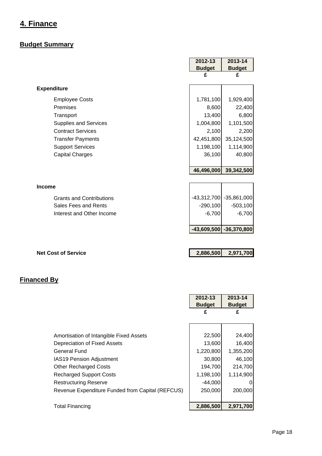#### <span id="page-18-0"></span>**4. Finance**

#### **Budget Summary**

|                                 | 2012-13       | 2013-14                     |
|---------------------------------|---------------|-----------------------------|
|                                 | <b>Budget</b> | <b>Budget</b>               |
|                                 | £             | £                           |
| <b>Expenditure</b>              |               |                             |
| <b>Employee Costs</b>           | 1,781,100     | 1,929,400                   |
| Premises                        | 8,600         | 22,400                      |
| Transport                       | 13,400        | 6,800                       |
| <b>Supplies and Services</b>    | 1,004,800     | 1,101,500                   |
| <b>Contract Services</b>        | 2,100         | 2,200                       |
| <b>Transfer Payments</b>        | 42,451,800    | 35,124,500                  |
| <b>Support Services</b>         | 1,198,100     | 1,114,900                   |
| <b>Capital Charges</b>          | 36,100        | 40,800                      |
|                                 |               |                             |
|                                 | 46,496,000    | 39,342,500                  |
|                                 |               |                             |
| <b>Income</b>                   |               |                             |
| <b>Grants and Contributions</b> |               | -43,312,700 -35,861,000     |
| Sales Fees and Rents            | $-290,100$    | $-503,100$                  |
| Interest and Other Income       | $-6,700$      | $-6,700$                    |
|                                 |               |                             |
|                                 |               | $-43,609,500$ $-36,370,800$ |
|                                 |               |                             |
|                                 |               |                             |

#### **Net Cost of Service 2,886,500 2,971,700**

|                                                  | 2012-13       | 2013-14       |
|--------------------------------------------------|---------------|---------------|
|                                                  | <b>Budget</b> | <b>Budget</b> |
|                                                  | £             | £             |
|                                                  |               |               |
|                                                  |               |               |
| Amortisation of Intangible Fixed Assets          | 22,500        | 24,400        |
| Depreciation of Fixed Assets                     | 13,600        | 16,400        |
| General Fund                                     | 1,220,800     | 1,355,200     |
| <b>IAS19 Pension Adjustment</b>                  | 30,800        | 46,100        |
| <b>Other Recharged Costs</b>                     | 194,700       | 214,700       |
| <b>Recharged Support Costs</b>                   | 1,198,100     | 1,114,900     |
| <b>Restructuring Reserve</b>                     | $-44,000$     | 0             |
| Revenue Expenditure Funded from Capital (REFCUS) | 250,000       | 200,000       |
|                                                  |               |               |
| <b>Total Financing</b>                           | 2,886,500     | 2,971,700     |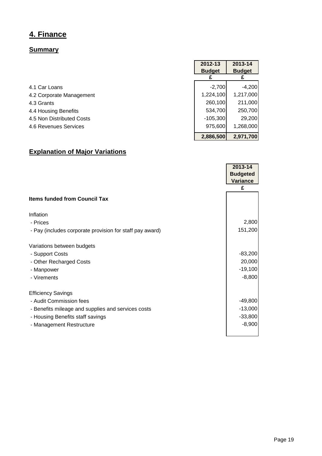#### **4. Finance**

#### **Summary**

|                           | 2012-13       | 2013-14       |
|---------------------------|---------------|---------------|
|                           | <b>Budget</b> | <b>Budget</b> |
|                           |               |               |
| 4.1 Car Loans             | $-2,700$      | $-4,200$      |
| 4.2 Corporate Management  | 1,224,100     | 1,217,000     |
| 4.3 Grants                | 260,100       | 211,000       |
| 4.4 Housing Benefits      | 534,700       | 250,700       |
| 4.5 Non Distributed Costs | $-105,300$    | 29,200        |
| 4.6 Revenues Services     | 975,600       | 1,268,000     |
|                           | 2,886,500     | 2,971,700     |

#### **Explanation of Major Variations**

|                                                          | 2013-14         |
|----------------------------------------------------------|-----------------|
|                                                          | <b>Budgeted</b> |
|                                                          | <b>Variance</b> |
|                                                          | £               |
| <b>Items funded from Council Tax</b>                     |                 |
| Inflation                                                |                 |
| - Prices                                                 | 2,800           |
| - Pay (includes corporate provision for staff pay award) | 151,200         |
| Variations between budgets                               |                 |
| - Support Costs                                          | $-83,200$       |
| - Other Recharged Costs                                  | 20,000          |
| - Manpower                                               | $-19,100$       |
| - Virements                                              | $-8,800$        |
| <b>Efficiency Savings</b>                                |                 |
| - Audit Commission fees                                  | $-49,800$       |
| - Benefits mileage and supplies and services costs       | $-13,000$       |
| - Housing Benefits staff savings                         | $-33,800$       |
| - Management Restructure                                 | $-8,900$        |
|                                                          |                 |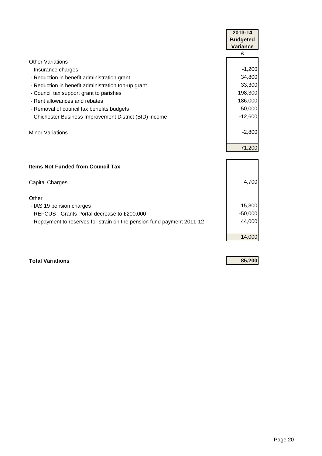|                                                                        | 2013-14         |
|------------------------------------------------------------------------|-----------------|
|                                                                        | <b>Budgeted</b> |
|                                                                        | <b>Variance</b> |
|                                                                        | £               |
| <b>Other Variations</b>                                                |                 |
| - Insurance charges                                                    | $-1,200$        |
| - Reduction in benefit administration grant                            | 34,800          |
| - Reduction in benefit administration top-up grant                     | 33,300          |
| - Council tax support grant to parishes                                | 198,300         |
| - Rent allowances and rebates                                          | $-186,000$      |
| - Removal of council tax benefits budgets                              | 50,000          |
| - Chichester Business Improvement District (BID) income                | $-12,600$       |
|                                                                        |                 |
| <b>Minor Variations</b>                                                | $-2,800$        |
|                                                                        |                 |
|                                                                        | 71,200          |
|                                                                        |                 |
| <b>Items Not Funded from Council Tax</b>                               |                 |
|                                                                        |                 |
| <b>Capital Charges</b>                                                 | 4,700           |
| Other                                                                  |                 |
|                                                                        | 15,300          |
| - IAS 19 pension charges                                               | $-50,000$       |
| - REFCUS - Grants Portal decrease to £200,000                          | 44,000          |
| - Repayment to reserves for strain on the pension fund payment 2011-12 |                 |
|                                                                        |                 |
|                                                                        | 14,000          |

**Total Variations 85,200**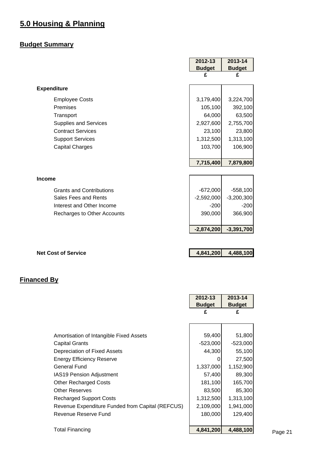#### <span id="page-21-0"></span>**5.0 Housing & Planning**

#### **Budget Summary**

|                                 | 2012-13       | 2013-14       |
|---------------------------------|---------------|---------------|
|                                 | <b>Budget</b> | <b>Budget</b> |
|                                 | £             | £             |
| <b>Expenditure</b>              |               |               |
| <b>Employee Costs</b>           | 3,179,400     | 3,224,700     |
| Premises                        | 105,100       | 392,100       |
| Transport                       | 64,000        | 63,500        |
| <b>Supplies and Services</b>    | 2,927,600     | 2,755,700     |
| <b>Contract Services</b>        | 23,100        | 23,800        |
| <b>Support Services</b>         | 1,312,500     | 1,313,100     |
| <b>Capital Charges</b>          | 103,700       | 106,900       |
|                                 |               |               |
|                                 | 7,715,400     | 7,879,800     |
| <b>Income</b>                   |               |               |
| <b>Grants and Contributions</b> | $-672,000$    | $-558,100$    |
| Sales Fees and Rents            | $-2,592,000$  | $-3,200,300$  |
| Interest and Other Income       | $-200$        | $-200$        |
| Recharges to Other Accounts     | 390,000       | 366,900       |
|                                 | $-2,874,200$  | $-3,391,700$  |
|                                 |               |               |

**Net Cost of Service 4,841,200 4,488,100** 

#### **Financed By**

|                                                  | 2012-13       | 2013-14       |
|--------------------------------------------------|---------------|---------------|
|                                                  | <b>Budget</b> | <b>Budget</b> |
|                                                  | £             | £             |
|                                                  |               |               |
|                                                  |               |               |
| Amortisation of Intangible Fixed Assets          | 59,400        | 51,800        |
| <b>Capital Grants</b>                            | $-523,000$    | $-523,000$    |
| Depreciation of Fixed Assets                     | 44,300        | 55,100        |
| Energy Efficiency Reserve                        | O             | 27,500        |
| <b>General Fund</b>                              | 1,337,000     | 1,152,900     |
| <b>IAS19 Pension Adjustment</b>                  | 57,400        | 89,300        |
| <b>Other Recharged Costs</b>                     | 181,100       | 165,700       |
| <b>Other Reserves</b>                            | 83,500        | 85,300        |
| <b>Recharged Support Costs</b>                   | 1,312,500     | 1,313,100     |
| Revenue Expenditure Funded from Capital (REFCUS) | 2,109,000     | 1,941,000     |
| Revenue Reserve Fund                             | 180,000       | 129,400       |
|                                                  |               |               |
| <b>Total Financing</b>                           | 4,841,200     | 4,488,100     |

Page 21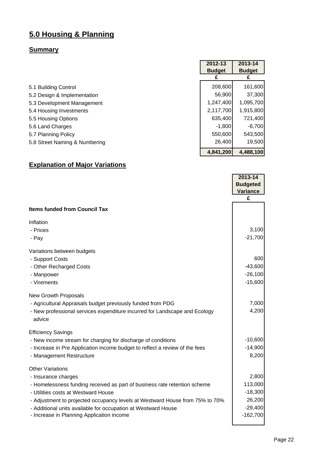### **5.0 Housing & Planning**

#### **Summary**

|                               | 2012-13       | 2013-14       |
|-------------------------------|---------------|---------------|
|                               | <b>Budget</b> | <b>Budget</b> |
|                               |               |               |
| 5.1 Building Control          | 208,600       | 161,600       |
| 5.2 Design & Implementation   | 56,900        | 37,300        |
| 5.3 Development Management    | 1,247,400     | 1,095,700     |
| 5.4 Housing Investments       | 2,117,700     | 1,915,800     |
| 5.5 Housing Options           | 635,400       | 721,400       |
| 5.6 Land Charges              | $-1,800$      | $-6,700$      |
| 5.7 Planning Policy           | 550,600       | 543,500       |
| 5.8 Street Naming & Numbering | 26,400        | 19,500        |
|                               | 4,841,200     | 4,488,100     |

#### **Explanation of Major Variations**

|                                                                                      | 2013-14<br><b>Budgeted</b> |
|--------------------------------------------------------------------------------------|----------------------------|
|                                                                                      | <b>Variance</b>            |
|                                                                                      | £                          |
| <b>Items funded from Council Tax</b>                                                 |                            |
| Inflation                                                                            |                            |
| - Prices                                                                             | 3,100                      |
| - Pay                                                                                | $-21,700$                  |
| Variations between budgets                                                           |                            |
| - Support Costs                                                                      | 600                        |
| - Other Recharged Costs                                                              | $-43,600$                  |
| - Manpower                                                                           | $-26,100$                  |
| - Virements                                                                          | $-15,600$                  |
| <b>New Growth Proposals</b>                                                          |                            |
| - Agricultural Appraisals budget previously funded from PDG                          | 7,000                      |
| - New professional services expenditure incurred for Landscape and Ecology<br>advice | 4,200                      |
| <b>Efficiency Savings</b>                                                            |                            |
| - New income stream for charging for discharge of conditions                         | $-10,600$                  |
| - Increase in Pre Application income budget to reflect a review of the fees          | $-14,900$                  |
| - Management Restructure                                                             | 8,200                      |
| <b>Other Variations</b>                                                              |                            |
| - Insurance charges                                                                  | 2,800                      |
| - Homelessness funding received as part of business rate retention scheme            | 113,000                    |
| - Utilities costs at Westward House                                                  | $-18,300$                  |
| - Adjustment to projected occupancy levels at Westward House from 75% to 70%         | 26,200                     |
| - Additional units available for occupation at Westward House                        | $-29,400$                  |
| - Increase in Planning Application income                                            | $-162,700$                 |
|                                                                                      |                            |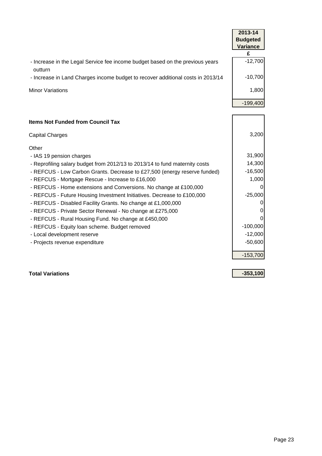|                                                                                          | 2013-14         |
|------------------------------------------------------------------------------------------|-----------------|
|                                                                                          | <b>Budgeted</b> |
|                                                                                          | <b>Variance</b> |
|                                                                                          | £               |
| - Increase in the Legal Service fee income budget based on the previous years<br>outturn | $-12,700$       |
| - Increase in Land Charges income budget to recover additional costs in 2013/14          | $-10,700$       |
| <b>Minor Variations</b>                                                                  | 1,800           |
|                                                                                          | $-199,400$      |
|                                                                                          |                 |
| <b>Items Not Funded from Council Tax</b>                                                 |                 |

| <b>Capital Charges</b>                                                      | 3,200        |
|-----------------------------------------------------------------------------|--------------|
| Other                                                                       |              |
| - IAS 19 pension charges                                                    | 31,900       |
| - Reprofiling salary budget from 2012/13 to 2013/14 to fund maternity costs | 14,300       |
| - REFCUS - Low Carbon Grants. Decrease to £27,500 (energy reserve funded)   | $-16,500$    |
| - REFCUS - Mortgage Rescue - Increase to £16,000                            | 1,000        |
| - REFCUS - Home extensions and Conversions. No change at £100,000           | $\Omega$     |
| - REFCUS - Future Housing Investment Initiatives. Decrease to £100,000      | $-25,000$    |
| - REFCUS - Disabled Facility Grants. No change at £1,000,000                | 0            |
| - REFCUS - Private Sector Renewal - No change at £275,000                   | $\mathbf{0}$ |
| - REFCUS - Rural Housing Fund. No change at £450,000                        | $\Omega$     |
| - REFCUS - Equity loan scheme. Budget removed                               | $-100,000$   |
| - Local development reserve                                                 | $-12,000$    |
| - Projects revenue expenditure                                              | $-50,600$    |
|                                                                             | $-153,700$   |

**Total Variations -353,100**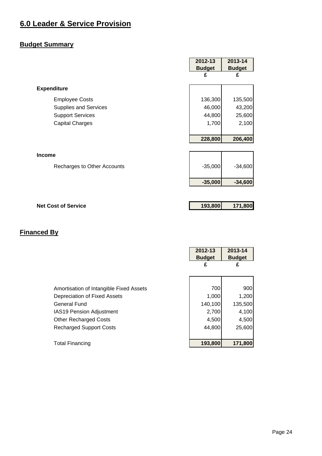#### <span id="page-24-0"></span>**6.0 Leader & Service Provision**

#### **Budget Summary**

|                              | 2012-13       | 2013-14       |
|------------------------------|---------------|---------------|
|                              | <b>Budget</b> | <b>Budget</b> |
|                              | £             | £             |
| <b>Expenditure</b>           |               |               |
| <b>Employee Costs</b>        | 136,300       | 135,500       |
| <b>Supplies and Services</b> | 46,000        | 43,200        |
| <b>Support Services</b>      | 44,800        | 25,600        |
| <b>Capital Charges</b>       | 1,700         | 2,100         |
|                              |               |               |
|                              | 228,800       | 206,400       |
|                              |               |               |
| <b>Income</b>                |               |               |
| Recharges to Other Accounts  | $-35,000$     | $-34,600$     |
|                              | $-35,000$     | $-34,600$     |
|                              |               |               |
| <b>Net Cost of Service</b>   | 193,800       | 171,800       |

|                                         | 2012-13       | 2013-14       |
|-----------------------------------------|---------------|---------------|
|                                         | <b>Budget</b> | <b>Budget</b> |
|                                         | £             | £             |
|                                         |               |               |
|                                         |               |               |
| Amortisation of Intangible Fixed Assets | 700           | 900           |
| Depreciation of Fixed Assets            | 1,000         | 1,200         |
| General Fund                            | 140,100       | 135,500       |
| <b>IAS19 Pension Adjustment</b>         | 2,700         | 4,100         |
| <b>Other Recharged Costs</b>            | 4,500         | 4,500         |
| <b>Recharged Support Costs</b>          | 44,800        | 25,600        |
|                                         |               |               |
| <b>Total Financing</b>                  | 193,800       | 171,800       |
|                                         |               |               |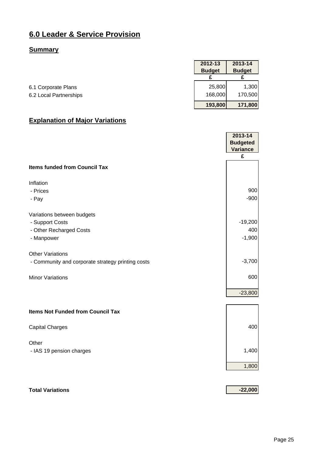#### **6.0 Leader & Service Provision**

#### **Summary**

|                        | 2012-13       | 2013-14       |
|------------------------|---------------|---------------|
|                        | <b>Budget</b> | <b>Budget</b> |
|                        |               |               |
| 6.1 Corporate Plans    | 25,800        | 1,300         |
| 6.2 Local Partnerships | 168,000       | 170,500       |
|                        | 193,800       | 171,800       |

#### **Explanation of Major Variations**

|                                                   | 2013-14         |
|---------------------------------------------------|-----------------|
|                                                   | <b>Budgeted</b> |
|                                                   | <b>Variance</b> |
|                                                   | £               |
| <b>Items funded from Council Tax</b>              |                 |
| Inflation                                         |                 |
| - Prices                                          | 900             |
| - Pay                                             | $-900$          |
| Variations between budgets                        |                 |
| - Support Costs                                   | $-19,200$       |
| - Other Recharged Costs                           | 400             |
| - Manpower                                        | $-1,900$        |
| <b>Other Variations</b>                           |                 |
| - Community and corporate strategy printing costs | $-3,700$        |
| <b>Minor Variations</b>                           | 600             |
|                                                   | $-23,800$       |
| <b>Items Not Funded from Council Tax</b>          |                 |
| <b>Capital Charges</b>                            | 400             |
| Other                                             |                 |
| - IAS 19 pension charges                          | 1,400           |
|                                                   | 1,800           |
|                                                   |                 |

#### **Total Variations -22,000**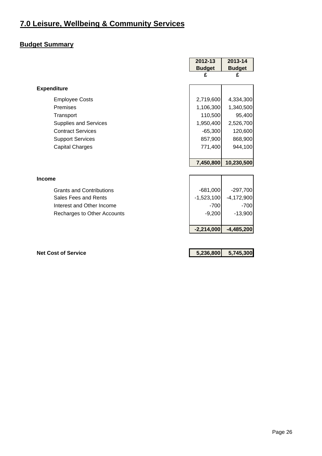#### <span id="page-26-0"></span>**7.0 Leisure, Wellbeing & Community Services**

#### **Budget Summary**

|                                 | 2012-13       | 2013-14       |
|---------------------------------|---------------|---------------|
|                                 | <b>Budget</b> | <b>Budget</b> |
|                                 | £             | £             |
| <b>Expenditure</b>              |               |               |
| <b>Employee Costs</b>           | 2,719,600     | 4,334,300     |
| Premises                        | 1,106,300     | 1,340,500     |
| Transport                       | 110,500       | 95,400        |
| <b>Supplies and Services</b>    | 1,950,400     | 2,526,700     |
| <b>Contract Services</b>        | $-65,300$     | 120,600       |
| <b>Support Services</b>         | 857,900       | 868,900       |
| <b>Capital Charges</b>          | 771,400       | 944,100       |
|                                 |               |               |
|                                 | 7,450,800     | 10,230,500    |
|                                 |               |               |
| <b>Income</b>                   |               |               |
| <b>Grants and Contributions</b> | $-681,000$    | $-297,700$    |
| Sales Fees and Rents            | $-1,523,100$  | $-4,172,900$  |
| Interest and Other Income       | $-700$        | $-700$        |
| Recharges to Other Accounts     | $-9,200$      | $-13,900$     |
|                                 |               |               |
|                                 | $-2,214,000$  | $-4,485,200$  |
|                                 |               |               |
|                                 |               |               |

**Net Cost of Service 6 and 10 and 10 and 10 and 10 and 10 and 10 and 10 and 10 and 10 and 10 and 10 and 10 and 10 and 10 and 10 and 10 and 10 and 10 and 10 and 10 and 10 and 10 and 10 and 10 and 10 and 10 and 10 and 10 and**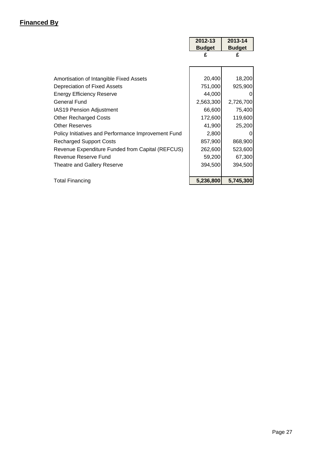|                                                     | 2012-13       | 2013-14       |
|-----------------------------------------------------|---------------|---------------|
|                                                     | <b>Budget</b> | <b>Budget</b> |
|                                                     | £             | £             |
|                                                     |               |               |
| Amortisation of Intangible Fixed Assets             | 20,400        | 18,200        |
| Depreciation of Fixed Assets                        | 751,000       | 925,900       |
| <b>Energy Efficiency Reserve</b>                    | 44,000        | 0             |
| General Fund                                        | 2,563,300     | 2,726,700     |
| <b>IAS19 Pension Adjustment</b>                     | 66,600        | 75,400        |
| <b>Other Recharged Costs</b>                        | 172,600       | 119,600       |
| <b>Other Reserves</b>                               | 41,900        | 25,200        |
| Policy Initiatives and Performance Improvement Fund | 2,800         | 0             |
| <b>Recharged Support Costs</b>                      | 857,900       | 868,900       |
| Revenue Expenditure Funded from Capital (REFCUS)    | 262,600       | 523,600       |
| Revenue Reserve Fund                                | 59,200        | 67,300        |
| Theatre and Gallery Reserve                         | 394,500       | 394,500       |
|                                                     |               |               |
| <b>Total Financing</b>                              | 5,236,800     | 5,745,300     |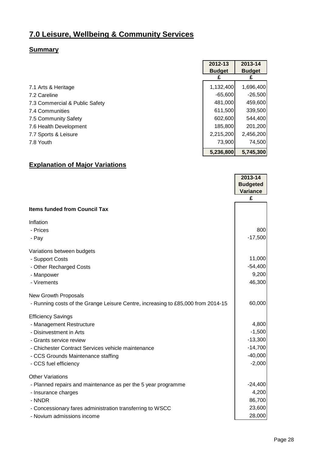#### **7.0 Leisure, Wellbeing & Community Services**

#### **Summary**

|                                | 2012-13       | 2013-14       |
|--------------------------------|---------------|---------------|
|                                | <b>Budget</b> | <b>Budget</b> |
|                                |               |               |
| 7.1 Arts & Heritage            | 1,132,400     | 1,696,400     |
| 7.2 Careline                   | $-65,600$     | $-26,500$     |
| 7.3 Commercial & Public Safety | 481,000       | 459,600       |
| 7.4 Communities                | 611,500       | 339,500       |
| 7.5 Community Safety           | 602,600       | 544,400       |
| 7.6 Health Development         | 185,800       | 201,200       |
| 7.7 Sports & Leisure           | 2,215,200     | 2,456,200     |
| 7.8 Youth                      | 73,900        | 74,500        |
|                                | 5,236,800     | 5,745,300     |

#### **Explanation of Major Variations**

|                                                                                  | 2013-14              |
|----------------------------------------------------------------------------------|----------------------|
|                                                                                  | <b>Budgeted</b>      |
|                                                                                  | <b>Variance</b><br>£ |
|                                                                                  |                      |
| <b>Items funded from Council Tax</b>                                             |                      |
| Inflation                                                                        |                      |
| - Prices                                                                         | 800                  |
| - Pay                                                                            | $-17,500$            |
| Variations between budgets                                                       |                      |
| - Support Costs                                                                  | 11,000               |
| - Other Recharged Costs                                                          | $-54,400$            |
| - Manpower                                                                       | 9,200                |
| - Virements                                                                      | 46,300               |
| <b>New Growth Proposals</b>                                                      |                      |
| - Running costs of the Grange Leisure Centre, increasing to £85,000 from 2014-15 | 60,000               |
| <b>Efficiency Savings</b>                                                        |                      |
| - Management Restructure                                                         | 4,800                |
| - Disinvestment in Arts                                                          | $-1,500$             |
| - Grants service review                                                          | $-13,300$            |
| - Chichester Contract Services vehicle maintenance                               | $-14,700$            |
| - CCS Grounds Maintenance staffing                                               | $-40,000$            |
| - CCS fuel efficiency                                                            | $-2,000$             |
| <b>Other Variations</b>                                                          |                      |
| - Planned repairs and maintenance as per the 5 year programme                    | $-24,400$            |
| - Insurance charges                                                              | 4,200                |
| - NNDR                                                                           | 86,700               |
| - Concessionary fares administration transferring to WSCC                        | 23,600               |
| - Novium admissions income                                                       | 28,000               |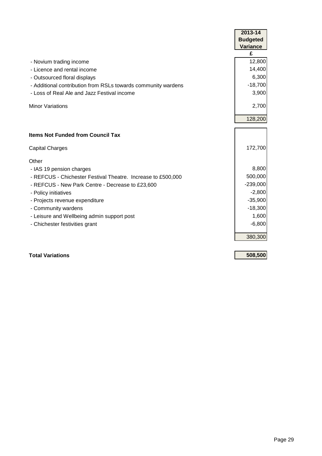|                                                               | 2013-14         |
|---------------------------------------------------------------|-----------------|
|                                                               | <b>Budgeted</b> |
|                                                               | <b>Variance</b> |
|                                                               | £               |
| - Novium trading income                                       | 12,800          |
| - Licence and rental income                                   | 14,400          |
| - Outsourced floral displays                                  | 6,300           |
| - Additional contribution from RSLs towards community wardens | $-18,700$       |
| - Loss of Real Ale and Jazz Festival income                   | 3,900           |
| <b>Minor Variations</b>                                       | 2,700           |
|                                                               | 128,200         |
| <b>Items Not Funded from Council Tax</b>                      |                 |
| <b>Capital Charges</b>                                        | 172,700         |
| Other                                                         |                 |
| - IAS 19 pension charges                                      | 8,800           |
| - REFCUS - Chichester Festival Theatre. Increase to £500,000  | 500,000         |
| - REFCUS - New Park Centre - Decrease to £23,600              | $-239,000$      |
| - Policy initiatives                                          | $-2,800$        |
| - Projects revenue expenditure                                | $-35,900$       |
| - Community wardens                                           | $-18,300$       |
| - Leisure and Wellbeing admin support post                    | 1,600           |
| - Chichester festivities grant                                | $-6,800$        |
|                                                               | 380,300         |

#### **Total Variations 508,500**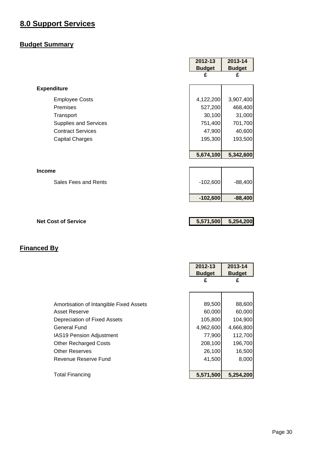#### <span id="page-30-0"></span>**8.0 Support Services**

#### **Budget Summary**

|                              | 2012-13       | 2013-14       |
|------------------------------|---------------|---------------|
|                              | <b>Budget</b> | <b>Budget</b> |
|                              | £             | £             |
| <b>Expenditure</b>           |               |               |
| <b>Employee Costs</b>        | 4,122,200     | 3,907,400     |
| Premises                     | 527,200       | 468,400       |
| Transport                    | 30,100        | 31,000        |
| <b>Supplies and Services</b> | 751,400       | 701,700       |
| <b>Contract Services</b>     | 47,900        | 40,600        |
| <b>Capital Charges</b>       | 195,300       | 193,500       |
|                              |               |               |
|                              | 5,674,100     | 5,342,600     |
|                              |               |               |
| <b>Income</b>                |               |               |
| Sales Fees and Rents         | $-102,600$    | $-88,400$     |
|                              | $-102,600$    | $-88,400$     |
|                              |               |               |
| <b>Net Cost of Service</b>   | 5,571,500     | 5,254,200     |

|                                         | 2012-13       | 2013-14       |
|-----------------------------------------|---------------|---------------|
|                                         | <b>Budget</b> | <b>Budget</b> |
|                                         | £             | £             |
|                                         |               |               |
|                                         |               |               |
| Amortisation of Intangible Fixed Assets | 89,500        | 88,600        |
| Asset Reserve                           | 60,000        | 60,000        |
| Depreciation of Fixed Assets            | 105,800       | 104,900       |
| General Fund                            | 4,962,600     | 4,666,800     |
| <b>IAS19 Pension Adjustment</b>         | 77,900        | 112,700       |
| <b>Other Recharged Costs</b>            | 208,100       | 196,700       |
| <b>Other Reserves</b>                   | 26,100        | 16,500        |
| Revenue Reserve Fund                    | 41,500        | 8,000         |
|                                         |               |               |
| <b>Total Financing</b>                  | 5,571,500     | 5,254,200     |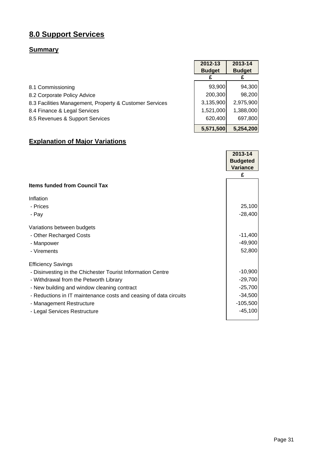#### **8.0 Support Services**

#### **Summary**

|                                                         | 2012-13       | 2013-14       |
|---------------------------------------------------------|---------------|---------------|
|                                                         | <b>Budget</b> | <b>Budget</b> |
|                                                         |               |               |
| 8.1 Commissioning                                       | 93,900        | 94,300        |
| 8.2 Corporate Policy Advice                             | 200,300       | 98,200        |
| 8.3 Facilities Management, Property & Customer Services | 3,135,900     | 2,975,900     |
| 8.4 Finance & Legal Services                            | 1,521,000     | 1,388,000     |
| 8.5 Revenues & Support Services                         | 620,400       | 697,800       |
|                                                         | 5,571,500     | 5,254,200     |

#### **Explanation of Major Variations**

|                                                                   | 2013-14         |
|-------------------------------------------------------------------|-----------------|
|                                                                   | <b>Budgeted</b> |
|                                                                   | <b>Variance</b> |
|                                                                   | £               |
| <b>Items funded from Council Tax</b>                              |                 |
| Inflation                                                         |                 |
| - Prices                                                          | 25,100          |
| - Pay                                                             | $-28,400$       |
| Variations between budgets                                        |                 |
| - Other Recharged Costs                                           | $-11,400$       |
| - Manpower                                                        | $-49,900$       |
| - Virements                                                       | 52,800          |
| <b>Efficiency Savings</b>                                         |                 |
| - Disinvesting in the Chichester Tourist Information Centre       | $-10,900$       |
| - Withdrawal from the Petworth Library                            | $-29,700$       |
| - New building and window cleaning contract                       | $-25,700$       |
| - Reductions in IT maintenance costs and ceasing of data circuits | $-34,500$       |
| - Management Restructure                                          | $-105,500$      |
| - Legal Services Restructure                                      | $-45,100$       |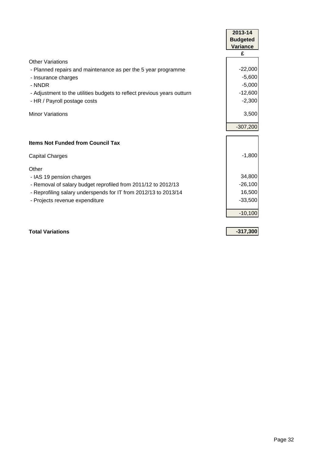|                                                                         | 2013-14         |
|-------------------------------------------------------------------------|-----------------|
|                                                                         | <b>Budgeted</b> |
|                                                                         | <b>Variance</b> |
|                                                                         | £               |
| <b>Other Variations</b>                                                 |                 |
| - Planned repairs and maintenance as per the 5 year programme           | $-22,000$       |
| - Insurance charges                                                     | $-5,600$        |
| - NNDR                                                                  | $-5,000$        |
| - Adjustment to the utilities budgets to reflect previous years outturn | $-12,600$       |
| - HR / Payroll postage costs                                            | $-2,300$        |
| <b>Minor Variations</b>                                                 | 3,500           |
|                                                                         |                 |
|                                                                         | $-307,200$      |
|                                                                         |                 |
| <b>Items Not Funded from Council Tax</b>                                |                 |
| <b>Capital Charges</b>                                                  | $-1,800$        |
|                                                                         |                 |
| Other                                                                   |                 |
| - IAS 19 pension charges                                                | 34,800          |
| - Removal of salary budget reprofiled from 2011/12 to 2012/13           | $-26,100$       |
| - Reprofiling salary underspends for IT from 2012/13 to 2013/14         | 16,500          |
| - Projects revenue expenditure                                          | $-33,500$       |
|                                                                         | $-10,100$       |
|                                                                         |                 |
| <b>Total Variations</b>                                                 | $-317,300$      |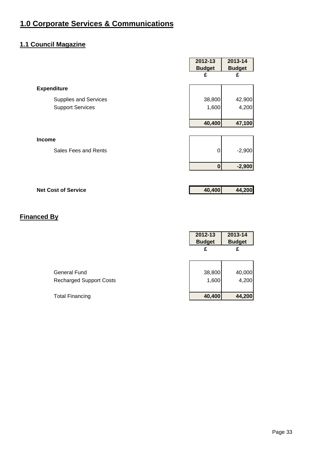#### <span id="page-33-0"></span>**1.1 Council Magazine**

|                              | 2012-13<br><b>Budget</b> | 2013-14<br><b>Budget</b> |
|------------------------------|--------------------------|--------------------------|
|                              | £                        | £                        |
| <b>Expenditure</b>           |                          |                          |
| <b>Supplies and Services</b> | 38,800                   | 42,900                   |
| <b>Support Services</b>      | 1,600                    | 4,200                    |
|                              |                          |                          |
|                              | 40,400                   | 47,100                   |
| <b>Income</b>                |                          |                          |
| Sales Fees and Rents         | 0                        | $-2,900$                 |
|                              |                          |                          |
|                              | $\bf{0}$                 | $-2,900$                 |
|                              |                          |                          |
| <b>Net Cost of Service</b>   | 40,400                   | 44,200                   |

|                                | 2012-13<br><b>Budget</b> | 2013-14<br><b>Budget</b> |
|--------------------------------|--------------------------|--------------------------|
|                                | £                        | £                        |
|                                |                          |                          |
| General Fund                   | 38,800                   | 40,000                   |
| <b>Recharged Support Costs</b> | 1,600                    | 4,200                    |
| <b>Total Financing</b>         | 40,400                   | 44,200                   |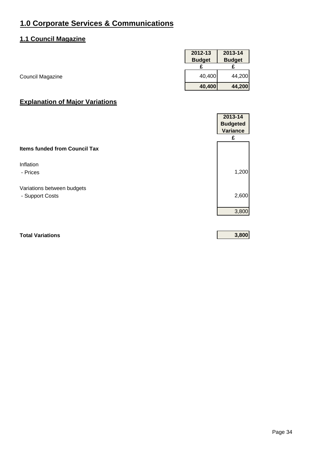#### **1.1 Council Magazine**

|                  | 2012-13       | 2013-14       |
|------------------|---------------|---------------|
|                  | <b>Budget</b> | <b>Budget</b> |
|                  |               |               |
| Council Magazine | 40,400        | 44,200        |
|                  | 40,400        | 44,200        |

#### **Explanation of Major Variations**

|                                      | 2013-14         |
|--------------------------------------|-----------------|
|                                      | <b>Budgeted</b> |
|                                      | <b>Variance</b> |
|                                      | £               |
| <b>Items funded from Council Tax</b> |                 |
| Inflation                            |                 |
| - Prices                             | 1,200           |
| Variations between budgets           |                 |
| - Support Costs                      | 2,600           |
|                                      | 3,800           |
|                                      |                 |

#### **Total Variations 3,800**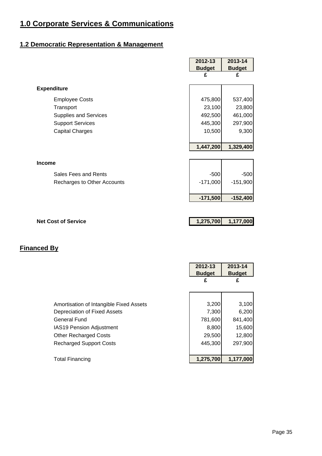#### **1.2 Democratic Representation & Management**

|                              | 2012-13       | 2013-14       |
|------------------------------|---------------|---------------|
|                              | <b>Budget</b> | <b>Budget</b> |
|                              | £             | £             |
| <b>Expenditure</b>           |               |               |
| <b>Employee Costs</b>        | 475,800       | 537,400       |
| Transport                    | 23,100        | 23,800        |
| <b>Supplies and Services</b> | 492,500       | 461,000       |
| <b>Support Services</b>      | 445,300       | 297,900       |
| <b>Capital Charges</b>       | 10,500        | 9,300         |
|                              |               |               |
|                              | 1,447,200     | 1,329,400     |
|                              |               |               |
| <b>Income</b>                |               |               |
| Sales Fees and Rents         | $-500$        | $-500$        |
| Recharges to Other Accounts  | $-171,000$    | $-151,900$    |
|                              |               |               |
|                              | $-171,500$    | $-152,400$    |
|                              |               |               |
|                              |               |               |
| <b>Net Cost of Service</b>   | 1,275,700     | 1,177,000     |

|                                         | 2012-13<br><b>Budget</b> | 2013-14<br><b>Budget</b> |
|-----------------------------------------|--------------------------|--------------------------|
|                                         | £                        | £                        |
|                                         |                          |                          |
| Amortisation of Intangible Fixed Assets | 3,200                    | 3,100                    |
| Depreciation of Fixed Assets            | 7,300                    | 6,200                    |
| <b>General Fund</b>                     | 781,600                  | 841,400                  |
| <b>IAS19 Pension Adjustment</b>         | 8,800                    | 15,600                   |
| <b>Other Recharged Costs</b>            | 29,500                   | 12,800                   |
| <b>Recharged Support Costs</b>          | 445,300                  | 297,900                  |
|                                         |                          |                          |
| <b>Total Financing</b>                  | 1,275,700                | 1,177,000                |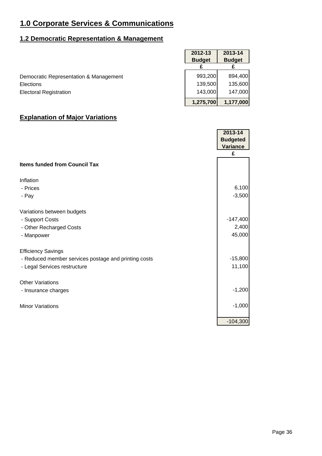## **1.2 Democratic Representation & Management**

|                                        | 2012-13       | 2013-14       |
|----------------------------------------|---------------|---------------|
|                                        | <b>Budget</b> | <b>Budget</b> |
|                                        |               |               |
| Democratic Representation & Management | 993,200       | 894,400       |
| Elections                              | 139,500       | 135,600       |
| <b>Electoral Registration</b>          | 143,000       | 147,000       |
|                                        | 1,275,700     | 1,177,000     |

|                                                      | 2013-14<br><b>Budgeted</b><br>Variance |
|------------------------------------------------------|----------------------------------------|
|                                                      | £                                      |
| <b>Items funded from Council Tax</b>                 |                                        |
| Inflation                                            |                                        |
| - Prices                                             | 6,100                                  |
| - Pay                                                | $-3,500$                               |
| Variations between budgets                           |                                        |
| - Support Costs                                      | $-147,400$                             |
| - Other Recharged Costs                              | 2,400                                  |
| - Manpower                                           | 45,000                                 |
| <b>Efficiency Savings</b>                            |                                        |
| - Reduced member services postage and printing costs | $-15,800$                              |
| - Legal Services restructure                         | 11,100                                 |
| <b>Other Variations</b>                              |                                        |
| - Insurance charges                                  | $-1,200$                               |
| <b>Minor Variations</b>                              | $-1,000$                               |
|                                                      | $-104,300$                             |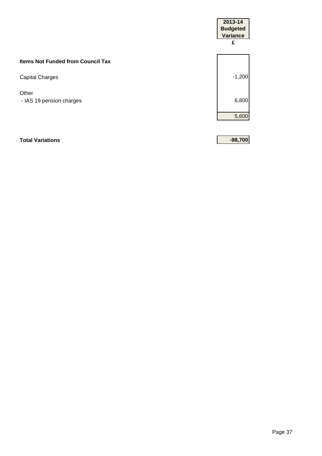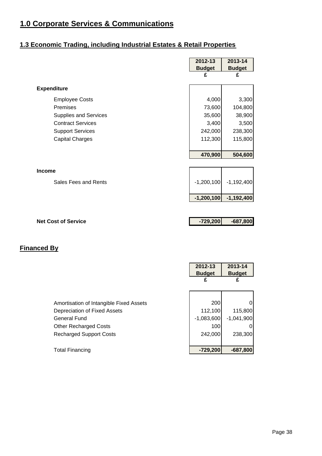## **1.3 Economic Trading, including Industrial Estates & Retail Properties**

|                              | 2012-13       | 2013-14       |
|------------------------------|---------------|---------------|
|                              | <b>Budget</b> | <b>Budget</b> |
|                              | £             | £             |
| <b>Expenditure</b>           |               |               |
| <b>Employee Costs</b>        | 4,000         | 3,300         |
| Premises                     | 73,600        | 104,800       |
| <b>Supplies and Services</b> | 35,600        | 38,900        |
| <b>Contract Services</b>     | 3,400         | 3,500         |
| <b>Support Services</b>      | 242,000       | 238,300       |
| <b>Capital Charges</b>       | 112,300       | 115,800       |
|                              |               |               |
|                              | 470,900       | 504,600       |
|                              |               |               |
| Income                       |               |               |
| Sales Fees and Rents         | $-1,200,100$  | $-1,192,400$  |
|                              | $-1,200,100$  | $-1,192,400$  |
|                              |               |               |
|                              |               |               |
| <b>Net Cost of Service</b>   | $-729,200$    | $-687,800$    |
|                              |               |               |
|                              |               |               |
| <b>Financed By</b>           |               |               |
|                              |               |               |
|                              | $2012 - 13$   | 2013-14       |
|                              | <b>Budget</b> | <b>Budget</b> |
|                              | £             | £             |
|                              |               |               |
|                              |               |               |

| <b>Total Financing</b>                  | $-729,200$   | $-687,800$   |
|-----------------------------------------|--------------|--------------|
| <b>Recharged Support Costs</b>          | 242,000      | 238,300      |
| <b>Other Recharged Costs</b>            | 100          | 0            |
| <b>General Fund</b>                     | $-1,083,600$ | $-1,041,900$ |
| Depreciation of Fixed Assets            | 112,100      | 115,800      |
| Amortisation of Intangible Fixed Assets | <b>200</b>   | $\Omega$     |
|                                         |              |              |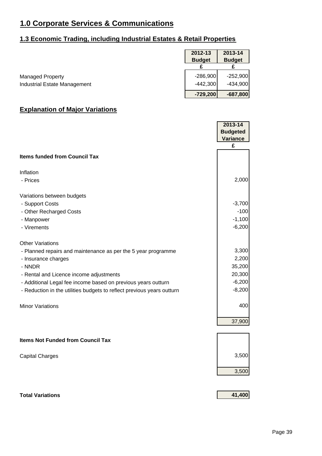# **1.3 Economic Trading, including Industrial Estates & Retail Properties**

|                              | 2012-13       | 2013-14       |
|------------------------------|---------------|---------------|
|                              | <b>Budget</b> | <b>Budget</b> |
|                              |               |               |
| <b>Managed Property</b>      | $-286,900$    | $-252.900$    |
| Industrial Estate Management | $-442,300$    | $-434,900$    |
|                              | $-729,200$    | $-687,800$    |

J.

|                                                                        | 2013-14<br><b>Budgeted</b><br><b>Variance</b> |
|------------------------------------------------------------------------|-----------------------------------------------|
|                                                                        | £                                             |
| <b>Items funded from Council Tax</b>                                   |                                               |
| Inflation                                                              |                                               |
| - Prices                                                               | 2,000                                         |
| Variations between budgets                                             |                                               |
| - Support Costs                                                        | $-3,700$                                      |
| - Other Recharged Costs                                                | $-100$                                        |
| - Manpower                                                             | $-1,100$                                      |
| - Virements                                                            | $-6,200$                                      |
| <b>Other Variations</b>                                                |                                               |
| - Planned repairs and maintenance as per the 5 year programme          | 3,300                                         |
| - Insurance charges                                                    | 2,200                                         |
| - NNDR                                                                 | 35,200                                        |
| - Rental and Licence income adjustments                                | 20,300                                        |
| - Additional Legal fee income based on previous years outturn          | $-6,200$                                      |
| - Reduction in the utilities budgets to reflect previous years outturn | $-8,200$                                      |
| <b>Minor Variations</b>                                                | 400                                           |
|                                                                        |                                               |
|                                                                        | 37,900                                        |
| <b>Items Not Funded from Council Tax</b>                               |                                               |
|                                                                        |                                               |
| <b>Capital Charges</b>                                                 | 3,500                                         |
|                                                                        | 3,500                                         |
|                                                                        |                                               |
| <b>Total Variations</b>                                                | 41,400                                        |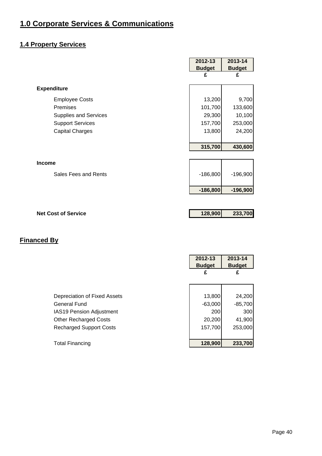## **1.4 Property Services**

|                              | 2012-13       | 2013-14       |
|------------------------------|---------------|---------------|
|                              | <b>Budget</b> | <b>Budget</b> |
|                              | £             | £             |
| <b>Expenditure</b>           |               |               |
| <b>Employee Costs</b>        | 13,200        | 9,700         |
| Premises                     | 101,700       | 133,600       |
| <b>Supplies and Services</b> | 29,300        | 10,100        |
| <b>Support Services</b>      | 157,700       | 253,000       |
| <b>Capital Charges</b>       | 13,800        | 24,200        |
|                              |               |               |
|                              | 315,700       | 430,600       |
|                              |               |               |
| <b>Income</b>                |               |               |
| Sales Fees and Rents         | $-186,800$    | $-196,900$    |
|                              |               |               |
|                              | $-186,800$    | $-196,900$    |
|                              |               |               |
| <b>Net Cost of Service</b>   | 128,900       | 233,700       |
|                              |               |               |

|                                 | 2012-13       | 2013-14       |
|---------------------------------|---------------|---------------|
|                                 | <b>Budget</b> | <b>Budget</b> |
|                                 | £             | £             |
|                                 |               |               |
|                                 |               |               |
| Depreciation of Fixed Assets    | 13,800        | 24,200        |
| <b>General Fund</b>             | $-63,000$     | $-85,700$     |
| <b>IAS19 Pension Adjustment</b> | 200           | 300           |
| <b>Other Recharged Costs</b>    | 20,200        | 41,900        |
| <b>Recharged Support Costs</b>  | 157,700       | 253,000       |
|                                 |               |               |
| <b>Total Financing</b>          | 128,900       | 233,700       |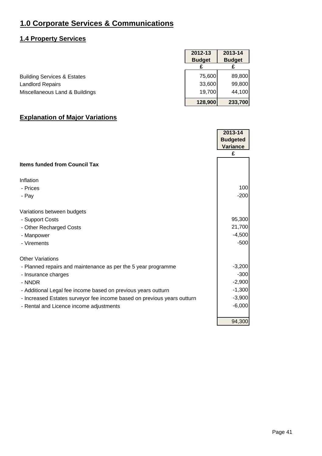#### **1.4 Property Services**

|                                        | 2012-13       | 2013-14       |
|----------------------------------------|---------------|---------------|
|                                        | <b>Budget</b> | <b>Budget</b> |
|                                        |               |               |
| <b>Building Services &amp; Estates</b> | 75,600        | 89,800        |
| <b>Landlord Repairs</b>                | 33,600        | 99,800        |
| Miscellaneous Land & Buildings         | 19,700        | 44,100        |
|                                        | 128,900       | 233,700       |

|                                                                         | 2013-14<br><b>Budgeted</b><br><b>Variance</b> |
|-------------------------------------------------------------------------|-----------------------------------------------|
|                                                                         | £                                             |
| <b>Items funded from Council Tax</b>                                    |                                               |
| Inflation                                                               |                                               |
| - Prices                                                                | 100                                           |
| - Pay                                                                   | $-200$                                        |
| Variations between budgets                                              |                                               |
| - Support Costs                                                         | 95,300                                        |
| - Other Recharged Costs                                                 | 21,700                                        |
| - Manpower                                                              | $-4,500$                                      |
| - Virements                                                             | $-500$                                        |
| <b>Other Variations</b>                                                 |                                               |
| - Planned repairs and maintenance as per the 5 year programme           | $-3,200$                                      |
| - Insurance charges                                                     | $-300$                                        |
| - NNDR                                                                  | $-2,900$                                      |
| - Additional Legal fee income based on previous years outturn           | $-1,300$                                      |
| - Increased Estates surveyor fee income based on previous years outturn | $-3,900$                                      |
| - Rental and Licence income adjustments                                 | $-6,000$                                      |
|                                                                         | 94,300                                        |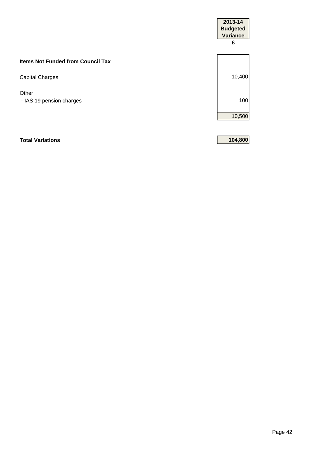|                                          | 2013-14<br><b>Budgeted</b><br>Variance<br>£ |
|------------------------------------------|---------------------------------------------|
| <b>Items Not Funded from Council Tax</b> |                                             |
| <b>Capital Charges</b>                   | 10,400                                      |
| Other<br>- IAS 19 pension charges        | 100                                         |
|                                          | 10,500                                      |
|                                          |                                             |

**Total Variations 104,800**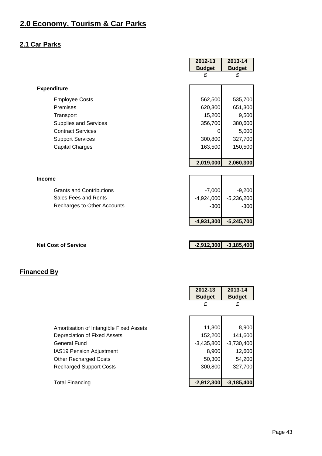#### **2.1 Car Parks**

|                                 | 2012-13       | 2013-14       |
|---------------------------------|---------------|---------------|
|                                 | <b>Budget</b> | <b>Budget</b> |
|                                 | £             | £             |
| <b>Expenditure</b>              |               |               |
| <b>Employee Costs</b>           | 562,500       | 535,700       |
| Premises                        | 620,300       | 651,300       |
| Transport                       | 15,200        | 9,500         |
| Supplies and Services           | 356,700       | 380,600       |
| <b>Contract Services</b>        | 0             | 5,000         |
| <b>Support Services</b>         | 300,800       | 327,700       |
| <b>Capital Charges</b>          | 163,500       | 150,500       |
|                                 |               |               |
|                                 | 2,019,000     | 2,060,300     |
|                                 |               |               |
| <b>Income</b>                   |               |               |
| <b>Grants and Contributions</b> | $-7,000$      | $-9,200$      |
| Sales Fees and Rents            | $-4,924,000$  | $-5,236,200$  |
| Recharges to Other Accounts     | $-300$        | $-300$        |
|                                 |               |               |
|                                 | $-4,931,300$  | $-5,245,700$  |
|                                 |               |               |
|                                 |               |               |

**Net Cost of Service 4.2,912,300 -3,185,400** 

|                                         | 2012-13<br><b>Budget</b> | 2013-14<br><b>Budget</b> |
|-----------------------------------------|--------------------------|--------------------------|
|                                         | £                        | £                        |
|                                         |                          |                          |
| Amortisation of Intangible Fixed Assets | 11,300                   | 8,900                    |
| Depreciation of Fixed Assets            | 152,200                  | 141,600                  |
| General Fund                            | $-3,435,800$             | $-3,730,400$             |
| <b>IAS19 Pension Adjustment</b>         | 8,900                    | 12,600                   |
| <b>Other Recharged Costs</b>            | 50,300                   | 54,200                   |
| <b>Recharged Support Costs</b>          | 300,800                  | 327,700                  |
|                                         |                          |                          |
| <b>Total Financing</b>                  | $-2,912,300$             | $-3,185,400$             |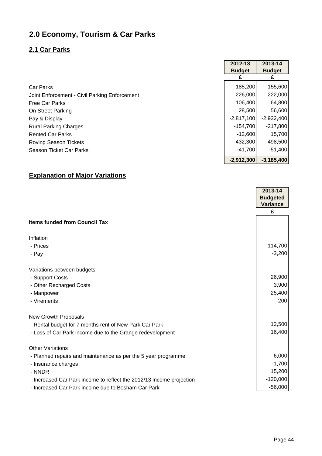## **2.1 Car Parks**

|                                               | 2012-13       | 2013-14       |
|-----------------------------------------------|---------------|---------------|
|                                               | <b>Budget</b> | <b>Budget</b> |
|                                               |               |               |
| <b>Car Parks</b>                              | 185,200       | 155,600       |
| Joint Enforcement - Civil Parking Enforcement | 226,000       | 222,000       |
| <b>Free Car Parks</b>                         | 106,400       | 64,800        |
| On Street Parking                             | 28,500        | 56,600        |
| Pay & Display                                 | $-2,817,100$  | $-2,932,400$  |
| <b>Rural Parking Charges</b>                  | $-154,700$    | $-217,800$    |
| <b>Rented Car Parks</b>                       | $-12,600$     | 15,700        |
| <b>Roving Season Tickets</b>                  | $-432,300$    | $-498,500$    |
| Season Ticket Car Parks                       | $-41,700$     | $-51,400$     |
|                                               | $-2,912,300$  | $-3,185,400$  |

|                                                                      | 2013-14<br><b>Budgeted</b><br><b>Variance</b> |
|----------------------------------------------------------------------|-----------------------------------------------|
|                                                                      | £                                             |
| <b>Items funded from Council Tax</b>                                 |                                               |
| Inflation                                                            |                                               |
| - Prices                                                             | $-114,700$                                    |
| - Pay                                                                | $-3,200$                                      |
| Variations between budgets                                           |                                               |
| - Support Costs                                                      | 26,900                                        |
| - Other Recharged Costs                                              | 3,900                                         |
| - Manpower                                                           | $-25,400$                                     |
| - Virements                                                          | $-200$                                        |
| <b>New Growth Proposals</b>                                          |                                               |
| - Rental budget for 7 months rent of New Park Car Park               | 12,500                                        |
| - Loss of Car Park income due to the Grange redevelopment            | 16,400                                        |
| <b>Other Variations</b>                                              |                                               |
| - Planned repairs and maintenance as per the 5 year programme        | 6,000                                         |
| - Insurance charges                                                  | $-1,700$                                      |
| - NNDR                                                               | 15,200                                        |
| - Increased Car Park income to reflect the 2012/13 income projection | $-120,000$                                    |
| - Increased Car Park income due to Bosham Car Park                   | $-56,000$                                     |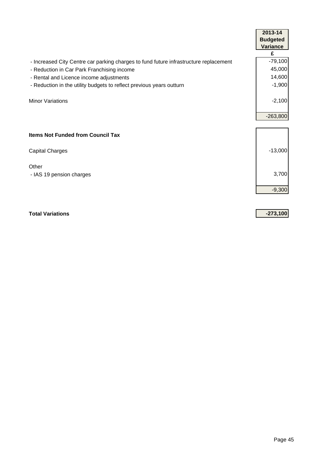|                                                                                       | 2013-14         |
|---------------------------------------------------------------------------------------|-----------------|
|                                                                                       | <b>Budgeted</b> |
|                                                                                       | <b>Variance</b> |
|                                                                                       | £               |
| - Increased City Centre car parking charges to fund future infrastructure replacement | $-79,100$       |
| - Reduction in Car Park Franchising income                                            | 45,000          |
| - Rental and Licence income adjustments                                               | 14,600          |
| - Reduction in the utility budgets to reflect previous years outturn                  | $-1,900$        |
| <b>Minor Variations</b>                                                               | $-2,100$        |
|                                                                                       | $-263,800$      |
|                                                                                       |                 |
| <b>Items Not Funded from Council Tax</b>                                              |                 |
| <b>Capital Charges</b>                                                                | $-13,000$       |
| Other                                                                                 |                 |
| - IAS 19 pension charges                                                              | 3,700           |
|                                                                                       |                 |
|                                                                                       | $-9,300$        |

**Total Variations -273,100**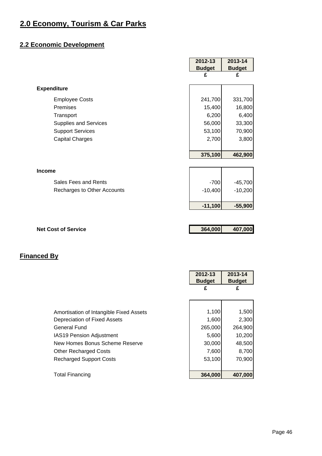## **2.2 Economic Development**

|                              | 2012-13       | 2013-14       |
|------------------------------|---------------|---------------|
|                              | <b>Budget</b> | <b>Budget</b> |
|                              | £             | £             |
| <b>Expenditure</b>           |               |               |
| <b>Employee Costs</b>        | 241,700       | 331,700       |
| Premises                     | 15,400        | 16,800        |
| Transport                    | 6,200         | 6,400         |
| <b>Supplies and Services</b> | 56,000        | 33,300        |
| <b>Support Services</b>      | 53,100        | 70,900        |
| <b>Capital Charges</b>       | 2,700         | 3,800         |
|                              |               |               |
|                              | 375,100       | 462,900       |
|                              |               |               |
| <b>Income</b>                |               |               |
| Sales Fees and Rents         | $-700$        | $-45,700$     |
| Recharges to Other Accounts  | $-10,400$     | $-10,200$     |
|                              |               |               |
|                              | $-11,100$     | $-55,900$     |
|                              |               |               |
| <b>Net Cost of Service</b>   | 364,000       | 407,000       |
|                              |               |               |

Ē

 $\overline{\phantom{a}}$ 

|                                         | 2012-13<br><b>Budget</b> | 2013-14<br><b>Budget</b> |
|-----------------------------------------|--------------------------|--------------------------|
|                                         | £                        | £                        |
|                                         |                          |                          |
| Amortisation of Intangible Fixed Assets | 1,100                    | 1,500                    |
| Depreciation of Fixed Assets            | 1,600                    | 2,300                    |
| General Fund                            | 265,000                  | 264,900                  |
| <b>IAS19 Pension Adjustment</b>         | 5,600                    | 10,200                   |
| New Homes Bonus Scheme Reserve          | 30,000                   | 48,500                   |
| <b>Other Recharged Costs</b>            | 7,600                    | 8,700                    |
| <b>Recharged Support Costs</b>          | 53,100                   | 70,900                   |
|                                         |                          |                          |
| <b>Total Financing</b>                  | 364,000                  | 407,000                  |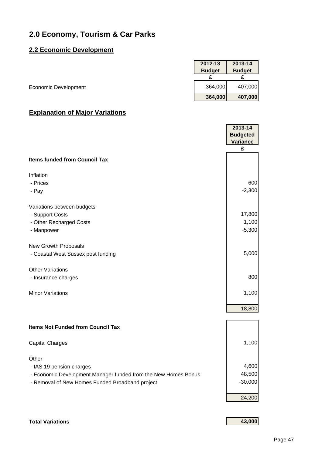#### **2.2 Economic Development**

|                      | 2012-13       | 2013-14       |
|----------------------|---------------|---------------|
|                      | <b>Budget</b> | <b>Budget</b> |
|                      |               |               |
| Economic Development | 364,000       | 407,000       |
|                      | 364,000       | 407,000       |

#### **Explanation of Major Variations**

|                                                                | 2013-14<br><b>Budgeted</b> |
|----------------------------------------------------------------|----------------------------|
|                                                                | <b>Variance</b>            |
|                                                                | £                          |
| <b>Items funded from Council Tax</b>                           |                            |
| Inflation                                                      |                            |
| - Prices                                                       | 600                        |
| - Pay                                                          | $-2,300$                   |
| Variations between budgets                                     |                            |
| - Support Costs                                                | 17,800                     |
| - Other Recharged Costs                                        | 1,100                      |
| - Manpower                                                     | $-5,300$                   |
| New Growth Proposals                                           |                            |
| - Coastal West Sussex post funding                             | 5,000                      |
| <b>Other Variations</b>                                        |                            |
| - Insurance charges                                            | 800                        |
| <b>Minor Variations</b>                                        | 1,100                      |
|                                                                | 18,800                     |
| <b>Items Not Funded from Council Tax</b>                       |                            |
|                                                                |                            |
| <b>Capital Charges</b>                                         | 1,100                      |
| Other                                                          |                            |
| - IAS 19 pension charges                                       | 4,600                      |
| - Economic Development Manager funded from the New Homes Bonus | 48,500                     |
| - Removal of New Homes Funded Broadband project                | $-30,000$                  |
|                                                                | 24,200                     |

# **Total Variations 43,000**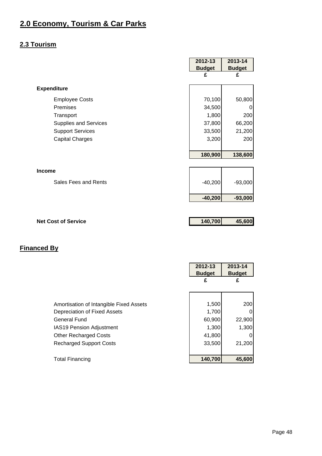## **2.3 Tourism**

|                              | 2012-13<br><b>Budget</b> | 2013-14<br><b>Budget</b> |
|------------------------------|--------------------------|--------------------------|
|                              | £                        | £                        |
| <b>Expenditure</b>           |                          |                          |
| <b>Employee Costs</b>        | 70,100                   | 50,800                   |
| Premises                     | 34,500                   | 0                        |
| Transport                    | 1,800                    | 200                      |
| <b>Supplies and Services</b> | 37,800                   | 66,200                   |
| <b>Support Services</b>      | 33,500                   | 21,200                   |
| <b>Capital Charges</b>       | 3,200                    | 200                      |
|                              |                          |                          |
|                              | 180,900                  | 138,600                  |
|                              |                          |                          |
| <b>Income</b>                |                          |                          |
| Sales Fees and Rents         | $-40,200$                | $-93,000$                |
|                              |                          |                          |
|                              | $-40,200$                | $-93,000$                |
|                              |                          |                          |
| <b>Net Cost of Service</b>   | 140,700                  | 45,600                   |
|                              |                          |                          |

|                                         | 2012-13<br><b>Budget</b> | 2013-14<br><b>Budget</b> |
|-----------------------------------------|--------------------------|--------------------------|
|                                         | £                        | £                        |
|                                         |                          |                          |
| Amortisation of Intangible Fixed Assets | 1,500                    | 200                      |
| Depreciation of Fixed Assets            | 1,700                    |                          |
| <b>General Fund</b>                     | 60,900                   | 22,900                   |
| IAS19 Pension Adjustment                | 1,300                    | 1,300                    |
| <b>Other Recharged Costs</b>            | 41,800                   |                          |
| <b>Recharged Support Costs</b>          | 33,500                   | 21,200                   |
|                                         |                          |                          |
| <b>Total Financing</b>                  | 140,700                  | 45,600                   |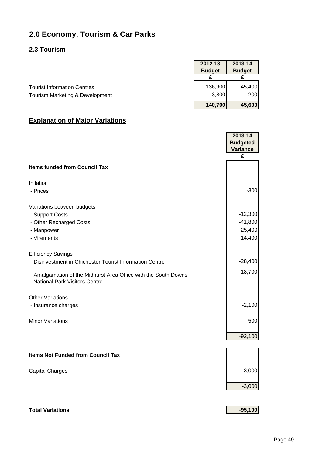#### **2.3 Tourism**

|                                    | 2012-13<br><b>Budget</b> | 2013-14<br><b>Budget</b> |
|------------------------------------|--------------------------|--------------------------|
|                                    |                          |                          |
| <b>Tourist Information Centres</b> | 136,900                  | 45,400                   |
| Tourism Marketing & Development    | 3,800                    | 200                      |
|                                    | 140,700                  | 45,600                   |

#### **Explanation of Major Variations**

|                                                                                                                                                                                                  | 2013-14                                       |
|--------------------------------------------------------------------------------------------------------------------------------------------------------------------------------------------------|-----------------------------------------------|
|                                                                                                                                                                                                  | <b>Budgeted</b>                               |
|                                                                                                                                                                                                  | <b>Variance</b>                               |
|                                                                                                                                                                                                  | £                                             |
| <b>Items funded from Council Tax</b>                                                                                                                                                             |                                               |
| Inflation<br>- Prices                                                                                                                                                                            | $-300$                                        |
| Variations between budgets<br>- Support Costs<br>- Other Recharged Costs<br>- Manpower<br>- Virements                                                                                            | $-12,300$<br>$-41,800$<br>25,400<br>$-14,400$ |
| <b>Efficiency Savings</b><br>- Disinvestment in Chichester Tourist Information Centre<br>- Amalgamation of the Midhurst Area Office with the South Downs<br><b>National Park Visitors Centre</b> | $-28,400$<br>$-18,700$                        |
| <b>Other Variations</b><br>- Insurance charges                                                                                                                                                   | $-2,100$                                      |
| <b>Minor Variations</b>                                                                                                                                                                          | 500                                           |
|                                                                                                                                                                                                  | $-92,100$                                     |
| <b>Items Not Funded from Council Tax</b>                                                                                                                                                         |                                               |
| <b>Capital Charges</b>                                                                                                                                                                           | $-3,000$                                      |
|                                                                                                                                                                                                  | $-3,000$                                      |
|                                                                                                                                                                                                  |                                               |

## **Total Variations 1999**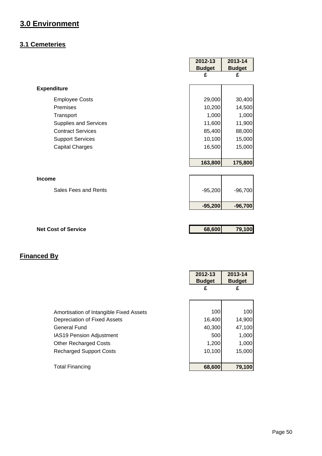## **3.1 Cemeteries**

|                              | 2012-13       | 2013-14       |
|------------------------------|---------------|---------------|
|                              | <b>Budget</b> | <b>Budget</b> |
|                              | £             | £             |
|                              |               |               |
| <b>Expenditure</b>           |               |               |
| <b>Employee Costs</b>        | 29,000        | 30,400        |
| Premises                     | 10,200        | 14,500        |
| Transport                    | 1,000         | 1,000         |
| <b>Supplies and Services</b> | 11,600        | 11,900        |
| <b>Contract Services</b>     | 85,400        | 88,000        |
| <b>Support Services</b>      | 10,100        | 15,000        |
| <b>Capital Charges</b>       | 16,500        | 15,000        |
|                              |               |               |
|                              | 163,800       | 175,800       |
|                              |               |               |
| <b>Income</b>                |               |               |
| Sales Fees and Rents         | $-95,200$     | $-96,700$     |
|                              |               |               |
|                              | $-95,200$     | $-96,700$     |
|                              |               |               |
| <b>Net Cost of Service</b>   | 68,600        | 79,100        |
|                              |               |               |
|                              |               |               |
|                              |               |               |

Ē

Ĭ.

|                                         | 2012-13       | 2013-14       |
|-----------------------------------------|---------------|---------------|
|                                         | <b>Budget</b> | <b>Budget</b> |
|                                         | £             | £             |
|                                         |               |               |
|                                         |               |               |
| Amortisation of Intangible Fixed Assets | 100           | 100           |
| Depreciation of Fixed Assets            | 16,400        | 14,900        |
| <b>General Fund</b>                     | 40,300        | 47,100        |
| <b>IAS19 Pension Adjustment</b>         | 500           | 1,000         |
| <b>Other Recharged Costs</b>            | 1,200         | 1,000         |
| <b>Recharged Support Costs</b>          | 10,100        | 15,000        |
|                                         |               |               |
| <b>Total Financing</b>                  | 68,600        | 79,100        |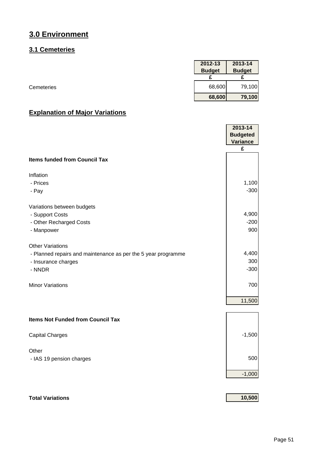## **3.1 Cemeteries**

|            | 2012-13       | 2013-14       |
|------------|---------------|---------------|
|            | <b>Budget</b> | <b>Budget</b> |
|            |               |               |
| Cemeteries | 68,600        | 79,100        |
|            | 68,600        | 79,100        |

|                                                               | 2013-14         |
|---------------------------------------------------------------|-----------------|
|                                                               | <b>Budgeted</b> |
|                                                               | <b>Variance</b> |
|                                                               | £               |
| <b>Items funded from Council Tax</b>                          |                 |
| Inflation                                                     |                 |
| - Prices                                                      | 1,100           |
| - Pay                                                         | $-300$          |
| Variations between budgets                                    |                 |
| - Support Costs                                               | 4,900           |
| - Other Recharged Costs                                       | $-200$          |
| - Manpower                                                    | 900             |
| <b>Other Variations</b>                                       |                 |
| - Planned repairs and maintenance as per the 5 year programme | 4,400           |
| - Insurance charges                                           | 300             |
| - NNDR                                                        | $-300$          |
| <b>Minor Variations</b>                                       | 700             |
|                                                               | 11,500          |
|                                                               |                 |
| <b>Items Not Funded from Council Tax</b>                      |                 |
| <b>Capital Charges</b>                                        | $-1,500$        |
| Other                                                         |                 |
| - IAS 19 pension charges                                      | 500             |
|                                                               | $-1,000$        |
|                                                               |                 |
| <b>Total Variations</b>                                       | 10,500          |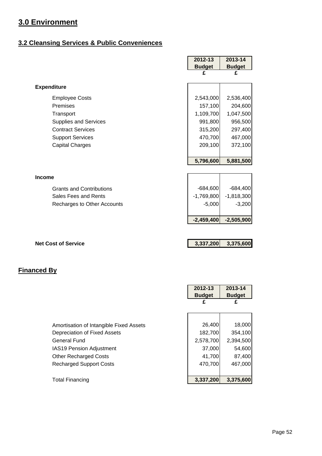## **3.2 Cleansing Services & Public Conveniences**

|                                   | 2012-13            | 2013-14            |
|-----------------------------------|--------------------|--------------------|
|                                   | <b>Budget</b><br>£ | <b>Budget</b><br>£ |
|                                   |                    |                    |
| <b>Expenditure</b>                |                    |                    |
| <b>Employee Costs</b>             | 2,543,000          | 2,536,400          |
| Premises                          | 157,100            | 204,600            |
| Transport                         | 1,109,700          | 1,047,500          |
| Supplies and Services             | 991,800            | 956,500            |
| <b>Contract Services</b>          | 315,200            | 297,400            |
| <b>Support Services</b>           | 470,700            | 467,000            |
| <b>Capital Charges</b>            | 209,100            | 372,100            |
|                                   | 5,796,600          | 5,881,500          |
|                                   |                    |                    |
| <b>Income</b>                     |                    |                    |
| <b>Grants and Contributions</b>   | $-684,600$         | $-684,400$         |
| Sales Fees and Rents              | $-1,769,800$       | $-1,818,300$       |
| Recharges to Other Accounts       | $-5,000$           | $-3,200$           |
|                                   | $-2,459,400$       | $-2,505,900$       |
|                                   |                    |                    |
| <b>Net Cost of Service</b>        | 3,337,200          | 3,375,600          |
|                                   |                    |                    |
|                                   |                    |                    |
| anced By                          |                    |                    |
|                                   |                    |                    |
|                                   | 2012-13            | 2013-14            |
|                                   | <b>Budget</b>      | <b>Budget</b>      |
|                                   | £                  | £                  |
|                                   |                    |                    |
| and the state of the state of the | $\sim$ 100         | 10.000             |

|                                         | <b>Budget</b> | <b>Budget</b> |
|-----------------------------------------|---------------|---------------|
|                                         | £             | £             |
|                                         |               |               |
|                                         |               |               |
| Amortisation of Intangible Fixed Assets | 26,400        | 18,000        |
| Depreciation of Fixed Assets            | 182,700       | 354,100       |
| <b>General Fund</b>                     | 2,578,700     | 2,394,500     |
| <b>IAS19 Pension Adjustment</b>         | 37,000        | 54,600        |
| <b>Other Recharged Costs</b>            | 41,700        | 87,400        |
| <b>Recharged Support Costs</b>          | 470,700       | 467,000       |
|                                         |               |               |
| <b>Total Financing</b>                  | 3,337,200     | 3,375,600     |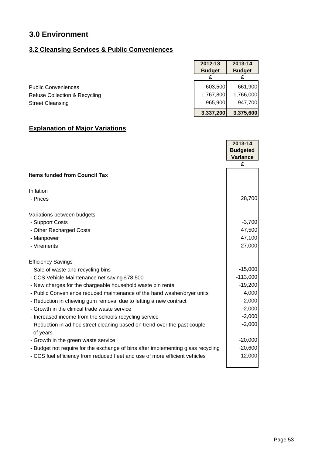## **3.2 Cleansing Services & Public Conveniences**

|                               | 2012-13       | 2013-14       |
|-------------------------------|---------------|---------------|
|                               | <b>Budget</b> | <b>Budget</b> |
| <b>Public Conveniences</b>    | 603,500       | 661,900       |
| Refuse Collection & Recycling | 1,767,800     | 1,766,000     |
| <b>Street Cleansing</b>       | 965.900       | 947,700       |
|                               | 3,337,200     | 3,375,600     |

|                                                                                       | 2013-14         |
|---------------------------------------------------------------------------------------|-----------------|
|                                                                                       | <b>Budgeted</b> |
|                                                                                       | <b>Variance</b> |
|                                                                                       | £               |
| <b>Items funded from Council Tax</b>                                                  |                 |
| Inflation                                                                             |                 |
| - Prices                                                                              | 28,700          |
| Variations between budgets                                                            |                 |
| - Support Costs                                                                       | $-3,700$        |
| - Other Recharged Costs                                                               | 47,500          |
| - Manpower                                                                            | $-47,100$       |
| - Virements                                                                           | $-27,000$       |
| <b>Efficiency Savings</b>                                                             |                 |
| - Sale of waste and recycling bins                                                    | $-15,000$       |
| - CCS Vehicle Maintenance net saving £78,500                                          | $-113,000$      |
| - New charges for the chargeable household waste bin rental                           | $-19,200$       |
| - Public Convenience reduced maintenance of the hand washer/dryer units               | $-4,000$        |
| - Reduction in chewing gum removal due to letting a new contract                      | $-2,000$        |
| - Growth in the clinical trade waste service                                          | $-2,000$        |
| - Increased income from the schools recycling service                                 | $-2,000$        |
| - Reduction in ad hoc street cleaning based on trend over the past couple<br>of years | $-2,000$        |
| - Growth in the green waste service                                                   | $-20,000$       |
| - Budget not require for the exchange of bins after implementing glass recycling      | $-20,600$       |
| - CCS fuel efficiency from reduced fleet and use of more efficient vehicles           | $-12,000$       |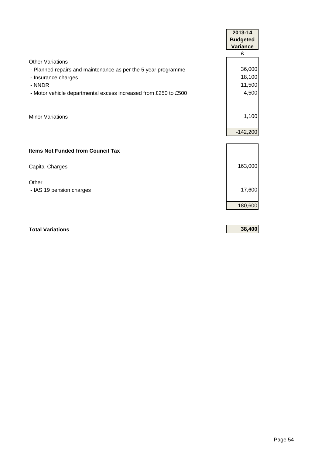|                                                                 | 2013-14              |
|-----------------------------------------------------------------|----------------------|
|                                                                 | <b>Budgeted</b>      |
|                                                                 | <b>Variance</b><br>£ |
| <b>Other Variations</b>                                         |                      |
| - Planned repairs and maintenance as per the 5 year programme   | 36,000               |
| - Insurance charges                                             | 18,100               |
| - NNDR                                                          | 11,500               |
| - Motor vehicle departmental excess increased from £250 to £500 | 4,500                |
|                                                                 |                      |
| <b>Minor Variations</b>                                         | 1,100                |
|                                                                 |                      |
|                                                                 | $-142,200$           |
|                                                                 |                      |
| <b>Items Not Funded from Council Tax</b>                        |                      |
| <b>Capital Charges</b>                                          | 163,000              |
|                                                                 |                      |
| Other                                                           |                      |
| - IAS 19 pension charges                                        | 17,600               |
|                                                                 |                      |
|                                                                 | 180,600              |
|                                                                 |                      |
| <b>Total Variations</b>                                         | 38,400               |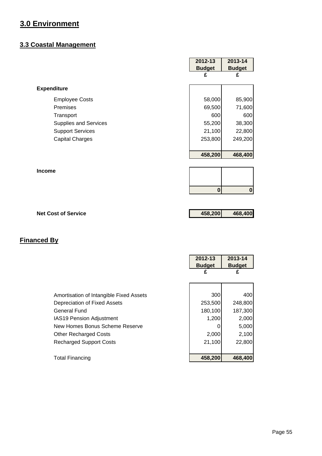#### **3.3 Coastal Management**

|                              | 2012-13<br><b>Budget</b> | 2013-14<br><b>Budget</b> |
|------------------------------|--------------------------|--------------------------|
|                              | £                        | £                        |
| <b>Expenditure</b>           |                          |                          |
| <b>Employee Costs</b>        | 58,000                   | 85,900                   |
| Premises                     | 69,500                   | 71,600                   |
| Transport                    | 600                      | 600                      |
| <b>Supplies and Services</b> | 55,200                   | 38,300                   |
| <b>Support Services</b>      | 21,100                   | 22,800                   |
| <b>Capital Charges</b>       | 253,800                  | 249,200                  |
|                              | 458,200                  | 468,400                  |
| <b>Income</b>                |                          |                          |
|                              |                          |                          |
|                              | $\bf{0}$                 | $\mathbf 0$              |
|                              |                          |                          |
| <b>Net Cost of Service</b>   | 458,200                  | 468,400                  |

|                                                                                                                                                                                                                                | 2012-13<br><b>Budget</b><br>£                         | 2013-14<br><b>Budget</b><br>£                                  |
|--------------------------------------------------------------------------------------------------------------------------------------------------------------------------------------------------------------------------------|-------------------------------------------------------|----------------------------------------------------------------|
| Amortisation of Intangible Fixed Assets<br>Depreciation of Fixed Assets<br>General Fund<br><b>IAS19 Pension Adjustment</b><br>New Homes Bonus Scheme Reserve<br><b>Other Recharged Costs</b><br><b>Recharged Support Costs</b> | 300<br>253,500<br>180,100<br>1,200<br>2,000<br>21,100 | 400<br>248,800<br>187,300<br>2,000<br>5,000<br>2,100<br>22,800 |
| <b>Total Financing</b>                                                                                                                                                                                                         | 458,200                                               | 468,400                                                        |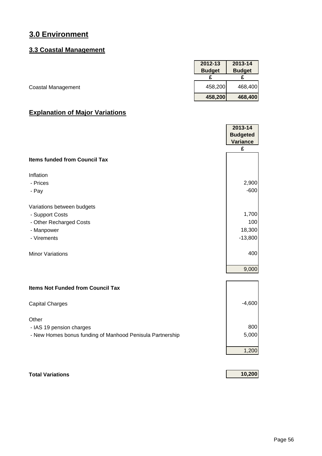#### **3.3 Coastal Management**

|                           | 2012-13       | 2013-14       |
|---------------------------|---------------|---------------|
|                           | <b>Budget</b> | <b>Budget</b> |
|                           |               |               |
| <b>Coastal Management</b> | 458,200       | 468,400       |
|                           | 458,200       | 468,400       |

## **Explanation of Major Variations**

|                                                           | 2013-14<br><b>Budgeted</b> |
|-----------------------------------------------------------|----------------------------|
|                                                           | <b>Variance</b>            |
|                                                           | £                          |
| <b>Items funded from Council Tax</b>                      |                            |
| Inflation                                                 |                            |
| - Prices                                                  | 2,900                      |
| - Pay                                                     | $-600$                     |
| Variations between budgets                                |                            |
| - Support Costs                                           | 1,700                      |
| - Other Recharged Costs                                   | 100                        |
| - Manpower                                                | 18,300                     |
| - Virements                                               | $-13,800$                  |
| <b>Minor Variations</b>                                   | 400                        |
|                                                           | 9,000                      |
| <b>Items Not Funded from Council Tax</b>                  |                            |
| <b>Capital Charges</b>                                    | $-4,600$                   |
| Other                                                     |                            |
| - IAS 19 pension charges                                  | 800                        |
| - New Homes bonus funding of Manhood Penisula Partnership | 5,000                      |
|                                                           | 1,200                      |

**Total Variations 10,200**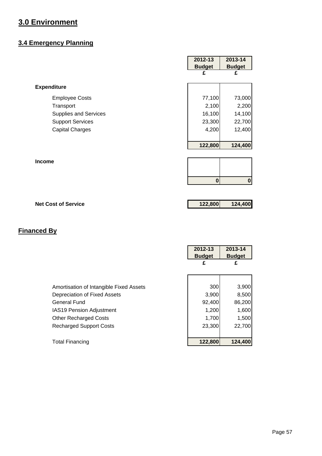## **3.4 Emergency Planning**

|                              | 2012-13       | 2013-14       |
|------------------------------|---------------|---------------|
|                              | <b>Budget</b> | <b>Budget</b> |
|                              | £             | £             |
| <b>Expenditure</b>           |               |               |
| <b>Employee Costs</b>        | 77,100        | 73,000        |
| Transport                    | 2,100         | 2,200         |
| <b>Supplies and Services</b> | 16,100        | 14,100        |
| <b>Support Services</b>      | 23,300        | 22,700        |
| <b>Capital Charges</b>       | 4,200         | 12,400        |
|                              |               |               |
|                              | 122,800       | 124,400       |
|                              |               |               |
| <b>Income</b>                |               |               |
|                              |               |               |
|                              | $\bf{0}$      | $\pmb{0}$     |
|                              |               |               |
|                              |               |               |
| <b>Net Cost of Service</b>   | 122,800       | 124,400       |

|                                         | 2012-13<br><b>Budget</b><br>£ | 2013-14<br><b>Budget</b><br>£ |
|-----------------------------------------|-------------------------------|-------------------------------|
| Amortisation of Intangible Fixed Assets | 300                           | 3,900                         |
| Depreciation of Fixed Assets            | 3,900                         | 8,500                         |
| <b>General Fund</b>                     | 92,400                        | 86,200                        |
| IAS19 Pension Adjustment                | 1,200                         | 1,600                         |
| <b>Other Recharged Costs</b>            | 1,700                         | 1,500                         |
| <b>Recharged Support Costs</b>          | 23,300                        | 22,700                        |
|                                         |                               |                               |
| <b>Total Financing</b>                  | 122,800                       | 124,400                       |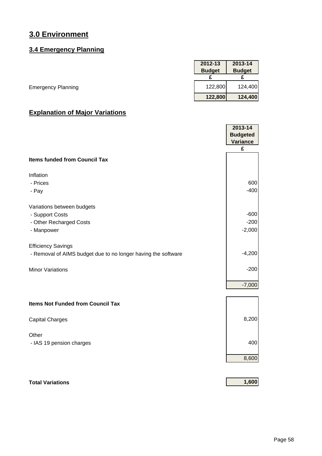## **3.4 Emergency Planning**

|                           | 2012-13       | 2013-14       |
|---------------------------|---------------|---------------|
|                           | <b>Budget</b> | <b>Budget</b> |
|                           |               |               |
| <b>Emergency Planning</b> | 122,800       | 124,400       |
|                           | 122,800       | 124,400       |

## **Explanation of Major Variations**

|                                                               | 2013-14<br><b>Budgeted</b> |
|---------------------------------------------------------------|----------------------------|
|                                                               | <b>Variance</b>            |
|                                                               | £                          |
| <b>Items funded from Council Tax</b>                          |                            |
| Inflation                                                     |                            |
| - Prices                                                      | 600                        |
| - Pay                                                         | $-400$                     |
| Variations between budgets                                    |                            |
| - Support Costs                                               | $-600$                     |
| - Other Recharged Costs                                       | $-200$                     |
| - Manpower                                                    | $-2,000$                   |
| <b>Efficiency Savings</b>                                     |                            |
| - Removal of AIMS budget due to no longer having the software | $-4,200$                   |
| <b>Minor Variations</b>                                       | $-200$                     |
|                                                               | $-7,000$                   |
| <b>Items Not Funded from Council Tax</b>                      |                            |
| <b>Capital Charges</b>                                        | 8,200                      |
| Other                                                         |                            |
| - IAS 19 pension charges                                      | 400                        |
|                                                               | 8,600                      |
|                                                               |                            |

#### **Total Variations 1,600**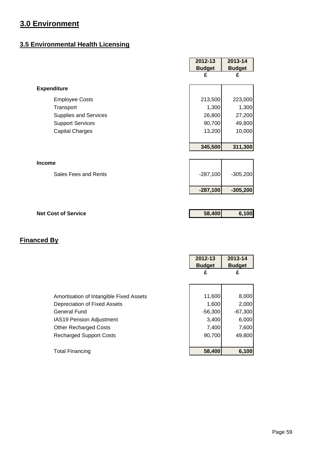## **3.5 Environmental Health Licensing**

|                              | 2012-13       | 2013-14       |
|------------------------------|---------------|---------------|
|                              | <b>Budget</b> | <b>Budget</b> |
|                              | £             | £             |
| <b>Expenditure</b>           |               |               |
| <b>Employee Costs</b>        | 213,500       | 223,000       |
| Transport                    | 1,300         | 1,300         |
| <b>Supplies and Services</b> | 26,800        | 27,200        |
| <b>Support Services</b>      | 90,700        | 49,800        |
| <b>Capital Charges</b>       | 13,200        | 10,000        |
|                              |               |               |
|                              | 345,500       | 311,300       |
| <b>Income</b>                |               |               |
| Sales Fees and Rents         | $-287,100$    | $-305,200$    |
|                              | $-287,100$    | $-305,200$    |
|                              |               |               |
| <b>Net Cost of Service</b>   | 58,400        | 6,100         |

|                                                                                                                                                                                                     | 2012-13<br><b>Budget</b><br>£                            | 2013-14<br><b>Budget</b><br>£                           |
|-----------------------------------------------------------------------------------------------------------------------------------------------------------------------------------------------------|----------------------------------------------------------|---------------------------------------------------------|
| Amortisation of Intangible Fixed Assets<br>Depreciation of Fixed Assets<br><b>General Fund</b><br><b>IAS19 Pension Adjustment</b><br><b>Other Recharged Costs</b><br><b>Recharged Support Costs</b> | 11,600<br>1,600<br>$-56,300$<br>3,400<br>7,400<br>90,700 | 8,000<br>2,000<br>$-67,300$<br>6,000<br>7,600<br>49,800 |
| Total Financing                                                                                                                                                                                     | 58,400                                                   | 6,100                                                   |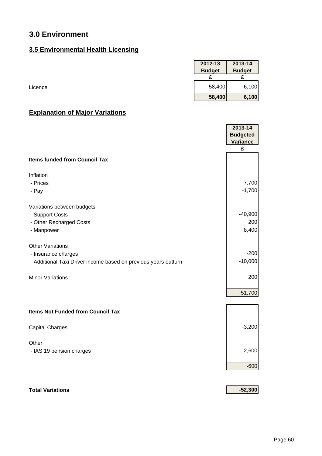## **3.5 Environmental Health Licensing**

| 2012-13       | 2013-14       |
|---------------|---------------|
| <b>Budget</b> | <b>Budget</b> |
|               |               |
| 58,400        | 6,100         |
| 58,400        | 6,100         |

## **Explanation of Major Variations**

|                                                                 | 2013-14<br><b>Budgeted</b> |
|-----------------------------------------------------------------|----------------------------|
|                                                                 | Variance                   |
|                                                                 | £                          |
| <b>Items funded from Council Tax</b>                            |                            |
| Inflation                                                       |                            |
| - Prices                                                        | $-7,700$                   |
| - Pay                                                           | $-1,700$                   |
| Variations between budgets                                      |                            |
| - Support Costs                                                 | $-40,900$                  |
| - Other Recharged Costs                                         | 200                        |
| - Manpower                                                      | 8,400                      |
| <b>Other Variations</b>                                         |                            |
| - Insurance charges                                             | $-200$                     |
| - Additional Taxi Driver income based on previous years outturn | $-10,000$                  |
| <b>Minor Variations</b>                                         | 200                        |
|                                                                 | $-51,700$                  |
| <b>Items Not Funded from Council Tax</b>                        |                            |
|                                                                 |                            |
| <b>Capital Charges</b>                                          | $-3,200$                   |
| Other                                                           |                            |
| - IAS 19 pension charges                                        | 2,600                      |
|                                                                 | $-600$                     |
|                                                                 |                            |

## **Total Variations -52,300**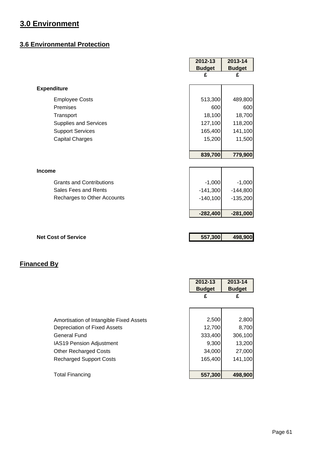## **3.6 Environmental Protection**

|                                 | 2012-13       | 2013-14       |
|---------------------------------|---------------|---------------|
|                                 | <b>Budget</b> | <b>Budget</b> |
|                                 | £             | £             |
| <b>Expenditure</b>              |               |               |
| <b>Employee Costs</b>           | 513,300       | 489,800       |
| Premises                        | 600           | 600           |
| Transport                       | 18,100        | 18,700        |
| <b>Supplies and Services</b>    | 127,100       | 118,200       |
| <b>Support Services</b>         | 165,400       | 141,100       |
| <b>Capital Charges</b>          | 15,200        | 11,500        |
|                                 |               |               |
|                                 | 839,700       | 779,900       |
|                                 |               |               |
| <b>Income</b>                   |               |               |
| <b>Grants and Contributions</b> | $-1,000$      | $-1,000$      |
| Sales Fees and Rents            | $-141,300$    | $-144,800$    |
| Recharges to Other Accounts     | $-140,100$    | $-135,200$    |
|                                 | $-282,400$    | $-281,000$    |
|                                 |               |               |
| <b>Net Cost of Service</b>      | 557,300       | 498,900       |

|                                         | 2012-13<br><b>Budget</b> | 2013-14<br><b>Budget</b> |
|-----------------------------------------|--------------------------|--------------------------|
|                                         | £                        | £                        |
|                                         |                          |                          |
| Amortisation of Intangible Fixed Assets | 2,500                    | 2,800                    |
| Depreciation of Fixed Assets            | 12,700                   | 8,700                    |
| General Fund                            | 333,400                  | 306,100                  |
| <b>IAS19 Pension Adjustment</b>         | 9,300                    | 13,200                   |
| <b>Other Recharged Costs</b>            | 34,000                   | 27,000                   |
| <b>Recharged Support Costs</b>          | 165,400                  | 141,100                  |
|                                         |                          |                          |
| <b>Total Financing</b>                  | 557,300                  | 498.900                  |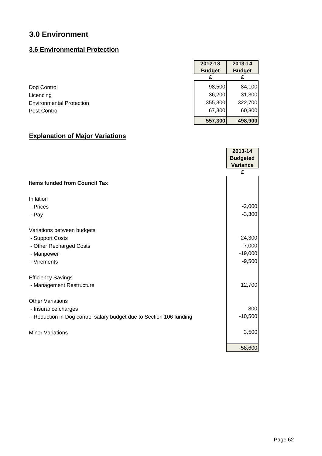#### **3.6 Environmental Protection**

|                                 | 2012-13       | 2013-14       |
|---------------------------------|---------------|---------------|
|                                 | <b>Budget</b> | <b>Budget</b> |
|                                 |               |               |
| Dog Control                     | 98,500        | 84,100        |
| Licencing                       | 36,200        | 31,300        |
| <b>Environmental Protection</b> | 355,300       | 322,700       |
| Pest Control                    | 67,300        | 60,800        |
|                                 | 557,300       | 498,900       |

|                                                                     | 2013-14         |
|---------------------------------------------------------------------|-----------------|
|                                                                     | <b>Budgeted</b> |
|                                                                     | Variance        |
|                                                                     | £               |
| <b>Items funded from Council Tax</b>                                |                 |
| Inflation                                                           |                 |
| - Prices                                                            | $-2,000$        |
| - Pay                                                               | $-3,300$        |
| Variations between budgets                                          |                 |
| - Support Costs                                                     | $-24,300$       |
| - Other Recharged Costs                                             | $-7,000$        |
| - Manpower                                                          | $-19,000$       |
| - Virements                                                         | $-9,500$        |
| <b>Efficiency Savings</b>                                           |                 |
| - Management Restructure                                            | 12,700          |
| <b>Other Variations</b>                                             |                 |
| - Insurance charges                                                 | 800             |
| - Reduction in Dog control salary budget due to Section 106 funding | $-10,500$       |
| <b>Minor Variations</b>                                             | 3,500           |
|                                                                     | $-58,600$       |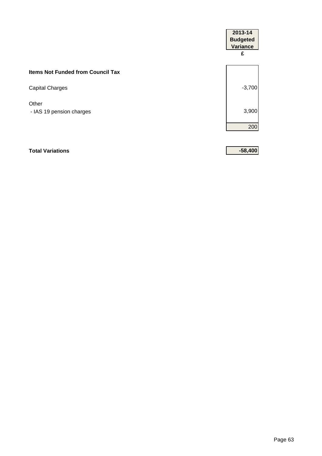|                                          | 2013-14<br><b>Budgeted</b><br><b>Variance</b><br>£ |
|------------------------------------------|----------------------------------------------------|
| <b>Items Not Funded from Council Tax</b> |                                                    |
| Capital Charges                          | $-3,700$                                           |
| Other<br>- IAS 19 pension charges        | 3,900                                              |
|                                          | 200                                                |
|                                          |                                                    |

#### **Total Variations -58,400**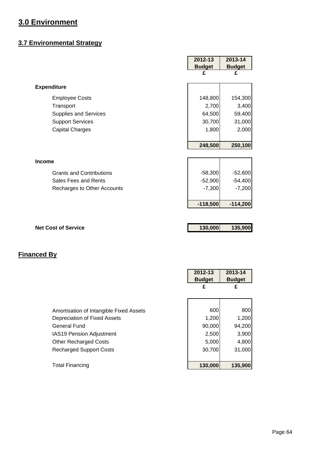## **3.7 Environmental Strategy**

|                                 | 2012-13            | 2013-14            |
|---------------------------------|--------------------|--------------------|
|                                 | <b>Budget</b><br>£ | <b>Budget</b><br>£ |
|                                 |                    |                    |
| <b>Expenditure</b>              |                    |                    |
| <b>Employee Costs</b>           | 148,800            | 154,300            |
| Transport                       | 2,700              | 3,400              |
| <b>Supplies and Services</b>    | 64,500             | 59,400             |
| <b>Support Services</b>         | 30,700             | 31,000             |
| <b>Capital Charges</b>          | 1,800              | 2,000              |
|                                 |                    |                    |
|                                 | 248,500            | 250,100            |
|                                 |                    |                    |
| <b>Income</b>                   |                    |                    |
| <b>Grants and Contributions</b> | $-58,300$          | $-52,600$          |
| Sales Fees and Rents            | $-52,900$          | $-54,400$          |
| Recharges to Other Accounts     | $-7,300$           | $-7,200$           |
|                                 |                    |                    |
|                                 | $-118,500$         | $-114,200$         |
|                                 |                    |                    |
|                                 |                    |                    |
| <b>Net Cost of Service</b>      | 130,000            | 135,900            |
|                                 |                    |                    |

|                                         | 2012-13       | 2013-14       |
|-----------------------------------------|---------------|---------------|
|                                         | <b>Budget</b> | <b>Budget</b> |
|                                         | £             | £             |
|                                         |               |               |
|                                         |               |               |
| Amortisation of Intangible Fixed Assets | 600           | 800           |
| Depreciation of Fixed Assets            | 1,200         | 1,200         |
| <b>General Fund</b>                     | 90,000        | 94,200        |
| <b>IAS19 Pension Adjustment</b>         | 2,500         | 3,900         |
| <b>Other Recharged Costs</b>            | 5,000         | 4,800         |
| <b>Recharged Support Costs</b>          | 30,700        | 31,000        |
|                                         |               |               |
| <b>Total Financing</b>                  | 130,000       | 135,900       |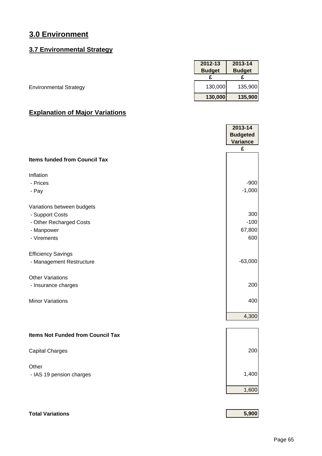#### **3.7 Environmental Strategy**

|                               | 2012-13       | 2013-14       |
|-------------------------------|---------------|---------------|
|                               | <b>Budget</b> | <b>Budget</b> |
|                               |               |               |
| <b>Environmental Strategy</b> | 130,000       | 135,900       |
|                               | 130,000       | 135,900       |

|                                                       | 2013-14         |
|-------------------------------------------------------|-----------------|
|                                                       | <b>Budgeted</b> |
|                                                       | Variance<br>£   |
| <b>Items funded from Council Tax</b>                  |                 |
| Inflation                                             |                 |
| - Prices                                              | $-900$          |
| - Pay                                                 | $-1,000$        |
| Variations between budgets                            |                 |
| - Support Costs                                       | 300<br>$-100$   |
| - Other Recharged Costs<br>- Manpower                 | 67,800          |
| - Virements                                           | 600             |
|                                                       |                 |
| <b>Efficiency Savings</b><br>- Management Restructure | $-63,000$       |
|                                                       |                 |
| <b>Other Variations</b>                               |                 |
| - Insurance charges                                   | 200             |
| <b>Minor Variations</b>                               | 400             |
|                                                       | 4,300           |
|                                                       |                 |
| <b>Items Not Funded from Council Tax</b>              |                 |
| <b>Capital Charges</b>                                | 200             |
|                                                       |                 |
| Other                                                 | 1,400           |
| - IAS 19 pension charges                              |                 |
|                                                       | 1,600           |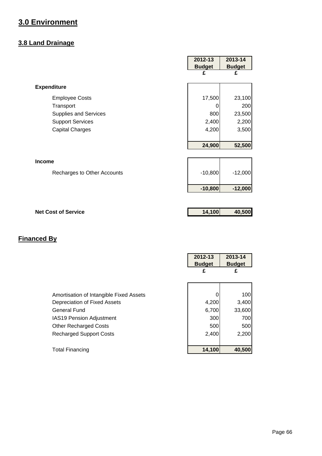## **3.8 Land Drainage**

|                              | 2012-13<br><b>Budget</b> | 2013-14<br><b>Budget</b> |
|------------------------------|--------------------------|--------------------------|
|                              | £                        | £                        |
| <b>Expenditure</b>           |                          |                          |
| <b>Employee Costs</b>        | 17,500                   | 23,100                   |
| Transport                    | Ü                        | 200                      |
| <b>Supplies and Services</b> | 800                      | 23,500                   |
| <b>Support Services</b>      | 2,400                    | 2,200                    |
| <b>Capital Charges</b>       | 4,200                    | 3,500                    |
|                              |                          |                          |
|                              | 24,900                   | 52,500                   |
|                              |                          |                          |
| <b>Income</b>                |                          |                          |
| Recharges to Other Accounts  | $-10,800$                | $-12,000$                |
|                              |                          |                          |
|                              | $-10,800$                | $-12,000$                |
|                              |                          |                          |
| <b>Net Cost of Service</b>   | 14,100                   | 40,500                   |
|                              |                          |                          |

|                                         | 2012-13<br><b>Budget</b><br>£ | 2013-14<br><b>Budget</b><br>£ |
|-----------------------------------------|-------------------------------|-------------------------------|
|                                         |                               |                               |
| Amortisation of Intangible Fixed Assets |                               | 100                           |
| Depreciation of Fixed Assets            | 4,200                         | 3,400                         |
| <b>General Fund</b>                     | 6,700                         | 33,600                        |
| <b>IAS19 Pension Adjustment</b>         | 300                           | 700                           |
| <b>Other Recharged Costs</b>            | 500                           | 500                           |
| <b>Recharged Support Costs</b>          | 2,400                         | 2,200                         |
|                                         |                               |                               |
| <b>Total Financing</b>                  | 14,100                        | 40,500                        |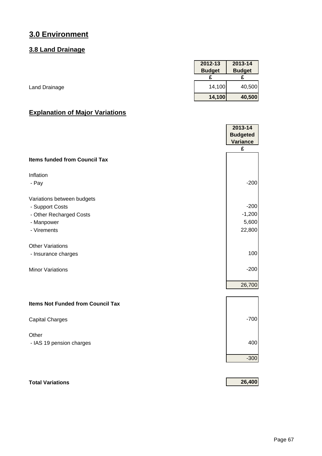## **3.8 Land Drainage**

|               | 2012-13       | 2013-14       |
|---------------|---------------|---------------|
|               | <b>Budget</b> | <b>Budget</b> |
|               |               |               |
| Land Drainage | 14,100        | 40,500        |
|               | 14,100        | 40,500        |

## **Explanation of Major Variations**

|                                          | 2013-14<br><b>Budgeted</b> |
|------------------------------------------|----------------------------|
|                                          | Variance                   |
|                                          | £                          |
| <b>Items funded from Council Tax</b>     |                            |
| Inflation                                |                            |
| - Pay                                    | $-200$                     |
| Variations between budgets               |                            |
| - Support Costs                          | $-200$                     |
| - Other Recharged Costs                  | $-1,200$                   |
| - Manpower                               | 5,600                      |
| - Virements                              | 22,800                     |
| <b>Other Variations</b>                  |                            |
| - Insurance charges                      | 100                        |
|                                          |                            |
| <b>Minor Variations</b>                  | $-200$                     |
|                                          |                            |
|                                          | 26,700                     |
| <b>Items Not Funded from Council Tax</b> |                            |
|                                          |                            |
| <b>Capital Charges</b>                   | $-700$                     |
| Other                                    |                            |
| - IAS 19 pension charges                 | 400                        |
|                                          |                            |
|                                          | $-300$                     |
|                                          |                            |

## **Total Variations 26,400**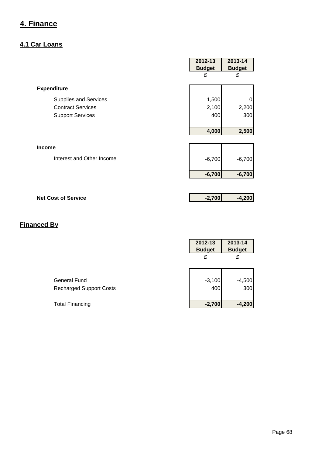## **4.1 Car Loans**

|                              | 2012-13<br><b>Budget</b> | 2013-14<br><b>Budget</b> |
|------------------------------|--------------------------|--------------------------|
|                              | £                        | £                        |
| <b>Expenditure</b>           |                          |                          |
| <b>Supplies and Services</b> | 1,500                    | 0                        |
| <b>Contract Services</b>     | 2,100                    | 2,200                    |
| <b>Support Services</b>      | 400                      | 300                      |
|                              |                          |                          |
|                              | 4,000                    | 2,500                    |
| <b>Income</b>                |                          |                          |
| Interest and Other Income    | $-6,700$                 | $-6,700$                 |
|                              | $-6,700$                 | $-6,700$                 |
|                              |                          |                          |
| <b>Net Cost of Service</b>   | $-2,700$                 | $-4,200$                 |

|                                | 2012-13<br><b>Budget</b> | 2013-14<br><b>Budget</b> |
|--------------------------------|--------------------------|--------------------------|
|                                | £                        | £                        |
|                                |                          |                          |
| <b>General Fund</b>            | $-3,100$                 | $-4,500$                 |
| <b>Recharged Support Costs</b> | 400                      | 300                      |
|                                |                          |                          |
| <b>Total Financing</b>         | $-2,700$                 | $-4,200$                 |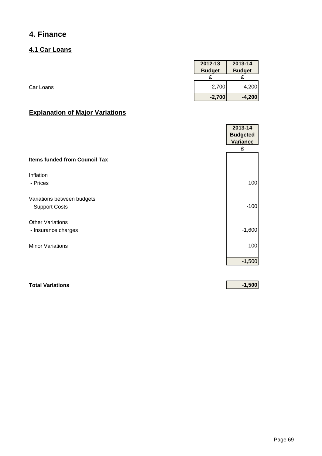#### **4.1 Car Loans**

|           | 2012-13       | 2013-14       |
|-----------|---------------|---------------|
|           | <b>Budget</b> | <b>Budget</b> |
|           |               |               |
| Car Loans | $-2,700$      | $-4,200$      |
|           | $-2,700$      | $-4,200$      |

## **Explanation of Major Variations**

|                                      | 2013-14         |
|--------------------------------------|-----------------|
|                                      | <b>Budgeted</b> |
|                                      | <b>Variance</b> |
|                                      | £               |
| <b>Items funded from Council Tax</b> |                 |
| Inflation                            |                 |
| - Prices                             | 100             |
| Variations between budgets           |                 |
| - Support Costs                      | $-100$          |
| <b>Other Variations</b>              |                 |
| - Insurance charges                  | $-1,600$        |
| <b>Minor Variations</b>              | 100             |
|                                      | $-1,500$        |

# **Total Variations -1,500**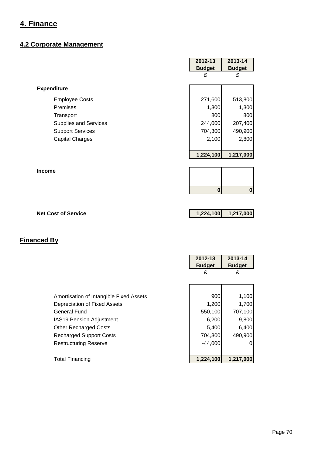## **4.2 Corporate Management**

|                            | 2012-13<br><b>Budget</b> | 2013-14<br><b>Budget</b> |
|----------------------------|--------------------------|--------------------------|
|                            | £                        | £                        |
| <b>Expenditure</b>         |                          |                          |
| <b>Employee Costs</b>      | 271,600                  | 513,800                  |
| Premises                   | 1,300                    | 1,300                    |
| Transport                  | 800                      | 800                      |
| Supplies and Services      | 244,000                  | 207,400                  |
| <b>Support Services</b>    | 704,300                  | 490,900                  |
| <b>Capital Charges</b>     | 2,100                    | 2,800                    |
|                            | 1,224,100                | 1,217,000                |
| <b>Income</b>              |                          |                          |
|                            | $\bf{0}$                 | $\boldsymbol{0}$         |
|                            |                          |                          |
| <b>Net Cost of Service</b> | 1,224,100                | 1,217,000                |

|                                         | 2012-13<br><b>Budget</b><br>£ | 2013-14<br><b>Budget</b><br>£ |
|-----------------------------------------|-------------------------------|-------------------------------|
| Amortisation of Intangible Fixed Assets | 900                           | 1,100                         |
| Depreciation of Fixed Assets            | 1,200                         | 1,700                         |
| <b>General Fund</b>                     | 550,100                       | 707,100                       |
| <b>IAS19 Pension Adjustment</b>         | 6,200                         | 9,800                         |
| <b>Other Recharged Costs</b>            | 5,400                         | 6,400                         |
| <b>Recharged Support Costs</b>          | 704,300                       | 490,900                       |
| <b>Restructuring Reserve</b>            | $-44,000$                     | 01                            |
| <b>Total Financing</b>                  | 1,224,100                     | 1,217,000                     |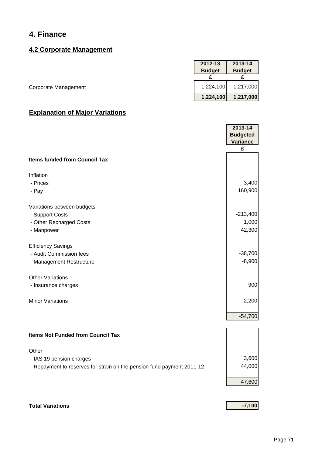#### **4.2 Corporate Management**

|                      | 2012-13       | 2013-14       |
|----------------------|---------------|---------------|
|                      | <b>Budget</b> | <b>Budget</b> |
|                      |               |               |
| Corporate Management | 1,224,100     | 1,217,000     |
|                      | 1,224,100     | 1,217,000     |

## **Explanation of Major Variations**

|                                                                        | 2013-14                     |
|------------------------------------------------------------------------|-----------------------------|
|                                                                        | <b>Budgeted</b><br>Variance |
|                                                                        | £                           |
| <b>Items funded from Council Tax</b>                                   |                             |
| Inflation                                                              |                             |
| - Prices                                                               | 3,400                       |
| - Pay                                                                  | 160,900                     |
| Variations between budgets                                             |                             |
| - Support Costs                                                        | $-213,400$                  |
| - Other Recharged Costs                                                | 1,000                       |
| - Manpower                                                             | 42,300                      |
| <b>Efficiency Savings</b>                                              |                             |
| - Audit Commission fees                                                | $-38,700$                   |
| - Management Restructure                                               | $-8,900$                    |
| <b>Other Variations</b>                                                |                             |
| - Insurance charges                                                    | 900                         |
| <b>Minor Variations</b>                                                | $-2,200$                    |
|                                                                        | $-54,700$                   |
|                                                                        |                             |
| <b>Items Not Funded from Council Tax</b>                               |                             |
| Other                                                                  |                             |
| - IAS 19 pension charges                                               | 3,600                       |
| - Repayment to reserves for strain on the pension fund payment 2011-12 | 44,000                      |
|                                                                        | 47,600                      |
|                                                                        |                             |

## **Total Variations -7,100**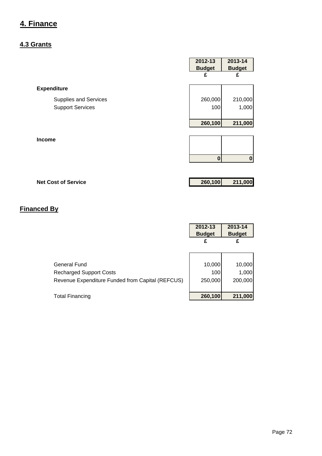#### **4.3 Grants**

|                                                         | 2012-13<br><b>Budget</b><br>£ | 2013-14<br><b>Budget</b><br>£ |
|---------------------------------------------------------|-------------------------------|-------------------------------|
| <b>Expenditure</b>                                      |                               |                               |
| <b>Supplies and Services</b><br><b>Support Services</b> | 260,000<br>100                | 210,000<br>1,000              |
|                                                         | 260,100                       | 211,000                       |
| Income                                                  |                               |                               |
|                                                         | $\bf{0}$                      | $\mathbf{0}$                  |
|                                                         |                               |                               |

# **Net Cost of Service 260,100 211,000**

|                                                  | 2012-13<br><b>Budget</b> | 2013-14<br><b>Budget</b> |
|--------------------------------------------------|--------------------------|--------------------------|
|                                                  | £                        | £                        |
|                                                  |                          |                          |
| General Fund                                     | 10,000                   | 10,000                   |
| <b>Recharged Support Costs</b>                   | 100                      | 1,000                    |
| Revenue Expenditure Funded from Capital (REFCUS) | 250,000                  | 200,000                  |
|                                                  |                          |                          |
| Total Financing                                  | 260,100                  | 211,000                  |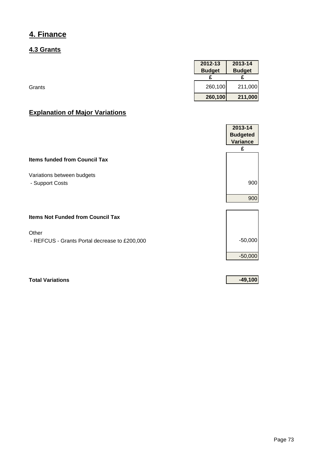### **4.3 Grants**

|        | 2012-13       | 2013-14       |
|--------|---------------|---------------|
|        | <b>Budget</b> | <b>Budget</b> |
|        |               |               |
| Grants | 260,100       | 211,000       |
|        | 260,100       | 211,000       |

### **Explanation of Major Variations**

|                                               | 2013-14         |
|-----------------------------------------------|-----------------|
|                                               | <b>Budgeted</b> |
|                                               | <b>Variance</b> |
|                                               | £               |
| <b>Items funded from Council Tax</b>          |                 |
| Variations between budgets                    |                 |
| - Support Costs                               | 900             |
|                                               | 900             |
|                                               |                 |
| <b>Items Not Funded from Council Tax</b>      |                 |
| Other                                         |                 |
| - REFCUS - Grants Portal decrease to £200,000 | $-50,000$       |
|                                               | $-50,000$       |
|                                               |                 |

**Total Variations -49,100**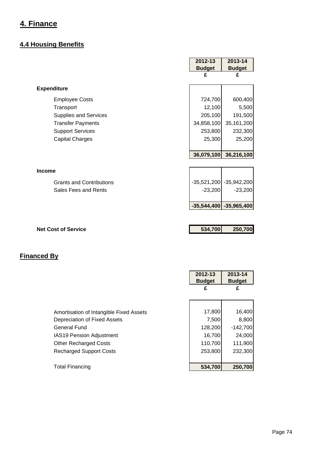#### **4.4 Housing Benefits**

|                                 | 2012-13       | 2013-14                     |
|---------------------------------|---------------|-----------------------------|
|                                 | <b>Budget</b> | <b>Budget</b>               |
|                                 | £             | £                           |
| <b>Expenditure</b>              |               |                             |
| <b>Employee Costs</b>           | 724,700       | 600,400                     |
| Transport                       | 12,100        | 5,500                       |
| <b>Supplies and Services</b>    | 205,100       | 191,500                     |
| <b>Transfer Payments</b>        | 34,858,100    | 35, 161, 200                |
| <b>Support Services</b>         | 253,800       | 232,300                     |
| <b>Capital Charges</b>          | 25,300        | 25,200                      |
|                                 |               |                             |
|                                 | 36,079,100    | 36,216,100                  |
|                                 |               |                             |
| <b>Income</b>                   |               |                             |
| <b>Grants and Contributions</b> |               | $-35,521,200$ $-35,942,200$ |
| Sales Fees and Rents            | $-23,200$     | $-23,200$                   |
|                                 |               |                             |
|                                 |               | $-35,544,400$ $-35,965,400$ |
|                                 |               |                             |
|                                 |               |                             |
| <b>Net Cost of Service</b>      | 534,700       | 250,700                     |

|                                         | 2012-13<br><b>Budget</b> | 2013-14<br><b>Budget</b> |
|-----------------------------------------|--------------------------|--------------------------|
|                                         | £                        | £                        |
|                                         |                          |                          |
| Amortisation of Intangible Fixed Assets |                          | 17,800<br>16,400         |
| Depreciation of Fixed Assets            |                          | 7,500<br>8,800           |
| <b>General Fund</b>                     |                          | 128,200<br>$-142,700$    |
| <b>IAS19 Pension Adjustment</b>         |                          | 16,700<br>24,000         |
| <b>Other Recharged Costs</b>            |                          | 110,700<br>111,900       |
| <b>Recharged Support Costs</b>          |                          | 232,300<br>253,800       |
|                                         |                          |                          |
| <b>Total Financing</b>                  |                          | 534,700<br>250,700       |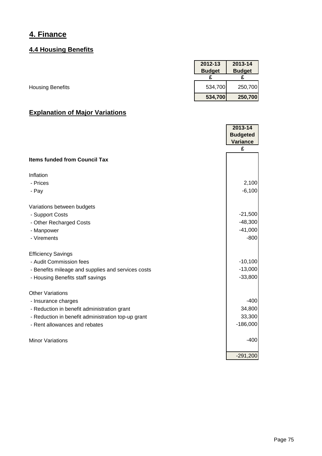### **4.4 Housing Benefits**

|                         | 2012-13       | 2013-14       |
|-------------------------|---------------|---------------|
|                         | <b>Budget</b> | <b>Budget</b> |
|                         |               |               |
| <b>Housing Benefits</b> | 534,700       | 250,700       |
|                         | 534,700       | 250,700       |

|                                                    | 2013-14<br><b>Budgeted</b><br><b>Variance</b> |
|----------------------------------------------------|-----------------------------------------------|
|                                                    | £                                             |
| <b>Items funded from Council Tax</b>               |                                               |
| Inflation                                          |                                               |
| - Prices                                           | 2,100                                         |
| - Pay                                              | $-6,100$                                      |
| Variations between budgets                         |                                               |
| - Support Costs                                    | $-21,500$                                     |
| - Other Recharged Costs                            | $-48,300$                                     |
| - Manpower                                         | $-41,000$                                     |
| - Virements                                        | $-800$                                        |
| <b>Efficiency Savings</b>                          |                                               |
| - Audit Commission fees                            | $-10,100$                                     |
| - Benefits mileage and supplies and services costs | $-13,000$                                     |
| - Housing Benefits staff savings                   | $-33,800$                                     |
| <b>Other Variations</b>                            |                                               |
| - Insurance charges                                | $-400$                                        |
| - Reduction in benefit administration grant        | 34,800                                        |
| - Reduction in benefit administration top-up grant | 33,300                                        |
| - Rent allowances and rebates                      | $-186,000$                                    |
| <b>Minor Variations</b>                            | $-400$                                        |
|                                                    |                                               |
|                                                    | $-291,200$                                    |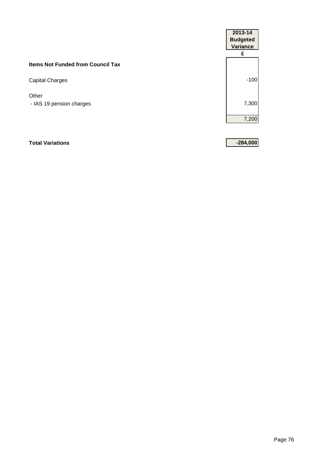|                                          | 2013-14<br><b>Budgeted</b><br><b>Variance</b> |
|------------------------------------------|-----------------------------------------------|
| <b>Items Not Funded from Council Tax</b> | £                                             |
| Capital Charges                          | $-100$                                        |
| Other<br>- IAS 19 pension charges        | 7,300                                         |
|                                          | 7,200                                         |

#### **Total Variations -284,000**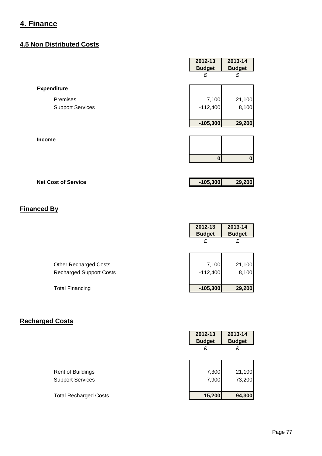#### **4.5 Non Distributed Costs**

|                         | 2012-13       | 2013-14       |
|-------------------------|---------------|---------------|
|                         | <b>Budget</b> | <b>Budget</b> |
|                         | £             | £             |
| <b>Expenditure</b>      |               |               |
| Premises                | 7,100         | 21,100        |
| <b>Support Services</b> | $-112,400$    | 8,100         |
|                         | $-105,300$    | 29,200        |
| Income                  |               |               |
|                         | $\bf{0}$      | $\mathbf 0$   |

### **Net Cost of Service -105,300 29,200**

### **Financed By**

|                                | 2012-13<br><b>Budget</b> | 2013-14<br><b>Budget</b> |
|--------------------------------|--------------------------|--------------------------|
|                                | £                        | £                        |
|                                |                          |                          |
| <b>Other Recharged Costs</b>   | 7,100                    | 21,100                   |
| <b>Recharged Support Costs</b> | $-112,400$               | 8,100                    |
|                                |                          |                          |
| <b>Total Financing</b>         | $-105,300$               | 29,200                   |

### **Recharged Costs**

|                              | 2012-13<br><b>Budget</b> | 2013-14<br><b>Budget</b> |
|------------------------------|--------------------------|--------------------------|
|                              | £                        | £                        |
|                              |                          |                          |
| <b>Rent of Buildings</b>     | 7,300                    | 21,100                   |
| <b>Support Services</b>      | 7,900                    | 73,200                   |
| <b>Total Recharged Costs</b> | 15,200                   | 94,300                   |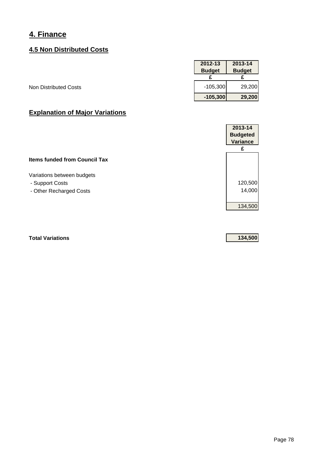#### **4.5 Non Distributed Costs**

|                              | 2012-13       | 2013-14       |
|------------------------------|---------------|---------------|
|                              | <b>Budget</b> | <b>Budget</b> |
|                              |               |               |
| <b>Non Distributed Costs</b> | $-105,300$    | 29,200        |
|                              | $-105,300$    | 29,200        |

### **Explanation of Major Variations**

|                                      | 2013-14         |
|--------------------------------------|-----------------|
|                                      | <b>Budgeted</b> |
|                                      | Variance        |
|                                      | £               |
| <b>Items funded from Council Tax</b> |                 |
| Variations between budgets           |                 |
| - Support Costs                      | 120,500         |
| - Other Recharged Costs              | 14,000          |
|                                      | 134,500         |
|                                      |                 |

**Total Variations 134,500**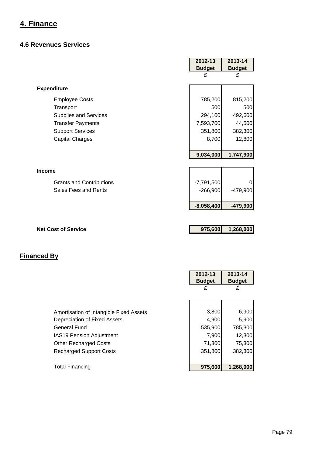#### **4.6 Revenues Services**

|                                 | 2012-13       | 2013-14       |
|---------------------------------|---------------|---------------|
|                                 | <b>Budget</b> | <b>Budget</b> |
|                                 | £             | £             |
| <b>Expenditure</b>              |               |               |
| <b>Employee Costs</b>           | 785,200       | 815,200       |
| Transport                       | 500           | 500           |
| <b>Supplies and Services</b>    | 294,100       | 492,600       |
| <b>Transfer Payments</b>        | 7,593,700     | 44,500        |
| <b>Support Services</b>         | 351,800       | 382,300       |
| <b>Capital Charges</b>          | 8,700         | 12,800        |
|                                 |               |               |
|                                 | 9,034,000     | 1,747,900     |
|                                 |               |               |
| <b>Income</b>                   |               |               |
| <b>Grants and Contributions</b> | $-7,791,500$  |               |
| Sales Fees and Rents            | $-266,900$    | -479,900      |
|                                 | $-8,058,400$  | $-479,900$    |
|                                 |               |               |
|                                 | 975,600       | 1,268,000     |

|                                         | 2012-13<br><b>Budget</b> | 2013-14<br><b>Budget</b> |
|-----------------------------------------|--------------------------|--------------------------|
|                                         | £                        | £                        |
|                                         |                          |                          |
| Amortisation of Intangible Fixed Assets | 3,800                    | 6,900                    |
| Depreciation of Fixed Assets            | 4,900                    | 5,900                    |
| General Fund                            | 535,900                  | 785,300                  |
| <b>IAS19 Pension Adjustment</b>         | 7,900                    | 12,300                   |
| <b>Other Recharged Costs</b>            | 71,300                   | 75,300                   |
| <b>Recharged Support Costs</b>          | 351,800                  | 382,300                  |
|                                         |                          |                          |
| <b>Total Financing</b>                  | 975,600                  | 1.268.000                |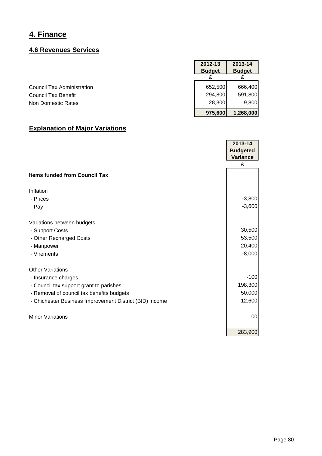### **4.6 Revenues Services**

|                                   | 2012-13<br><b>Budget</b> | 2013-14<br><b>Budget</b> |
|-----------------------------------|--------------------------|--------------------------|
|                                   |                          |                          |
| <b>Council Tax Administration</b> | 652,500                  | 666,400                  |
| <b>Council Tax Benefit</b>        | 294,800                  | 591,800                  |
| Non Domestic Rates                | 28,300                   | 9,800                    |
|                                   | 975,600                  | 1,268,000                |

|                                                         | 2013-14         |
|---------------------------------------------------------|-----------------|
|                                                         | <b>Budgeted</b> |
|                                                         | <b>Variance</b> |
|                                                         | £               |
| <b>Items funded from Council Tax</b>                    |                 |
| Inflation                                               |                 |
| - Prices                                                | $-3,800$        |
| - Pay                                                   | $-3,600$        |
| Variations between budgets                              |                 |
| - Support Costs                                         | 30,500          |
| - Other Recharged Costs                                 | 53,500          |
| - Manpower                                              | $-20,400$       |
| - Virements                                             | $-8,000$        |
| <b>Other Variations</b>                                 |                 |
| - Insurance charges                                     | $-100$          |
| - Council tax support grant to parishes                 | 198,300         |
| - Removal of council tax benefits budgets               | 50,000          |
| - Chichester Business Improvement District (BID) income | $-12,600$       |
| <b>Minor Variations</b>                                 | 100             |
|                                                         | 283,900         |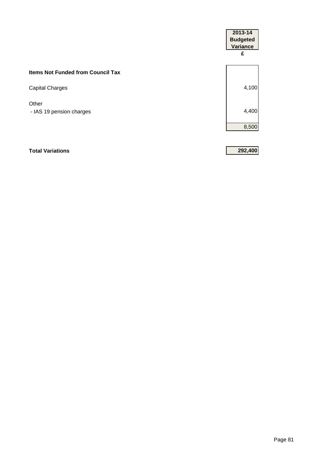|                                          | 2013-14<br><b>Budgeted</b><br><b>Variance</b><br>£ |
|------------------------------------------|----------------------------------------------------|
| <b>Items Not Funded from Council Tax</b> |                                                    |
| Capital Charges                          | 4,100                                              |
| Other<br>- IAS 19 pension charges        | 4,400                                              |
|                                          | 8,500                                              |
|                                          |                                                    |

#### **Total Variations 292,400**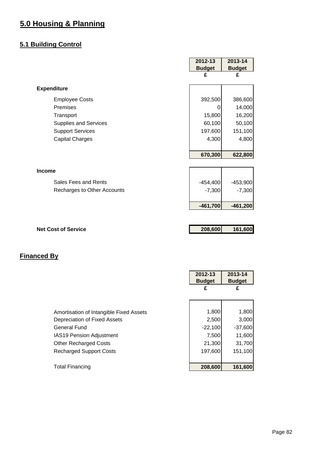### **5.1 Building Control**

|                             | <b>Budget</b> | <b>Budget</b> |
|-----------------------------|---------------|---------------|
|                             |               |               |
|                             | £             | £             |
| <b>Expenditure</b>          |               |               |
| <b>Employee Costs</b>       | 392,500       | 386,600       |
| Premises                    | 0             | 14,000        |
| Transport                   | 15,800        | 16,200        |
| Supplies and Services       | 60,100        | 50,100        |
| <b>Support Services</b>     | 197,600       | 151,100       |
| <b>Capital Charges</b>      | 4,300         | 4,800         |
|                             |               |               |
|                             | 670,300       | 622,800       |
|                             |               |               |
| <b>Income</b>               |               |               |
| Sales Fees and Rents        | $-454,400$    | $-453,900$    |
| Recharges to Other Accounts | $-7,300$      | $-7,300$      |
|                             |               |               |
|                             | $-461,700$    | $-461,200$    |
|                             |               |               |
| <b>Net Cost of Service</b>  |               |               |
|                             | 208,600       | 161,600       |

|                                         | 2012-13<br><b>Budget</b> | 2013-14<br><b>Budget</b> |
|-----------------------------------------|--------------------------|--------------------------|
|                                         | £                        | £                        |
|                                         |                          |                          |
| Amortisation of Intangible Fixed Assets | 1,800                    | 1,800                    |
| Depreciation of Fixed Assets            | 2,500                    | 3,000                    |
| <b>General Fund</b>                     | $-22,100$                | $-37,600$                |
| <b>IAS19 Pension Adjustment</b>         | 7,500                    | 11,600                   |
| <b>Other Recharged Costs</b>            | 21,300                   | 31,700                   |
| <b>Recharged Support Costs</b>          | 197,600                  | 151,100                  |
|                                         |                          |                          |
| <b>Total Financing</b>                  | 208,600                  | 161,600                  |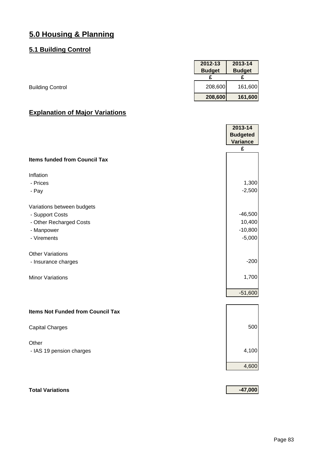#### **5.1 Building Control**

|                         | 2012-13       | 2013-14       |
|-------------------------|---------------|---------------|
|                         | <b>Budget</b> | <b>Budget</b> |
|                         |               |               |
| <b>Building Control</b> | 208,600       | 161,600       |
|                         | 208,600       | 161,600       |

### **Explanation of Major Variations**

|                                          | 2013-14         |
|------------------------------------------|-----------------|
|                                          | <b>Budgeted</b> |
|                                          | <b>Variance</b> |
|                                          | £               |
| <b>Items funded from Council Tax</b>     |                 |
| Inflation                                |                 |
| - Prices                                 | 1,300           |
| - Pay                                    | $-2,500$        |
| Variations between budgets               |                 |
| - Support Costs                          | $-46,500$       |
| - Other Recharged Costs                  | 10,400          |
| - Manpower                               | $-10,800$       |
| - Virements                              | $-5,000$        |
| <b>Other Variations</b>                  |                 |
| - Insurance charges                      | $-200$          |
| <b>Minor Variations</b>                  | 1,700           |
|                                          | $-51,600$       |
| <b>Items Not Funded from Council Tax</b> |                 |
| <b>Capital Charges</b>                   | 500             |
| Other                                    |                 |
| - IAS 19 pension charges                 | 4,100           |
|                                          | 4,600           |
|                                          |                 |

### **Total Variations -47,000**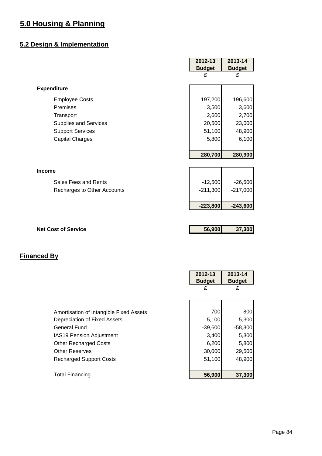## **5.2 Design & Implementation**

|                              | 2012-13       | 2013-14       |
|------------------------------|---------------|---------------|
|                              | <b>Budget</b> | <b>Budget</b> |
|                              | £             | £             |
| <b>Expenditure</b>           |               |               |
| <b>Employee Costs</b>        | 197,200       | 196,600       |
| Premises                     | 3,500         | 3,600         |
| Transport                    | 2,600         | 2,700         |
| <b>Supplies and Services</b> | 20,500        | 23,000        |
| <b>Support Services</b>      | 51,100        | 48,900        |
| <b>Capital Charges</b>       | 5,800         | 6,100         |
|                              |               |               |
|                              | 280,700       | 280,900       |
|                              |               |               |
| <b>Income</b>                |               |               |
| Sales Fees and Rents         | $-12,500$     | $-26,600$     |
| Recharges to Other Accounts  | $-211,300$    | $-217,000$    |
|                              |               |               |
|                              | $-223,800$    | $-243,600$    |
|                              |               |               |
|                              |               |               |
| <b>Net Cost of Service</b>   | 56,900        | 37,300        |
|                              |               |               |

|                                         | 2012-13<br><b>Budget</b> | 2013-14<br><b>Budget</b> |
|-----------------------------------------|--------------------------|--------------------------|
|                                         | £                        | £                        |
|                                         |                          |                          |
| Amortisation of Intangible Fixed Assets | 700                      | 800                      |
| Depreciation of Fixed Assets            | 5,100                    | 5,300                    |
| General Fund                            | $-39,600$                | $-58,300$                |
| <b>IAS19 Pension Adjustment</b>         | 3,400                    | 5,300                    |
| <b>Other Recharged Costs</b>            | 6,200                    | 5,800                    |
| <b>Other Reserves</b>                   | 30,000                   | 29,500                   |
| <b>Recharged Support Costs</b>          | 51,100                   | 48,900                   |
|                                         |                          |                          |
| <b>Total Financing</b>                  | 56,900                   | 37,300                   |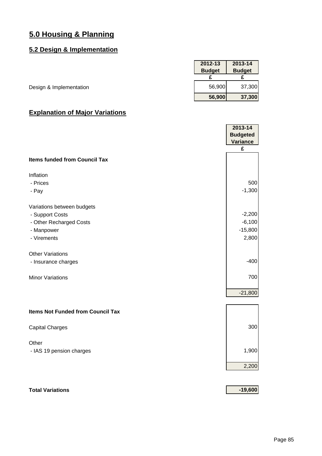#### **5.2 Design & Implementation**

|                         | 2012-13       | 2013-14       |
|-------------------------|---------------|---------------|
|                         | <b>Budget</b> | <b>Budget</b> |
|                         |               |               |
| Design & Implementation | 56,900        | 37,300        |
|                         | 56,900        | 37,300        |

### **Explanation of Major Variations**

|                                          | 2013-14<br><b>Budgeted</b><br><b>Variance</b> |
|------------------------------------------|-----------------------------------------------|
|                                          | £                                             |
| <b>Items funded from Council Tax</b>     |                                               |
| Inflation                                |                                               |
| - Prices                                 | 500                                           |
| - Pay                                    | $-1,300$                                      |
| Variations between budgets               |                                               |
| - Support Costs                          | $-2,200$                                      |
| - Other Recharged Costs                  | $-6,100$                                      |
| - Manpower                               | $-15,800$                                     |
| - Virements                              | 2,800                                         |
| <b>Other Variations</b>                  |                                               |
| - Insurance charges                      | $-400$                                        |
| <b>Minor Variations</b>                  | 700                                           |
|                                          | $-21,800$                                     |
| <b>Items Not Funded from Council Tax</b> |                                               |
|                                          |                                               |
| <b>Capital Charges</b>                   | 300                                           |
| Other                                    |                                               |
| - IAS 19 pension charges                 | 1,900                                         |
|                                          | 2,200                                         |
|                                          |                                               |

### **Total Variations -19,600**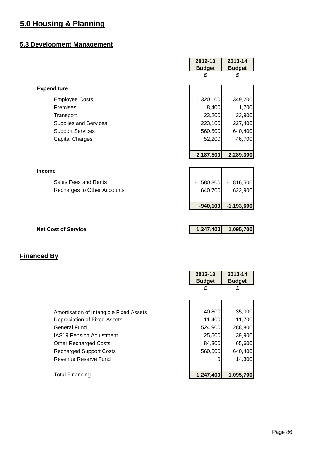#### **5.3 Development Management**

|                             | 2012-13       | 2013-14       |
|-----------------------------|---------------|---------------|
|                             | <b>Budget</b> | <b>Budget</b> |
|                             | £             | £             |
| <b>Expenditure</b>          |               |               |
| <b>Employee Costs</b>       | 1,320,100     | 1,349,200     |
| Premises                    | 8,400         | 1,700         |
| Transport                   | 23,200        | 23,900        |
| Supplies and Services       | 223,100       | 227,400       |
| <b>Support Services</b>     | 560,500       | 640,400       |
| <b>Capital Charges</b>      | 52,200        | 46,700        |
|                             |               |               |
|                             | 2,187,500     | 2,289,300     |
|                             |               |               |
| <b>Income</b>               |               |               |
| Sales Fees and Rents        | $-1,580,800$  | $-1,816,500$  |
| Recharges to Other Accounts | 640,700       | 622,900       |
|                             |               |               |
|                             | $-940,100$    | $-1,193,600$  |
|                             |               |               |
|                             |               |               |
| <b>Net Cost of Service</b>  | 1,247,400     | 1,095,700     |
|                             |               |               |

ř.

|                                         | 2012-13<br><b>Budget</b> | 2013-14<br><b>Budget</b> |
|-----------------------------------------|--------------------------|--------------------------|
|                                         | £                        | £                        |
|                                         |                          |                          |
| Amortisation of Intangible Fixed Assets | 40,800                   | 35,000                   |
| Depreciation of Fixed Assets            | 11,400                   | 11,700                   |
| <b>General Fund</b>                     | 524,900                  | 288,800                  |
| <b>IAS19 Pension Adjustment</b>         | 25,500                   | 39,900                   |
| <b>Other Recharged Costs</b>            | 84,300                   | 65,600                   |
| <b>Recharged Support Costs</b>          | 560,500                  | 640,400                  |
| Revenue Reserve Fund                    | 0                        | 14,300                   |
|                                         |                          |                          |
| <b>Total Financing</b>                  | 1,247,400                | 1,095,700                |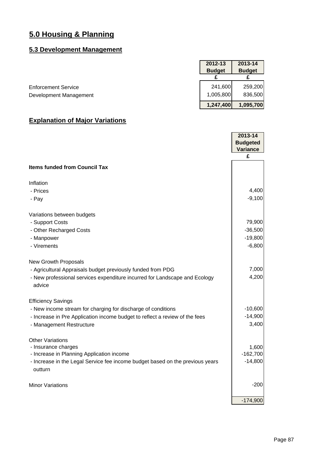### **5.3 Development Management**

|                            | 2012-13       | 2013-14       |
|----------------------------|---------------|---------------|
|                            | <b>Budget</b> | <b>Budget</b> |
|                            |               |               |
| <b>Enforcement Service</b> | 241,600       | 259,200       |
| Development Management     | 1,005,800     | 836,500       |
|                            | 1,247,400     | 1,095,700     |

|                                                                                          | $2013 - 14$     |
|------------------------------------------------------------------------------------------|-----------------|
|                                                                                          | <b>Budgeted</b> |
|                                                                                          | <b>Variance</b> |
|                                                                                          | £               |
| <b>Items funded from Council Tax</b>                                                     |                 |
| Inflation                                                                                |                 |
| - Prices                                                                                 | 4,400           |
| - Pay                                                                                    | $-9,100$        |
|                                                                                          |                 |
| Variations between budgets                                                               |                 |
| - Support Costs                                                                          | 79,900          |
| - Other Recharged Costs                                                                  | $-36,500$       |
| - Manpower                                                                               | $-19,800$       |
| - Virements                                                                              | $-6,800$        |
| <b>New Growth Proposals</b>                                                              |                 |
| - Agricultural Appraisals budget previously funded from PDG                              | 7,000           |
| - New professional services expenditure incurred for Landscape and Ecology<br>advice     | 4,200           |
| <b>Efficiency Savings</b>                                                                |                 |
| - New income stream for charging for discharge of conditions                             | $-10,600$       |
| - Increase in Pre Application income budget to reflect a review of the fees              | $-14,900$       |
| - Management Restructure                                                                 | 3,400           |
|                                                                                          |                 |
| <b>Other Variations</b>                                                                  |                 |
| - Insurance charges                                                                      | 1,600           |
| - Increase in Planning Application income                                                | $-162,700$      |
| - Increase in the Legal Service fee income budget based on the previous years<br>outturn | $-14,800$       |
| <b>Minor Variations</b>                                                                  | $-200$          |
|                                                                                          | $-174,900$      |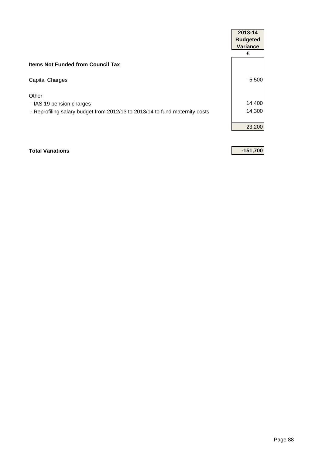|                                                                             | 2013-14<br><b>Budgeted</b><br><b>Variance</b> |
|-----------------------------------------------------------------------------|-----------------------------------------------|
|                                                                             | £                                             |
| <b>Items Not Funded from Council Tax</b>                                    |                                               |
| <b>Capital Charges</b>                                                      | $-5,500$                                      |
| Other<br>- IAS 19 pension charges                                           | 14,400                                        |
| - Reprofiling salary budget from 2012/13 to 2013/14 to fund maternity costs | 14,300                                        |
|                                                                             |                                               |
|                                                                             | 23,200                                        |

#### **Total Variations -151,700**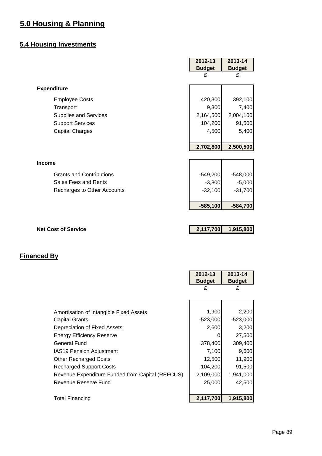### **5.4 Housing Investments**

|                                 | 2012-13       | 2013-14       |
|---------------------------------|---------------|---------------|
|                                 | <b>Budget</b> | <b>Budget</b> |
|                                 | £             | £             |
| <b>Expenditure</b>              |               |               |
| <b>Employee Costs</b>           | 420,300       | 392,100       |
| Transport                       | 9,300         | 7,400         |
| <b>Supplies and Services</b>    | 2,164,500     | 2,004,100     |
| <b>Support Services</b>         | 104,200       | 91,500        |
| <b>Capital Charges</b>          | 4,500         | 5,400         |
|                                 |               |               |
|                                 | 2,702,800     | 2,500,500     |
|                                 |               |               |
| <b>Income</b>                   |               |               |
| <b>Grants and Contributions</b> | $-549,200$    | $-548,000$    |
| Sales Fees and Rents            | $-3,800$      | $-5,000$      |
| Recharges to Other Accounts     | $-32,100$     | $-31,700$     |
|                                 |               |               |
|                                 | $-585,100$    | $-584,700$    |
|                                 |               |               |
|                                 |               |               |
| <b>Net Cost of Service</b>      | 2,117,700     | 1,915,800     |
|                                 |               |               |

r

|                                                  | 2012-13<br><b>Budget</b> | 2013-14<br><b>Budget</b> |
|--------------------------------------------------|--------------------------|--------------------------|
|                                                  | £                        | £                        |
|                                                  |                          |                          |
| Amortisation of Intangible Fixed Assets          | 1,900                    | 2,200                    |
| <b>Capital Grants</b>                            | $-523,000$               | $-523,000$               |
| Depreciation of Fixed Assets                     | 2,600                    | 3,200                    |
| Energy Efficiency Reserve                        |                          | 27,500                   |
| <b>General Fund</b>                              | 378,400                  | 309,400                  |
| <b>IAS19 Pension Adjustment</b>                  | 7,100                    | 9,600                    |
| <b>Other Recharged Costs</b>                     | 12,500                   | 11,900                   |
| <b>Recharged Support Costs</b>                   | 104,200                  | 91,500                   |
| Revenue Expenditure Funded from Capital (REFCUS) | 2,109,000                | 1,941,000                |
| Revenue Reserve Fund                             | 25,000                   | 42,500                   |
|                                                  |                          |                          |
| <b>Total Financing</b>                           | 2,117,700                | 1,915,800                |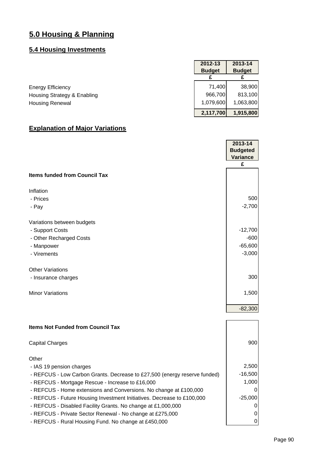## **5.4 Housing Investments**

|                             | 2012-13       | 2013-14       |
|-----------------------------|---------------|---------------|
|                             | <b>Budget</b> | <b>Budget</b> |
|                             |               |               |
| <b>Energy Efficiency</b>    | 71.400        | 38,900        |
| Housing Strategy & Enabling | 966,700       | 813,100       |
| <b>Housing Renewal</b>      | 1,079,600     | 1,063,800     |
|                             | 2,117,700     | 1,915,800     |

|                                          | 2013-14<br><b>Budgeted</b><br>Variance |
|------------------------------------------|----------------------------------------|
|                                          | £                                      |
| <b>Items funded from Council Tax</b>     |                                        |
| Inflation                                |                                        |
| - Prices                                 | 500                                    |
| - Pay                                    | $-2,700$                               |
| Variations between budgets               |                                        |
| - Support Costs                          | $-12,700$                              |
| - Other Recharged Costs                  | $-600$                                 |
| - Manpower                               | $-65,600$                              |
| - Virements                              | $-3,000$                               |
| <b>Other Variations</b>                  |                                        |
| - Insurance charges                      | 300                                    |
| <b>Minor Variations</b>                  | 1,500                                  |
|                                          | $-82,300$                              |
|                                          |                                        |
| <b>Itama Not Eunded from Council Toy</b> |                                        |

| <b>Items Not Funded from Council Tax</b>                                  |           |
|---------------------------------------------------------------------------|-----------|
| <b>Capital Charges</b>                                                    | 900       |
| Other                                                                     |           |
| - IAS 19 pension charges                                                  | 2,500     |
| - REFCUS - Low Carbon Grants. Decrease to £27,500 (energy reserve funded) | $-16,500$ |
| - REFCUS - Mortgage Rescue - Increase to £16,000                          | 1,000     |
| - REFCUS - Home extensions and Conversions. No change at £100,000         | 0         |
| - REFCUS - Future Housing Investment Initiatives. Decrease to £100,000    | $-25,000$ |
| - REFCUS - Disabled Facility Grants. No change at £1,000,000              | 0         |
| - REFCUS - Private Sector Renewal - No change at £275,000                 | 0         |
| - REFCUS - Rural Housing Fund. No change at £450,000                      | 0         |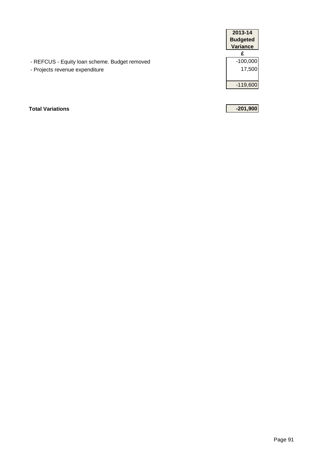|                                               | 2013-14         |
|-----------------------------------------------|-----------------|
|                                               | <b>Budgeted</b> |
|                                               | <b>Variance</b> |
|                                               |                 |
| - REFCUS - Equity loan scheme. Budget removed | $-100,000$      |
| - Projects revenue expenditure                | 17,500          |
|                                               |                 |
|                                               | $-119,600$      |
|                                               |                 |
|                                               |                 |

**Total Variations -201,900**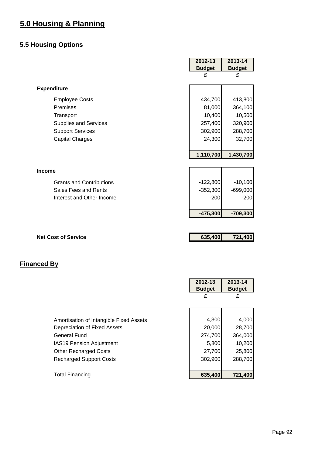### **5.5 Housing Options**

|                                 | 2012-13       | 2013-14       |
|---------------------------------|---------------|---------------|
|                                 | <b>Budget</b> | <b>Budget</b> |
|                                 | £             | £             |
| <b>Expenditure</b>              |               |               |
| <b>Employee Costs</b>           | 434,700       | 413,800       |
| Premises                        | 81,000        | 364,100       |
| Transport                       | 10,400        | 10,500        |
| Supplies and Services           | 257,400       | 320,900       |
| <b>Support Services</b>         | 302,900       | 288,700       |
| <b>Capital Charges</b>          | 24,300        | 32,700        |
|                                 |               |               |
|                                 | 1,110,700     | 1,430,700     |
|                                 |               |               |
| <b>Income</b>                   |               |               |
| <b>Grants and Contributions</b> | $-122,800$    | $-10,100$     |
| Sales Fees and Rents            | $-352,300$    | $-699,000$    |
| Interest and Other Income       | $-200$        | $-200$        |
|                                 |               |               |
|                                 | $-475,300$    | $-709,300$    |
|                                 |               |               |
| <b>Net Cost of Service</b>      | 635,400       | 721,400       |

|                                         | 2012-13<br><b>Budget</b> | 2013-14<br><b>Budget</b> |
|-----------------------------------------|--------------------------|--------------------------|
|                                         | £                        | £                        |
|                                         |                          |                          |
| Amortisation of Intangible Fixed Assets | 4,300                    | 4,000                    |
| Depreciation of Fixed Assets            | 20,000                   | 28,700                   |
| General Fund                            | 274,700                  | 364,000                  |
| <b>IAS19 Pension Adjustment</b>         | 5,800                    | 10,200                   |
| <b>Other Recharged Costs</b>            | 27,700                   | 25,800                   |
| <b>Recharged Support Costs</b>          | 302,900                  | 288,700                  |
|                                         |                          |                          |
| <b>Total Financing</b>                  | 635,400                  | 721,400                  |
|                                         |                          |                          |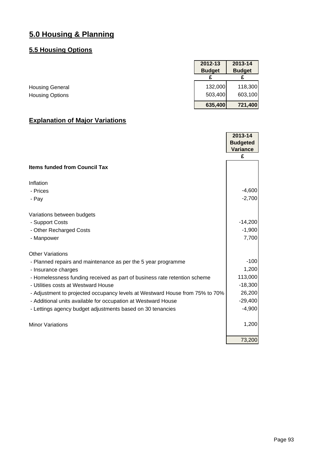### **5.5 Housing Options**

|                        | 2012-13       | 2013-14       |
|------------------------|---------------|---------------|
|                        | <b>Budget</b> | <b>Budget</b> |
|                        |               |               |
| <b>Housing General</b> | 132,000       | 118,300       |
| <b>Housing Options</b> | 503,400       | 603,100       |
|                        | 635,400       | 721,400       |

|                                                                              | 2013-14         |
|------------------------------------------------------------------------------|-----------------|
|                                                                              | <b>Budgeted</b> |
|                                                                              | <b>Variance</b> |
|                                                                              | £               |
| <b>Items funded from Council Tax</b>                                         |                 |
| Inflation                                                                    |                 |
| - Prices                                                                     | $-4,600$        |
| - Pay                                                                        | $-2,700$        |
| Variations between budgets                                                   |                 |
| - Support Costs                                                              | $-14,200$       |
| - Other Recharged Costs                                                      | $-1,900$        |
| - Manpower                                                                   | 7,700           |
| <b>Other Variations</b>                                                      |                 |
| - Planned repairs and maintenance as per the 5 year programme                | $-100$          |
| - Insurance charges                                                          | 1,200           |
| - Homelessness funding received as part of business rate retention scheme    | 113,000         |
| - Utilities costs at Westward House                                          | $-18,300$       |
| - Adjustment to projected occupancy levels at Westward House from 75% to 70% | 26,200          |
| - Additional units available for occupation at Westward House                | $-29,400$       |
| - Lettings agency budget adjustments based on 30 tenancies                   | $-4,900$        |
| <b>Minor Variations</b>                                                      | 1,200           |
|                                                                              | 73,200          |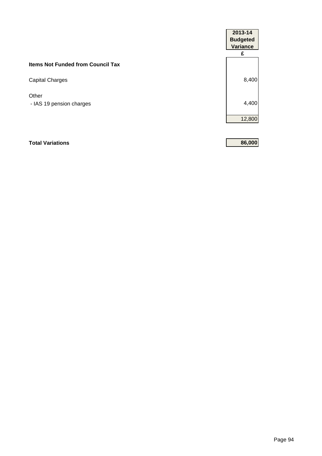|                                          | 2013-14<br><b>Budgeted</b><br><b>Variance</b> |
|------------------------------------------|-----------------------------------------------|
|                                          | £                                             |
| <b>Items Not Funded from Council Tax</b> |                                               |
| Capital Charges                          | 8,400                                         |
| Other                                    |                                               |
| - IAS 19 pension charges                 | 4,400                                         |
|                                          | 12,800                                        |

### **Total Variations 86,000**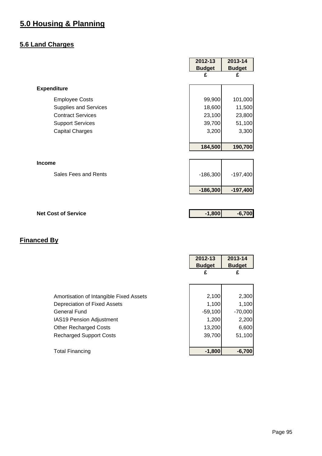### **5.6 Land Charges**

|                              | 2012-13       | 2013-14       |
|------------------------------|---------------|---------------|
|                              | <b>Budget</b> | <b>Budget</b> |
|                              | £             | £             |
| <b>Expenditure</b>           |               |               |
| <b>Employee Costs</b>        | 99,900        | 101,000       |
| <b>Supplies and Services</b> | 18,600        | 11,500        |
| <b>Contract Services</b>     | 23,100        | 23,800        |
| <b>Support Services</b>      | 39,700        | 51,100        |
| <b>Capital Charges</b>       | 3,200         | 3,300         |
|                              |               |               |
|                              | 184,500       | 190,700       |
|                              |               |               |
| <b>Income</b>                |               |               |
| Sales Fees and Rents         | $-186,300$    | $-197,400$    |
|                              | $-186,300$    | $-197,400$    |
|                              |               |               |
| <b>Net Cost of Service</b>   | $-1,800$      | $-6,700$      |

|                                         | 2012-13<br><b>Budget</b><br>£ | 2013-14<br><b>Budget</b><br>£ |
|-----------------------------------------|-------------------------------|-------------------------------|
|                                         |                               |                               |
| Amortisation of Intangible Fixed Assets | 2,100                         | 2,300                         |
| Depreciation of Fixed Assets            | 1,100                         | 1,100                         |
| <b>General Fund</b>                     | $-59,100$                     | $-70,000$                     |
| <b>IAS19 Pension Adjustment</b>         | 1,200                         | 2,200                         |
| <b>Other Recharged Costs</b>            | 13,200                        | 6,600                         |
| <b>Recharged Support Costs</b>          | 39,700                        | 51,100                        |
|                                         |                               |                               |
| <b>Total Financing</b>                  | $-1,800$                      | $-6,700$                      |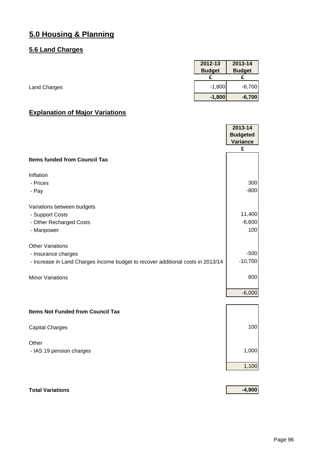#### **5.6 Land Charges**

|                     | 2012-13       | 2013-14       |
|---------------------|---------------|---------------|
|                     | <b>Budget</b> | <b>Budget</b> |
|                     |               |               |
| <b>Land Charges</b> | $-1,800$      | $-6,700$      |
|                     | $-1,800$      | $-6,700$      |

### **Explanation of Major Variations**

|                                                                                 | 2013-14<br><b>Budgeted</b> |
|---------------------------------------------------------------------------------|----------------------------|
|                                                                                 | <b>Variance</b><br>£       |
|                                                                                 |                            |
| <b>Items funded from Council Tax</b>                                            |                            |
| Inflation                                                                       |                            |
| - Prices                                                                        | 300                        |
| - Pay                                                                           | $-800$                     |
| Variations between budgets                                                      |                            |
| - Support Costs                                                                 | 11,400                     |
| - Other Recharged Costs                                                         | $-6,600$                   |
| - Manpower                                                                      | 100                        |
| <b>Other Variations</b>                                                         |                            |
| - Insurance charges                                                             | $-500$                     |
| - Increase in Land Charges income budget to recover additional costs in 2013/14 | $-10,700$                  |
| <b>Minor Variations</b>                                                         | 800                        |
|                                                                                 |                            |
|                                                                                 | $-6,000$                   |
| <b>Items Not Funded from Council Tax</b>                                        |                            |
| <b>Capital Charges</b>                                                          | 100                        |
|                                                                                 |                            |
| Other                                                                           | 1,000                      |
| - IAS 19 pension charges                                                        |                            |
|                                                                                 | 1,100                      |
|                                                                                 |                            |

### **Total Variations -4,900**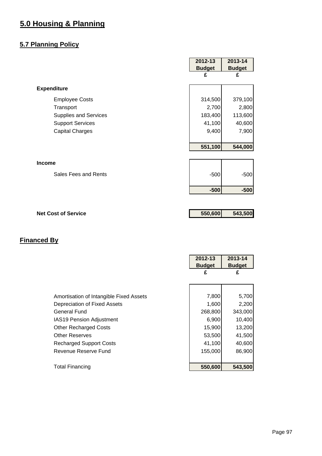### **5.7 Planning Policy**

|                            | 2012-13       | 2013-14       |
|----------------------------|---------------|---------------|
|                            | <b>Budget</b> | <b>Budget</b> |
|                            | £             | £             |
| <b>Expenditure</b>         |               |               |
| <b>Employee Costs</b>      | 314,500       | 379,100       |
| Transport                  | 2,700         | 2,800         |
| Supplies and Services      | 183,400       | 113,600       |
| <b>Support Services</b>    | 41,100        | 40,600        |
| <b>Capital Charges</b>     | 9,400         | 7,900         |
|                            |               |               |
|                            | 551,100       | 544,000       |
|                            |               |               |
| <b>Income</b>              |               |               |
| Sales Fees and Rents       | $-500$        | $-500$        |
|                            | $-500$        | $-500$        |
|                            |               |               |
| <b>Net Cost of Service</b> | 550,600       | 543,500       |
|                            |               |               |
|                            |               |               |

|                                         | 2012-13<br><b>Budget</b> | 2013-14<br><b>Budget</b> |
|-----------------------------------------|--------------------------|--------------------------|
|                                         | £                        | £                        |
|                                         |                          |                          |
| Amortisation of Intangible Fixed Assets | 7,800                    | 5,700                    |
| Depreciation of Fixed Assets            | 1,600                    | 2,200                    |
| General Fund                            | 268,800                  | 343,000                  |
| <b>IAS19 Pension Adjustment</b>         | 6,900                    | 10,400                   |
| <b>Other Recharged Costs</b>            | 15,900                   | 13,200                   |
| <b>Other Reserves</b>                   | 53,500                   | 41,500                   |
| <b>Recharged Support Costs</b>          | 41,100                   | 40,600                   |
| Revenue Reserve Fund                    | 155,000                  | 86,900                   |
|                                         |                          |                          |
| <b>Total Financing</b>                  | 550,600                  | 543,500                  |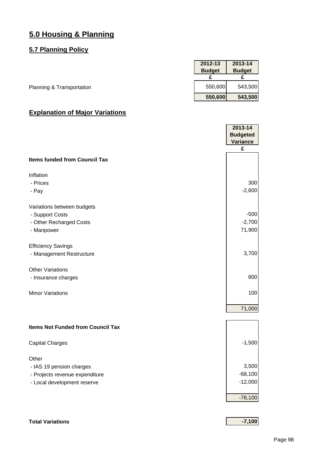#### **5.7 Planning Policy**

|                           | 2012-13       | 2013-14       |
|---------------------------|---------------|---------------|
|                           | <b>Budget</b> | <b>Budget</b> |
|                           |               |               |
| Planning & Transportation | 550,600       | 543,500       |
|                           | 550,600       | 543,500       |

|                                          | 2013-14<br><b>Budgeted</b><br><b>Variance</b> |
|------------------------------------------|-----------------------------------------------|
|                                          | £                                             |
| <b>Items funded from Council Tax</b>     |                                               |
| Inflation                                |                                               |
| - Prices                                 | 300                                           |
| - Pay                                    | $-2,600$                                      |
| Variations between budgets               |                                               |
| - Support Costs                          | $-500$                                        |
| - Other Recharged Costs                  | $-2,700$                                      |
| - Manpower                               | 71,900                                        |
| <b>Efficiency Savings</b>                |                                               |
| - Management Restructure                 | 3,700                                         |
| <b>Other Variations</b>                  |                                               |
| - Insurance charges                      | 800                                           |
| <b>Minor Variations</b>                  | 100                                           |
|                                          | 71,000                                        |
|                                          |                                               |
| <b>Items Not Funded from Council Tax</b> |                                               |
| <b>Capital Charges</b>                   | $-1,500$                                      |
| Other                                    |                                               |
| - IAS 19 pension charges                 | 3,500                                         |
| - Projects revenue expenditure           | $-68,100$                                     |
| - Local development reserve              | $-12,000$                                     |
|                                          | $-78,100$                                     |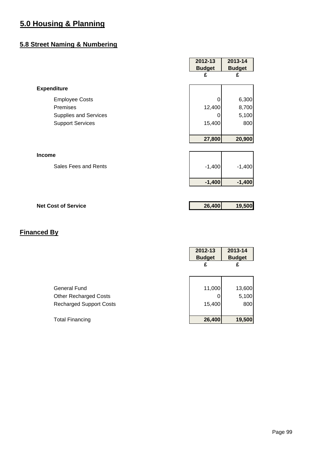#### **5.8 Street Naming & Numbering**

|                              | 2012-13       | 2013-14       |
|------------------------------|---------------|---------------|
|                              | <b>Budget</b> | <b>Budget</b> |
|                              | £             | £             |
| <b>Expenditure</b>           |               |               |
| <b>Employee Costs</b>        |               | 6,300         |
| Premises                     | 12,400        | 8,700         |
| <b>Supplies and Services</b> | O             | 5,100         |
| <b>Support Services</b>      | 15,400        | 800           |
|                              | 27,800        | 20,900        |
| <b>Income</b>                |               |               |
| Sales Fees and Rents         | $-1,400$      | $-1,400$      |
|                              | $-1,400$      | $-1,400$      |
|                              |               |               |
| <b>Net Cost of Service</b>   | 26,400        | 19,500        |

|                                | 2012-13<br><b>Budget</b> | 2013-14<br><b>Budget</b> |
|--------------------------------|--------------------------|--------------------------|
|                                | £                        | £                        |
|                                |                          |                          |
| General Fund                   | 11,000                   | 13,600                   |
| <b>Other Recharged Costs</b>   |                          | 5,100                    |
| <b>Recharged Support Costs</b> | 15,400                   | 800                      |
|                                |                          |                          |
| <b>Total Financing</b>         | 26,400                   | 19,500                   |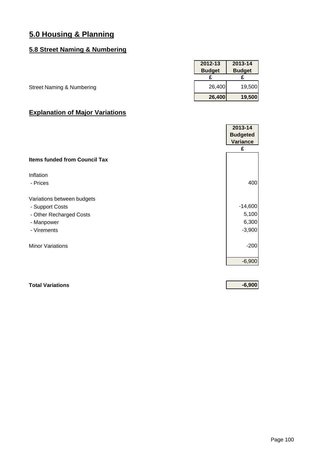#### **5.8 Street Naming & Numbering**

|                                      | 2012-13       | 2013-14       |
|--------------------------------------|---------------|---------------|
|                                      | <b>Budget</b> | <b>Budget</b> |
|                                      |               |               |
| <b>Street Naming &amp; Numbering</b> | 26,400        | 19,500        |
|                                      | 26,400        | 19,500        |

### **Explanation of Major Variations**

|                                      | 2013-14         |
|--------------------------------------|-----------------|
|                                      | <b>Budgeted</b> |
|                                      | <b>Variance</b> |
|                                      | £               |
| <b>Items funded from Council Tax</b> |                 |
| Inflation                            |                 |
| - Prices                             | 400             |
| Variations between budgets           |                 |
| - Support Costs                      | $-14,600$       |
| - Other Recharged Costs              | 5,100           |
| - Manpower                           | 6,300           |
| - Virements                          | $-3,900$        |
| <b>Minor Variations</b>              | $-200$          |
|                                      | $-6,900$        |

**Total Variations -6,900**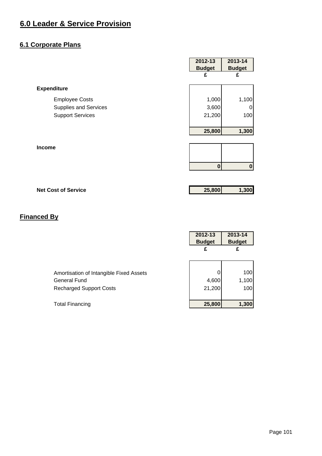#### **6.1 Corporate Plans**

|                              | 2012-13<br><b>Budget</b> | 2013-14<br><b>Budget</b> |
|------------------------------|--------------------------|--------------------------|
|                              | £                        | £                        |
| <b>Expenditure</b>           |                          |                          |
| <b>Employee Costs</b>        | 1,000                    | 1,100                    |
| <b>Supplies and Services</b> | 3,600                    | 0                        |
| <b>Support Services</b>      | 21,200                   | 100                      |
|                              |                          |                          |
|                              | 25,800                   | 1,300                    |
|                              |                          |                          |
| <b>Income</b>                |                          |                          |
|                              |                          |                          |
|                              | $\mathbf 0$              | $\bf{0}$                 |
|                              |                          |                          |
| <b>Net Cost of Service</b>   | 25,800                   | 1,300                    |

### **Financed By**

|                                         | 2012-13<br><b>Budget</b> | 2013-14<br><b>Budget</b> |
|-----------------------------------------|--------------------------|--------------------------|
|                                         | £                        | £                        |
|                                         |                          |                          |
| Amortisation of Intangible Fixed Assets |                          | 100                      |
| <b>General Fund</b>                     | 4,600                    | 1,100                    |
| <b>Recharged Support Costs</b>          | 21,200                   | 100                      |
|                                         |                          |                          |
| <b>Total Financing</b>                  | 25,800                   | 1,300                    |

Page 101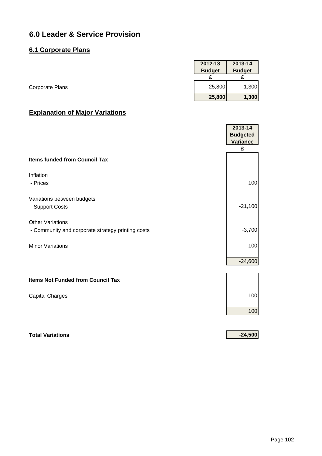#### **6.1 Corporate Plans**

|                 | 2012-13       | 2013-14       |
|-----------------|---------------|---------------|
|                 | <b>Budget</b> | <b>Budget</b> |
|                 |               |               |
| Corporate Plans | 25,800        | 1,300         |
|                 | 25,800        | 1,300         |

### **Explanation of Major Variations**

|                                                                              | 2013-14<br><b>Budgeted</b> |
|------------------------------------------------------------------------------|----------------------------|
|                                                                              | <b>Variance</b><br>£       |
| <b>Items funded from Council Tax</b>                                         |                            |
| Inflation<br>- Prices                                                        | 100                        |
| Variations between budgets<br>- Support Costs                                | $-21,100$                  |
| <b>Other Variations</b><br>- Community and corporate strategy printing costs | $-3,700$                   |
| <b>Minor Variations</b>                                                      | 100                        |
|                                                                              | $-24,600$                  |
| <b>Items Not Funded from Council Tax</b>                                     |                            |
| <b>Capital Charges</b>                                                       | 100                        |
|                                                                              | 100                        |
|                                                                              |                            |

#### **Total Variations -24,500**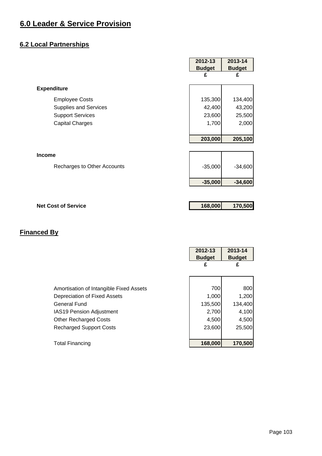#### **6.2 Local Partnerships**

|                              | 2012-13       | 2013-14       |
|------------------------------|---------------|---------------|
|                              | <b>Budget</b> | <b>Budget</b> |
|                              | £             | £             |
| <b>Expenditure</b>           |               |               |
| <b>Employee Costs</b>        | 135,300       | 134,400       |
| <b>Supplies and Services</b> | 42,400        | 43,200        |
| <b>Support Services</b>      | 23,600        | 25,500        |
| <b>Capital Charges</b>       | 1,700         | 2,000         |
|                              |               |               |
|                              | 203,000       | 205,100       |
|                              |               |               |
| <b>Income</b>                |               |               |
| Recharges to Other Accounts  | $-35,000$     | $-34,600$     |
|                              | $-35,000$     | $-34,600$     |
|                              |               |               |
| <b>Net Cost of Service</b>   | 168,000       | 170,500       |

|                                         | 2012-13<br><b>Budget</b><br>£ | 2013-14<br><b>Budget</b><br>£ |
|-----------------------------------------|-------------------------------|-------------------------------|
|                                         | 700                           | 800                           |
| Amortisation of Intangible Fixed Assets |                               |                               |
| Depreciation of Fixed Assets            | 1,000                         | 1,200                         |
| General Fund                            | 135,500                       | 134,400                       |
| <b>IAS19 Pension Adjustment</b>         | 2,700                         | 4,100                         |
| <b>Other Recharged Costs</b>            | 4,500                         | 4,500                         |
| <b>Recharged Support Costs</b>          | 23,600                        | 25,500                        |
|                                         |                               |                               |
| <b>Total Financing</b>                  | 168,000                       | 170,500                       |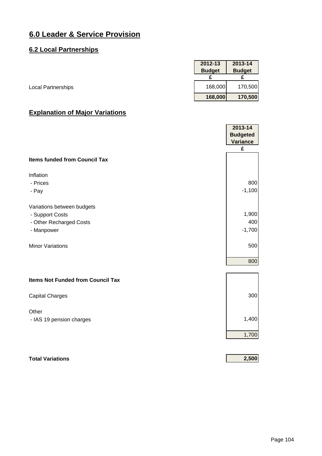#### **6.2 Local Partnerships**

|                           | 2012-13       | 2013-14       |
|---------------------------|---------------|---------------|
|                           | <b>Budget</b> | <b>Budget</b> |
|                           |               |               |
| <b>Local Partnerships</b> | 168,000       | 170,500       |
|                           | 168,000       | 170,500       |

|                                          | 2013-14<br><b>Budgeted</b><br><b>Variance</b><br>£ |
|------------------------------------------|----------------------------------------------------|
| <b>Items funded from Council Tax</b>     |                                                    |
| Inflation                                |                                                    |
| - Prices                                 | 800                                                |
| - Pay                                    | $-1,100$                                           |
| Variations between budgets               |                                                    |
| - Support Costs                          | 1,900                                              |
| - Other Recharged Costs                  | 400                                                |
| - Manpower                               | $-1,700$                                           |
| <b>Minor Variations</b>                  | 500                                                |
|                                          | 800                                                |
| <b>Items Not Funded from Council Tax</b> |                                                    |
| <b>Capital Charges</b>                   | 300                                                |
| Other                                    |                                                    |
| - IAS 19 pension charges                 | 1,400                                              |
|                                          | 1,700                                              |
|                                          |                                                    |
| <b>Total Variations</b>                  | 2,500                                              |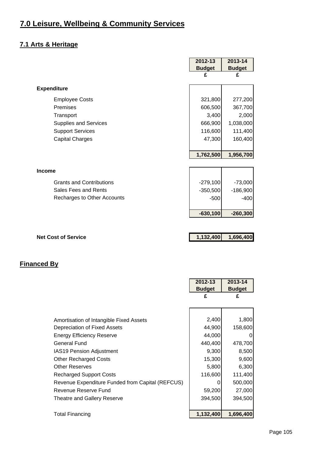## **7.0 Leisure, Wellbeing & Community Services**

#### **7.1 Arts & Heritage**

|                                 | 2012-13       | 2013-14       |
|---------------------------------|---------------|---------------|
|                                 | <b>Budget</b> | <b>Budget</b> |
|                                 | £             | £             |
| <b>Expenditure</b>              |               |               |
| <b>Employee Costs</b>           | 321,800       | 277,200       |
| Premises                        | 606,500       | 367,700       |
| Transport                       | 3,400         | 2,000         |
| <b>Supplies and Services</b>    | 666,900       | 1,038,000     |
| <b>Support Services</b>         | 116,600       | 111,400       |
| <b>Capital Charges</b>          | 47,300        | 160,400       |
|                                 |               |               |
|                                 | 1,762,500     | 1,956,700     |
|                                 |               |               |
| <b>Income</b>                   |               |               |
| <b>Grants and Contributions</b> | $-279,100$    | $-73,000$     |
| Sales Fees and Rents            | $-350,500$    | $-186,900$    |
| Recharges to Other Accounts     | $-500$        | $-400$        |
|                                 |               |               |
|                                 | $-630,100$    | $-260,300$    |
|                                 |               |               |
| <b>Net Cost of Service</b>      | 1,132,400     | 1,696,400     |
|                                 |               |               |

|                                                  | 2012-13       | 2013-14       |
|--------------------------------------------------|---------------|---------------|
|                                                  | <b>Budget</b> | <b>Budget</b> |
|                                                  | £             | £             |
|                                                  |               |               |
|                                                  |               |               |
| Amortisation of Intangible Fixed Assets          | 2,400         | 1,800         |
| Depreciation of Fixed Assets                     | 44,900        | 158,600       |
| Energy Efficiency Reserve                        | 44,000        | 0             |
| General Fund                                     | 440,400       | 478,700       |
| <b>IAS19 Pension Adjustment</b>                  | 9,300         | 8,500         |
| <b>Other Recharged Costs</b>                     | 15,300        | 9,600         |
| <b>Other Reserves</b>                            | 5,800         | 6,300         |
| <b>Recharged Support Costs</b>                   | 116,600       | 111,400       |
| Revenue Expenditure Funded from Capital (REFCUS) | 0             | 500,000       |
| Revenue Reserve Fund                             | 59,200        | 27,000        |
| Theatre and Gallery Reserve                      | 394,500       | 394,500       |
|                                                  |               |               |
| <b>Total Financing</b>                           | 1,132,400     | 1,696,400     |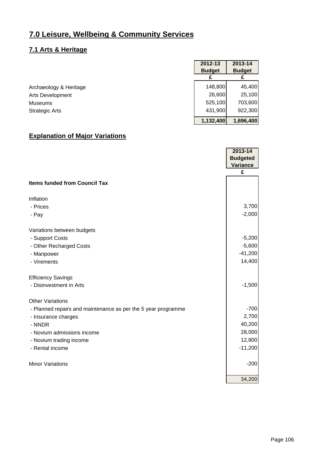## **7.0 Leisure, Wellbeing & Community Services**

#### **7.1 Arts & Heritage**

|                        | 2012-13       | 2013-14       |
|------------------------|---------------|---------------|
|                        | <b>Budget</b> | <b>Budget</b> |
|                        |               |               |
| Archaeology & Heritage | 148,800       | 45,400        |
| Arts Development       | 26,600        | 25,100        |
| Museums                | 525,100       | 703,600       |
| <b>Strategic Arts</b>  | 431,900       | 922,300       |
|                        | 1,132,400     | 1,696,400     |

|                                                               | 2013-14         |
|---------------------------------------------------------------|-----------------|
|                                                               | <b>Budgeted</b> |
|                                                               | Variance        |
|                                                               | £               |
| <b>Items funded from Council Tax</b>                          |                 |
| Inflation                                                     |                 |
| - Prices                                                      | 3,700           |
| - Pay                                                         | $-2,000$        |
| Variations between budgets                                    |                 |
| - Support Costs                                               | $-5,200$        |
| - Other Recharged Costs                                       | $-5,600$        |
| - Manpower                                                    | $-41,200$       |
| - Virements                                                   | 14,400          |
| <b>Efficiency Savings</b>                                     |                 |
| - Disinvestment in Arts                                       | $-1,500$        |
| <b>Other Variations</b>                                       |                 |
| - Planned repairs and maintenance as per the 5 year programme | $-700$          |
| - Insurance charges                                           | 2,700           |
| - NNDR                                                        | 40,200          |
| - Novium admissions income                                    | 28,000          |
| - Novium trading income                                       | 12,800          |
| - Rental income                                               | $-11,200$       |
| <b>Minor Variations</b>                                       | $-200$          |
|                                                               | 34,200          |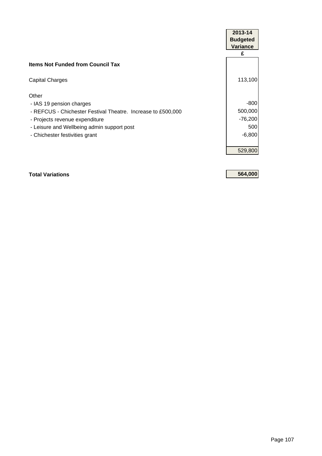|                                                              | 2013-14         |
|--------------------------------------------------------------|-----------------|
|                                                              | <b>Budgeted</b> |
|                                                              | <b>Variance</b> |
|                                                              | £               |
| <b>Items Not Funded from Council Tax</b>                     |                 |
| <b>Capital Charges</b>                                       | 113,100         |
| Other                                                        |                 |
| - IAS 19 pension charges                                     | $-800$          |
| - REFCUS - Chichester Festival Theatre. Increase to £500,000 | 500,000         |
| - Projects revenue expenditure                               | $-76,200$       |
| - Leisure and Wellbeing admin support post                   | 500             |
| - Chichester festivities grant                               | $-6,800$        |
|                                                              | 529,800         |

**Total Variations 564,000**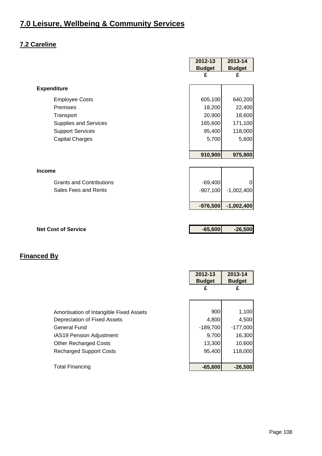## **7.2 Careline**

|                                 | 2012-13       | 2013-14       |
|---------------------------------|---------------|---------------|
|                                 | <b>Budget</b> | <b>Budget</b> |
|                                 | £             | £             |
| <b>Expenditure</b>              |               |               |
| <b>Employee Costs</b>           | 605,100       | 640,200       |
| Premises                        | 18,200        | 22,400        |
| Transport                       | 20,900        | 18,600        |
| <b>Supplies and Services</b>    | 165,600       | 171,100       |
| <b>Support Services</b>         | 95,400        | 118,000       |
| <b>Capital Charges</b>          | 5,700         | 5,600         |
|                                 |               |               |
|                                 | 910,900       | 975,900       |
|                                 |               |               |
| <b>Income</b>                   |               |               |
| <b>Grants and Contributions</b> | $-69,400$     |               |
| Sales Fees and Rents            | $-907,100$    | $-1,002,400$  |
|                                 |               |               |
|                                 | $-976,500$    | $-1,002,400$  |
|                                 |               |               |
|                                 |               |               |
| <b>Net Cost of Service</b>      | $-65,600$     | $-26,500$     |

|                                         | 2012-13<br><b>Budget</b> | 2013-14<br><b>Budget</b> |
|-----------------------------------------|--------------------------|--------------------------|
|                                         |                          | £                        |
|                                         |                          |                          |
| Amortisation of Intangible Fixed Assets | 900                      | 1,100                    |
| Depreciation of Fixed Assets            | 4,800                    | 4,500                    |
| General Fund                            | $-189,700$               | $-177,000$               |
| <b>IAS19 Pension Adjustment</b>         | 9,700                    | 16,300                   |
| <b>Other Recharged Costs</b>            | 13,300                   | 10,600                   |
| <b>Recharged Support Costs</b>          | 95,400                   | 118,000                  |
|                                         |                          |                          |
| <b>Total Financing</b>                  | $-65,600$                | $-26,500$                |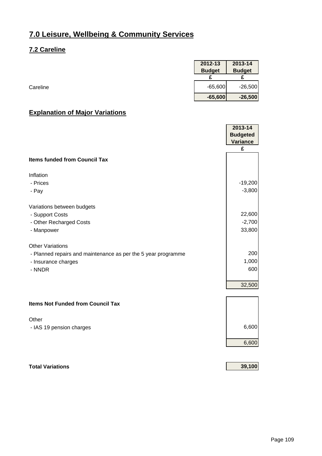#### **7.2 Careline**

| 2013-14<br>2012-13 |
|--------------------|
| <b>Budget</b>      |
|                    |
| $-65,600$          |
| $-65,600$          |

## **Explanation of Major Variations**

|                                                               | 2013-14<br><b>Budgeted</b><br>Variance<br>£ |
|---------------------------------------------------------------|---------------------------------------------|
| <b>Items funded from Council Tax</b>                          |                                             |
|                                                               |                                             |
| Inflation<br>- Prices                                         | $-19,200$                                   |
| - Pay                                                         | $-3,800$                                    |
|                                                               |                                             |
| Variations between budgets                                    |                                             |
| - Support Costs                                               | 22,600                                      |
| - Other Recharged Costs                                       | $-2,700$                                    |
| - Manpower                                                    | 33,800                                      |
| <b>Other Variations</b>                                       |                                             |
| - Planned repairs and maintenance as per the 5 year programme | 200                                         |
| - Insurance charges                                           | 1,000                                       |
| - NNDR                                                        | 600                                         |
|                                                               | 32,500                                      |
|                                                               |                                             |
| <b>Items Not Funded from Council Tax</b>                      |                                             |
| Other                                                         |                                             |
| - IAS 19 pension charges                                      | 6,600                                       |

**Total Variations 39,100**

6,600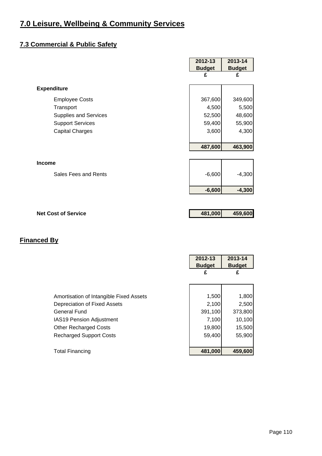## **7.3 Commercial & Public Safety**

|                              | 2012-13       | 2013-14       |
|------------------------------|---------------|---------------|
|                              | <b>Budget</b> | <b>Budget</b> |
|                              | £             | £             |
| <b>Expenditure</b>           |               |               |
| <b>Employee Costs</b>        | 367,600       | 349,600       |
| Transport                    | 4,500         | 5,500         |
| <b>Supplies and Services</b> | 52,500        | 48,600        |
| <b>Support Services</b>      | 59,400        | 55,900        |
| <b>Capital Charges</b>       | 3,600         | 4,300         |
|                              |               |               |
|                              | 487,600       | 463,900       |
|                              |               |               |
| <b>Income</b>                |               |               |
| Sales Fees and Rents         | $-6,600$      | $-4,300$      |
|                              | $-6,600$      | $-4,300$      |
|                              |               |               |
| <b>Net Cost of Service</b>   | 481,000       | 459,600       |
|                              |               |               |
|                              |               |               |

|                                                                                                                                                                                                     | 2012-13<br><b>Budget</b><br>£                          | 2013-14<br><b>Budget</b><br>£                           |
|-----------------------------------------------------------------------------------------------------------------------------------------------------------------------------------------------------|--------------------------------------------------------|---------------------------------------------------------|
| Amortisation of Intangible Fixed Assets<br>Depreciation of Fixed Assets<br><b>General Fund</b><br><b>IAS19 Pension Adjustment</b><br><b>Other Recharged Costs</b><br><b>Recharged Support Costs</b> | 1,500<br>2,100<br>391,100<br>7,100<br>19,800<br>59,400 | 1,800<br>2,500<br>373,800<br>10,100<br>15,500<br>55,900 |
| <b>Total Financing</b>                                                                                                                                                                              | 481,000                                                | 459,600                                                 |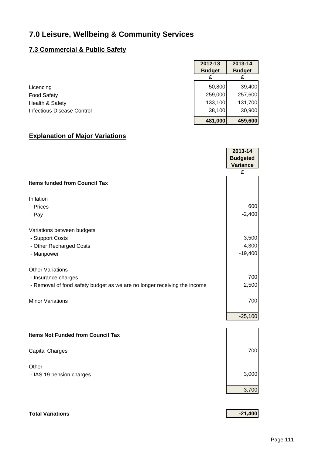#### **7.3 Commercial & Public Safety**

|                                   | 2012-13       | 2013-14       |
|-----------------------------------|---------------|---------------|
|                                   | <b>Budget</b> | <b>Budget</b> |
|                                   |               |               |
| Licencing                         | 50,800        | 39,400        |
| <b>Food Safety</b>                | 259,000       | 257,600       |
| Health & Safety                   | 133,100       | 131,700       |
| <b>Infectious Disease Control</b> | 38,100        | 30,900        |
|                                   | 481,000       | 459,600       |

#### **Explanation of Major Variations**

|                                                                          | 2013-14         |
|--------------------------------------------------------------------------|-----------------|
|                                                                          | <b>Budgeted</b> |
|                                                                          | <b>Variance</b> |
|                                                                          | £               |
| <b>Items funded from Council Tax</b>                                     |                 |
| Inflation                                                                |                 |
| - Prices                                                                 | 600             |
| - Pay                                                                    | $-2,400$        |
| Variations between budgets                                               |                 |
| - Support Costs                                                          | $-3,500$        |
| - Other Recharged Costs                                                  | $-4,300$        |
| - Manpower                                                               | $-19,400$       |
| <b>Other Variations</b>                                                  |                 |
|                                                                          | 700             |
| - Insurance charges                                                      |                 |
| - Removal of food safety budget as we are no longer receiving the income | 2,500           |
| <b>Minor Variations</b>                                                  | 700             |
|                                                                          |                 |
|                                                                          | $-25,100$       |
| <b>Items Not Funded from Council Tax</b>                                 |                 |
| <b>Capital Charges</b>                                                   | 700             |
| Other                                                                    |                 |
| - IAS 19 pension charges                                                 | 3,000           |
|                                                                          |                 |
|                                                                          | 3,700           |

#### **Total Variations -21,400**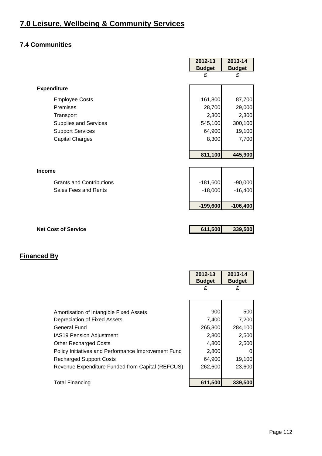## **7.4 Communities**

|                                 | 2012-13       | 2013-14       |
|---------------------------------|---------------|---------------|
|                                 | <b>Budget</b> | <b>Budget</b> |
|                                 | £             | £             |
| <b>Expenditure</b>              |               |               |
| <b>Employee Costs</b>           | 161,800       | 87,700        |
| Premises                        | 28,700        | 29,000        |
| Transport                       | 2,300         | 2,300         |
| <b>Supplies and Services</b>    | 545,100       | 300,100       |
| <b>Support Services</b>         | 64,900        | 19,100        |
| <b>Capital Charges</b>          | 8,300         | 7,700         |
|                                 |               |               |
|                                 | 811,100       | 445,900       |
|                                 |               |               |
| <b>Income</b>                   |               |               |
| <b>Grants and Contributions</b> | $-181,600$    | $-90,000$     |
| Sales Fees and Rents            | $-18,000$     | $-16,400$     |
|                                 |               |               |
|                                 | $-199,600$    | $-106,400$    |
|                                 |               |               |
| <b>Net Cost of Service</b>      | 611,500       | 339,500       |
|                                 |               |               |

|                                                     | 2012-13<br><b>Budget</b> | 2013-14<br><b>Budget</b> |
|-----------------------------------------------------|--------------------------|--------------------------|
|                                                     | £                        | £                        |
|                                                     |                          |                          |
| Amortisation of Intangible Fixed Assets             | 900                      | 500                      |
| Depreciation of Fixed Assets                        | 7,400                    | 7,200                    |
| General Fund                                        | 265,300                  | 284,100                  |
| <b>IAS19 Pension Adjustment</b>                     | 2,800                    | 2,500                    |
| <b>Other Recharged Costs</b>                        | 4,800                    | 2,500                    |
| Policy Initiatives and Performance Improvement Fund | 2,800                    |                          |
| <b>Recharged Support Costs</b>                      | 64,900                   | 19,100                   |
| Revenue Expenditure Funded from Capital (REFCUS)    | 262,600                  | 23,600                   |
| <b>Total Financing</b>                              | 611,500                  | 339,500                  |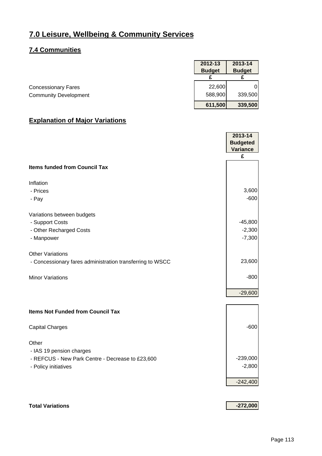#### **7.4 Communities**

|                              | 2012-13       | 2013-14       |
|------------------------------|---------------|---------------|
|                              | <b>Budget</b> | <b>Budget</b> |
|                              |               |               |
| <b>Concessionary Fares</b>   | 22,600        |               |
| <b>Community Development</b> | 588,900       | 339,500       |
|                              | 611,500       | 339,500       |

#### **Explanation of Major Variations**

|                                                           | 2013-14<br><b>Budgeted</b> |
|-----------------------------------------------------------|----------------------------|
|                                                           | Variance                   |
|                                                           | £                          |
| <b>Items funded from Council Tax</b>                      |                            |
| Inflation                                                 |                            |
| - Prices                                                  | 3,600                      |
| - Pay                                                     | $-600$                     |
| Variations between budgets                                |                            |
| - Support Costs                                           | $-45,800$                  |
| - Other Recharged Costs                                   | $-2,300$                   |
| - Manpower                                                | $-7,300$                   |
| <b>Other Variations</b>                                   |                            |
| - Concessionary fares administration transferring to WSCC | 23,600                     |
| <b>Minor Variations</b>                                   | $-800$                     |
|                                                           | $-29,600$                  |
|                                                           |                            |
| <b>Items Not Funded from Council Tax</b>                  |                            |
| <b>Capital Charges</b>                                    | $-600$                     |
| Other                                                     |                            |
| - IAS 19 pension charges                                  |                            |
| - REFCUS - New Park Centre - Decrease to £23,600          | $-239,000$<br>$-2,800$     |
| - Policy initiatives                                      |                            |
|                                                           | $-242,400$                 |
|                                                           |                            |
|                                                           |                            |

**Total Variations -272,000**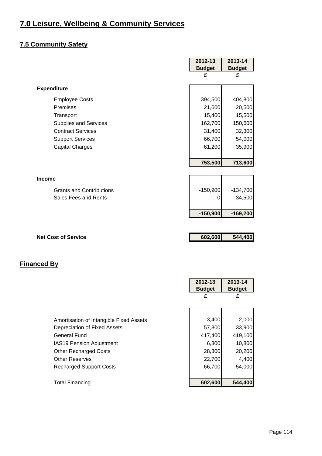## **7.5 Community Safety**

| 2012-13       | 2013-14                             |
|---------------|-------------------------------------|
| <b>Budget</b> | <b>Budget</b>                       |
| £             | £                                   |
|               |                                     |
| 394,500       | 404,800                             |
| 21,600        | 20,500                              |
| 15,400        | 15,500                              |
| 162,700       | 150,600                             |
| 31,400        | 32,300                              |
| 66,700        | 54,000                              |
| 61,200        | 35,900                              |
|               |                                     |
| 753,500       | 713,600                             |
|               |                                     |
|               |                                     |
| $-150,900$    | $-134,700$                          |
| 0             | $-34,500$                           |
|               |                                     |
| $-150,900$    | $-169,200$                          |
|               |                                     |
|               |                                     |
|               | 544,400                             |
|               |                                     |
|               |                                     |
|               |                                     |
|               | 2013-14                             |
|               | <b>Budget</b>                       |
|               | 602,600<br>2012-13<br><b>Budget</b> |

| Amortisation of Intangible Fixed Assets | 3,400   | 2,000   |
|-----------------------------------------|---------|---------|
| Depreciation of Fixed Assets            | 57,800  | 33,900  |
| <b>General Fund</b>                     | 417,400 | 419,100 |
| IAS19 Pension Adjustment                | 6,300   | 10,800  |
| <b>Other Recharged Costs</b>            | 28,300  | 20,200  |
| <b>Other Reserves</b>                   | 22,700  | 4,400   |
| <b>Recharged Support Costs</b>          | 66,700  | 54,000  |
|                                         |         |         |
| <b>Total Financing</b>                  | 602,600 | 544,400 |

**£ £**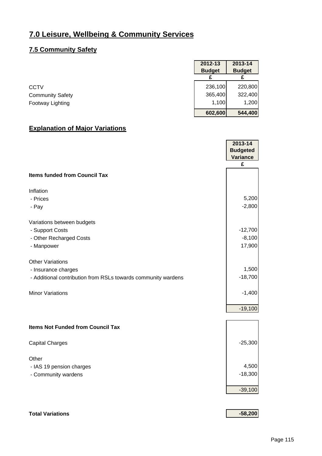#### **7.5 Community Safety**

|                         | 2012-13<br><b>Budget</b> | 2013-14<br><b>Budget</b> |
|-------------------------|--------------------------|--------------------------|
|                         |                          |                          |
| <b>CCTV</b>             | 236,100                  | 220,800                  |
| <b>Community Safety</b> | 365,400                  | 322,400                  |
| Footway Lighting        | 1,100                    | 1,200                    |
|                         | 602,600                  | 544,400                  |

#### **Explanation of Major Variations**

|                                                               | 2013-14         |
|---------------------------------------------------------------|-----------------|
|                                                               | <b>Budgeted</b> |
|                                                               | <b>Variance</b> |
|                                                               | £               |
| <b>Items funded from Council Tax</b>                          |                 |
| Inflation                                                     |                 |
| - Prices                                                      | 5,200           |
| - Pay                                                         | $-2,800$        |
| Variations between budgets                                    |                 |
| - Support Costs                                               | $-12,700$       |
| - Other Recharged Costs                                       | $-8,100$        |
| - Manpower                                                    | 17,900          |
| <b>Other Variations</b>                                       |                 |
| - Insurance charges                                           | 1,500           |
| - Additional contribution from RSLs towards community wardens | $-18,700$       |
| <b>Minor Variations</b>                                       | $-1,400$        |
|                                                               | $-19,100$       |
| <b>Items Not Funded from Council Tax</b>                      |                 |
| <b>Capital Charges</b>                                        | $-25,300$       |
| Other                                                         |                 |
| - IAS 19 pension charges                                      | 4,500           |
| - Community wardens                                           | $-18,300$       |
|                                                               | $-39,100$       |
|                                                               |                 |

#### **Total Variations -58,200**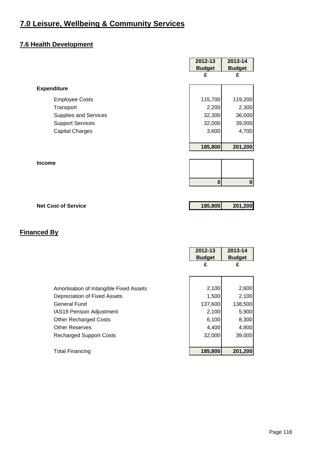## **7.6 Health Development**

|                              | 2012-13       | 2013-14       |
|------------------------------|---------------|---------------|
|                              | <b>Budget</b> | <b>Budget</b> |
|                              | £             | £             |
| <b>Expenditure</b>           |               |               |
| <b>Employee Costs</b>        | 115,700       | 119,200       |
| Transport                    | 2,200         | 2,300         |
| <b>Supplies and Services</b> | 32,300        | 36,000        |
| <b>Support Services</b>      | 32,000        | 39,000        |
| <b>Capital Charges</b>       | 3,600         | 4,700         |
|                              |               |               |
|                              | 185,800       | 201,200       |
|                              |               |               |
| <b>Income</b>                |               |               |
|                              | $\bf{0}$      | $\bf{0}$      |
|                              |               |               |
|                              |               |               |

**Net Cost of Service 185,800 201,200** 

|                                         | 2012-13<br><b>Budget</b><br>£ | 2013-14<br><b>Budget</b><br>£ |
|-----------------------------------------|-------------------------------|-------------------------------|
| Amortisation of Intangible Fixed Assets | 2,100                         | 2,600                         |
| Depreciation of Fixed Assets            | 1,500                         | 2,100                         |
| General Fund                            | 137,600                       | 138,500                       |
| <b>IAS19 Pension Adjustment</b>         | 2,100                         | 5,900                         |
| <b>Other Recharged Costs</b>            | 6,100                         | 8,300                         |
| <b>Other Reserves</b>                   | 4,400                         | 4,800                         |
| <b>Recharged Support Costs</b>          | 32,000                        | 39,000                        |
|                                         |                               |                               |
| <b>Total Financing</b>                  | 185,800                       | 201,200                       |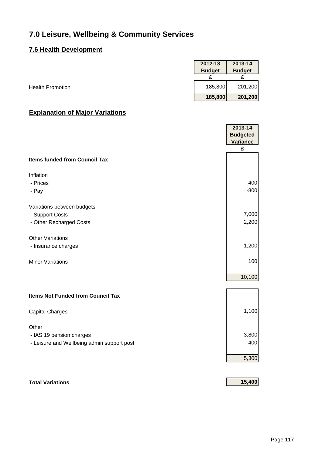#### **7.6 Health Development**

|                         | 2012-13       | 2013-14       |
|-------------------------|---------------|---------------|
|                         | <b>Budget</b> | <b>Budget</b> |
|                         |               |               |
| <b>Health Promotion</b> | 185,800       | 201,200       |
|                         | 185,800       | 201,200       |

## **Explanation of Major Variations**

|                                            | 2013-14<br><b>Budgeted</b><br><b>Variance</b> |
|--------------------------------------------|-----------------------------------------------|
|                                            | £                                             |
| <b>Items funded from Council Tax</b>       |                                               |
| Inflation                                  |                                               |
| - Prices                                   | 400                                           |
| - Pay                                      | $-800$                                        |
| Variations between budgets                 |                                               |
| - Support Costs                            | 7,000                                         |
| - Other Recharged Costs                    | 2,200                                         |
| <b>Other Variations</b>                    |                                               |
| - Insurance charges                        | 1,200                                         |
| <b>Minor Variations</b>                    | 100                                           |
|                                            | 10,100                                        |
| <b>Items Not Funded from Council Tax</b>   |                                               |
| <b>Capital Charges</b>                     | 1,100                                         |
| Other                                      |                                               |
| - IAS 19 pension charges                   | 3,800                                         |
| - Leisure and Wellbeing admin support post | 400                                           |
|                                            | 5,300                                         |
|                                            |                                               |

#### **Total Variations 15,400**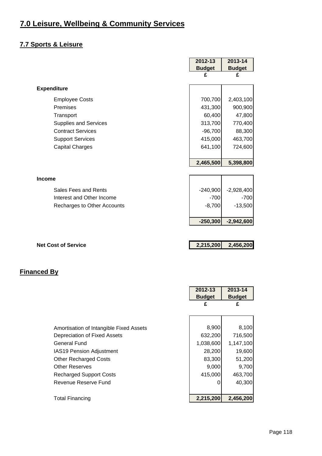## **7.7 Sports & Leisure**

|                              | 2012-13       | 2013-14       |
|------------------------------|---------------|---------------|
|                              | <b>Budget</b> | <b>Budget</b> |
|                              | £             | £             |
|                              |               |               |
| <b>Expenditure</b>           |               |               |
| <b>Employee Costs</b>        | 700,700       | 2,403,100     |
| Premises                     | 431,300       | 900,900       |
| Transport                    | 60,400        | 47,800        |
| <b>Supplies and Services</b> | 313,700       | 770,400       |
| <b>Contract Services</b>     | $-96,700$     | 88,300        |
| <b>Support Services</b>      | 415,000       | 463,700       |
| <b>Capital Charges</b>       | 641,100       | 724,600       |
|                              |               |               |
|                              | 2,465,500     | 5,398,800     |
|                              |               |               |
| <b>Income</b>                |               |               |
| Sales Fees and Rents         | $-240,900$    | $-2,928,400$  |
| Interest and Other Income    | $-700$        | $-700$        |
| Recharges to Other Accounts  | $-8,700$      | $-13,500$     |
|                              |               |               |
|                              | $-250,300$    | $-2,942,600$  |
|                              |               |               |
| <b>Net Cost of Service</b>   | 2,215,200     | 2,456,200     |

|                                         | 2012-13       | 2013-14       |
|-----------------------------------------|---------------|---------------|
|                                         | <b>Budget</b> | <b>Budget</b> |
|                                         | £             | £             |
|                                         |               |               |
| Amortisation of Intangible Fixed Assets | 8,900         | 8,100         |
| Depreciation of Fixed Assets            | 632,200       | 716,500       |
| General Fund                            | 1,038,600     | 1,147,100     |
| IAS19 Pension Adjustment                | 28,200        | 19,600        |
| <b>Other Recharged Costs</b>            | 83,300        | 51,200        |
| <b>Other Reserves</b>                   | 9,000         | 9,700         |
| <b>Recharged Support Costs</b>          | 415,000       | 463,700       |
| Revenue Reserve Fund                    | 0             | 40,300        |
|                                         |               |               |
| <b>Total Financing</b>                  | 2,215,200     | 2.456.200     |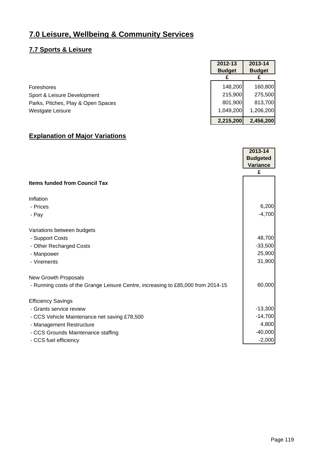#### **7.7 Sports & Leisure**

|                                    | 2012-13       | 2013-14       |
|------------------------------------|---------------|---------------|
|                                    | <b>Budget</b> | <b>Budget</b> |
|                                    |               |               |
| Foreshores                         | 148,200       | 160,800       |
| Sport & Leisure Development        | 215,900       | 275,500       |
| Parks, Pitches, Play & Open Spaces | 801,900       | 813,700       |
| <b>Westgate Leisure</b>            | 1,049,200     | 1,206,200     |
|                                    | 2,215,200     | 2,456,200     |

## **Explanation of Major Variations**

|                                                                                  | 2013-14         |
|----------------------------------------------------------------------------------|-----------------|
|                                                                                  | <b>Budgeted</b> |
|                                                                                  | <b>Variance</b> |
|                                                                                  | £               |
| <b>Items funded from Council Tax</b>                                             |                 |
| Inflation                                                                        |                 |
| - Prices                                                                         | 6,200           |
| - Pay                                                                            | $-4,700$        |
| Variations between budgets                                                       |                 |
| - Support Costs                                                                  | 48,700          |
| - Other Recharged Costs                                                          | $-33,500$       |
| - Manpower                                                                       | 25,900          |
| - Virements                                                                      | 31,900          |
| <b>New Growth Proposals</b>                                                      |                 |
| - Running costs of the Grange Leisure Centre, increasing to £85,000 from 2014-15 | 60,000          |
| <b>Efficiency Savings</b>                                                        |                 |
| - Grants service review                                                          | $-13,300$       |
| - CCS Vehicle Maintenance net saving £78,500                                     | $-14,700$       |
| - Management Restructure                                                         | 4,800           |
| - CCS Grounds Maintenance staffing                                               | $-40,000$       |
| - CCS fuel efficiency                                                            | $-2,000$        |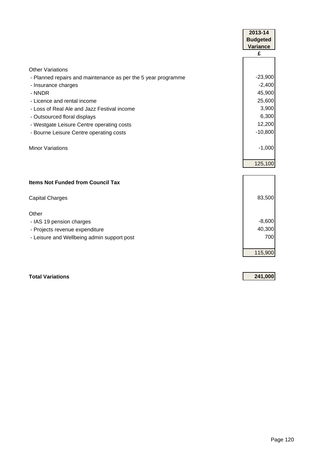|                                                               | 2013-14         |
|---------------------------------------------------------------|-----------------|
|                                                               | <b>Budgeted</b> |
|                                                               | <b>Variance</b> |
|                                                               | £               |
|                                                               |                 |
| <b>Other Variations</b>                                       |                 |
| - Planned repairs and maintenance as per the 5 year programme | $-23,900$       |
| - Insurance charges                                           | $-2,400$        |
| - NNDR                                                        | 45,900          |
| - Licence and rental income                                   | 25,600          |
| - Loss of Real Ale and Jazz Festival income                   | 3,900           |
| - Outsourced floral displays                                  | 6,300           |
| - Westgate Leisure Centre operating costs                     | 12,200          |
| - Bourne Leisure Centre operating costs                       | $-10,800$       |
|                                                               |                 |
| <b>Minor Variations</b>                                       | $-1,000$        |
|                                                               |                 |
|                                                               | 125,100         |
|                                                               |                 |
| <b>Items Not Funded from Council Tax</b>                      |                 |
|                                                               |                 |
| <b>Capital Charges</b>                                        | 83,500          |
|                                                               |                 |
| Other                                                         |                 |
| - IAS 19 pension charges                                      | $-8,600$        |
| - Projects revenue expenditure                                | 40,300          |
| - Leisure and Wellbeing admin support post                    | 700             |
|                                                               |                 |
|                                                               | 115,900         |

**Total Variations 241,000**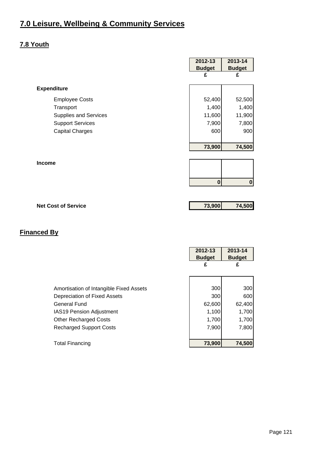#### **7.8 Youth**

|                              | 2012-13<br><b>Budget</b><br>£ | 2013-14<br><b>Budget</b><br>£ |
|------------------------------|-------------------------------|-------------------------------|
| <b>Expenditure</b>           |                               |                               |
| <b>Employee Costs</b>        | 52,400                        | 52,500                        |
| Transport                    | 1,400                         | 1,400                         |
| <b>Supplies and Services</b> | 11,600                        | 11,900                        |
| <b>Support Services</b>      | 7,900                         | 7,800                         |
| <b>Capital Charges</b>       | 600                           | 900                           |
|                              | 73,900                        | 74,500                        |
| <b>Income</b>                |                               |                               |
|                              | $\bf{0}$                      | $\bf{0}$                      |
|                              |                               |                               |
| <b>Net Cost of Service</b>   | 73,900                        | 74,500                        |

|                                         | 2012-13<br><b>Budget</b><br>£ | 2013-14<br><b>Budget</b><br>£ |
|-----------------------------------------|-------------------------------|-------------------------------|
| Amortisation of Intangible Fixed Assets | 300                           | 300                           |
| Depreciation of Fixed Assets            | 300                           | 600                           |
| <b>General Fund</b>                     | 62,600                        | 62,400                        |
| <b>IAS19 Pension Adjustment</b>         | 1,100                         | 1,700                         |
| <b>Other Recharged Costs</b>            | 1,700                         | 1,700                         |
| <b>Recharged Support Costs</b>          | 7,900                         | 7,800                         |
|                                         |                               |                               |
| <b>Total Financing</b>                  | 73,900                        | 74,500                        |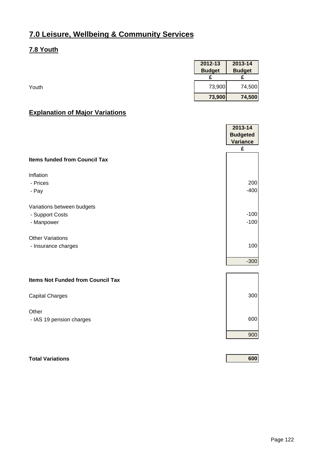#### **7.8 Youth**

| 2012-13<br>2013-14             |
|--------------------------------|
| <b>Budget</b><br><b>Budget</b> |
|                                |
| 73,900<br>74,500               |
| 73,900<br>74,500               |

## **Explanation of Major Variations**

|                                          | 2013-14<br><b>Budgeted</b><br><b>Variance</b> |
|------------------------------------------|-----------------------------------------------|
|                                          | £                                             |
| <b>Items funded from Council Tax</b>     |                                               |
| Inflation                                |                                               |
| - Prices                                 | 200                                           |
| - Pay                                    | $-400$                                        |
| Variations between budgets               |                                               |
| - Support Costs                          | $-100$                                        |
| - Manpower                               | $-100$                                        |
| <b>Other Variations</b>                  |                                               |
| - Insurance charges                      | 100                                           |
|                                          | $-300$                                        |
| <b>Items Not Funded from Council Tax</b> |                                               |
| <b>Capital Charges</b>                   | 300                                           |
| Other                                    |                                               |
| - IAS 19 pension charges                 | 600                                           |
|                                          | 900                                           |
|                                          |                                               |

**Total Variations 600**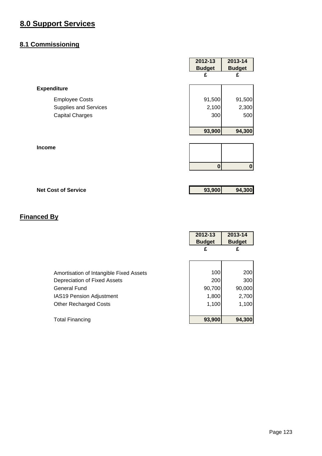#### **8.1 Commissioning**

|                              | 2012-13       | 2013-14       |
|------------------------------|---------------|---------------|
|                              | <b>Budget</b> | <b>Budget</b> |
|                              | £             | £             |
| <b>Expenditure</b>           |               |               |
| <b>Employee Costs</b>        | 91,500        | 91,500        |
| <b>Supplies and Services</b> | 2,100         | 2,300         |
| <b>Capital Charges</b>       | 300           | 500           |
|                              | 93,900        | 94,300        |
| <b>Income</b>                |               |               |
|                              | $\bf{0}$      | $\bf{0}$      |

**Net Cost of Service 93,900 94,300 94,300** 

|                                         | 2012-13<br><b>Budget</b> | 2013-14<br><b>Budget</b> |
|-----------------------------------------|--------------------------|--------------------------|
|                                         | £                        | £                        |
|                                         |                          |                          |
| Amortisation of Intangible Fixed Assets |                          | 100<br>200               |
| Depreciation of Fixed Assets            |                          | 300<br>200               |
| <b>General Fund</b>                     | 90,700                   | 90,000                   |
| <b>IAS19 Pension Adjustment</b>         |                          | 2,700<br>1,800           |
| <b>Other Recharged Costs</b>            |                          | 1,100<br>1,100           |
|                                         |                          |                          |
| <b>Total Financing</b>                  | 93,900                   | 94,300                   |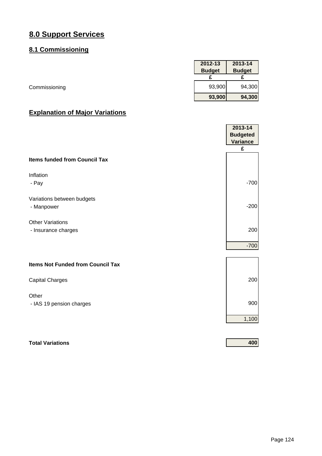#### **8.1 Commissioning**

|               | 2012-13       | 2013-14       |
|---------------|---------------|---------------|
|               | <b>Budget</b> | <b>Budget</b> |
|               |               |               |
| Commissioning | 93,900        | 94,300        |
|               | 93,900        | 94,300        |

## **Explanation of Major Variations**

|                                          | 2013-14<br><b>Budgeted</b> |
|------------------------------------------|----------------------------|
|                                          | <b>Variance</b>            |
|                                          | £                          |
| <b>Items funded from Council Tax</b>     |                            |
| Inflation                                |                            |
| - Pay                                    | $-700$                     |
|                                          |                            |
| Variations between budgets               |                            |
| - Manpower                               | $-200$                     |
| <b>Other Variations</b>                  |                            |
| - Insurance charges                      | 200                        |
|                                          |                            |
|                                          | $-700$                     |
|                                          |                            |
| <b>Items Not Funded from Council Tax</b> |                            |
| <b>Capital Charges</b>                   | 200                        |
|                                          |                            |
| Other                                    |                            |
| - IAS 19 pension charges                 | 900                        |
|                                          | 1,100                      |
|                                          |                            |
|                                          |                            |

**Total Variations 400**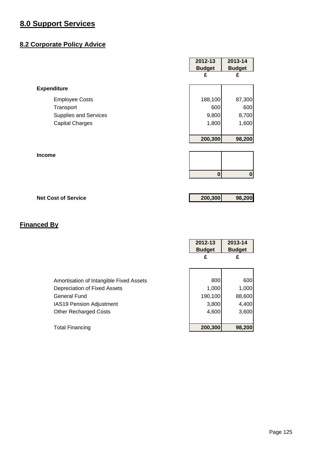## **8.2 Corporate Policy Advice**

|                              | 2012-13<br><b>Budget</b> | 2013-14<br><b>Budget</b> |
|------------------------------|--------------------------|--------------------------|
|                              | £                        | £                        |
| <b>Expenditure</b>           |                          |                          |
| <b>Employee Costs</b>        | 188,100                  | 87,300                   |
| Transport                    | 600                      | 600                      |
| <b>Supplies and Services</b> | 9,800                    | 8,700                    |
| <b>Capital Charges</b>       | 1,800                    | 1,600                    |
|                              |                          |                          |
|                              | 200,300                  | 98,200                   |
|                              |                          |                          |
| <b>Income</b>                |                          |                          |
|                              |                          |                          |
|                              | $\bf{0}$                 | $\mathbf 0$              |
|                              |                          |                          |
| <b>Net Cost of Service</b>   | 200,300                  | 98,200                   |

|                                         | 2012-13<br><b>Budget</b> | 2013-14<br><b>Budget</b> |
|-----------------------------------------|--------------------------|--------------------------|
|                                         | £                        | £                        |
|                                         |                          |                          |
| Amortisation of Intangible Fixed Assets | 800                      | 600                      |
| Depreciation of Fixed Assets            | 1,000                    | 1,000                    |
| <b>General Fund</b>                     | 190,100                  | 88,600                   |
| <b>IAS19 Pension Adjustment</b>         | 3,800                    | 4,400                    |
| <b>Other Recharged Costs</b>            | 4,600                    | 3,600                    |
|                                         |                          |                          |
| <b>Total Financing</b>                  | 200,300                  | 98,200                   |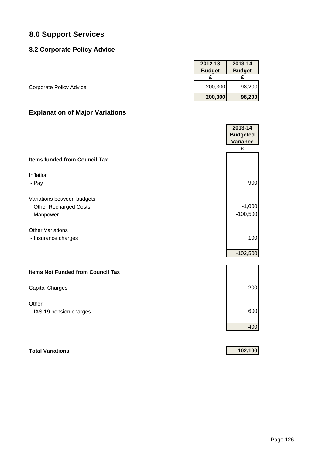#### **8.2 Corporate Policy Advice**

|                                | 2012-13       | 2013-14       |
|--------------------------------|---------------|---------------|
|                                | <b>Budget</b> | <b>Budget</b> |
|                                |               |               |
| <b>Corporate Policy Advice</b> | 200,300       | 98,200        |
|                                | 200,300       | 98,200        |

## **Explanation of Major Variations**

|                                          | 2013-14         |
|------------------------------------------|-----------------|
|                                          | <b>Budgeted</b> |
|                                          | <b>Variance</b> |
|                                          | £               |
| <b>Items funded from Council Tax</b>     |                 |
| Inflation                                |                 |
| - Pay                                    | $-900$          |
|                                          |                 |
| Variations between budgets               |                 |
| - Other Recharged Costs                  | $-1,000$        |
| - Manpower                               | $-100,500$      |
|                                          |                 |
| <b>Other Variations</b>                  |                 |
| - Insurance charges                      | $-100$          |
|                                          |                 |
|                                          | $-102,500$      |
|                                          |                 |
| <b>Items Not Funded from Council Tax</b> |                 |
|                                          | $-200$          |
| <b>Capital Charges</b>                   |                 |
| Other                                    |                 |
| - IAS 19 pension charges                 | 600             |
|                                          |                 |
|                                          | 400             |
|                                          |                 |
|                                          |                 |
| <b>Total Variations</b>                  | $-102,100$      |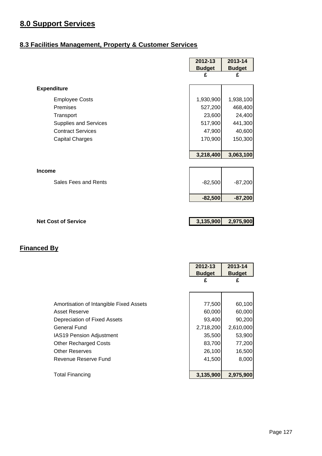## **8.3 Facilities Management, Property & Customer Services**

|                            | 2012-13       | 2013-14       |
|----------------------------|---------------|---------------|
|                            | <b>Budget</b> | <b>Budget</b> |
|                            | £             | £             |
| <b>Expenditure</b>         |               |               |
|                            |               |               |
| <b>Employee Costs</b>      | 1,930,900     | 1,938,100     |
| Premises                   | 527,200       | 468,400       |
| Transport                  | 23,600        | 24,400        |
| Supplies and Services      | 517,900       | 441,300       |
| <b>Contract Services</b>   | 47,900        | 40,600        |
| <b>Capital Charges</b>     | 170,900       | 150,300       |
|                            |               |               |
|                            | 3,218,400     | 3,063,100     |
|                            |               |               |
| <b>Income</b>              |               |               |
| Sales Fees and Rents       |               |               |
|                            | $-82,500$     | $-87,200$     |
|                            | $-82,500$     | $-87,200$     |
|                            |               |               |
|                            |               |               |
| <b>Net Cost of Service</b> | 3,135,900     | 2,975,900     |
|                            |               |               |

|                                         | <b>Budget</b><br><b>Budget</b> |
|-----------------------------------------|--------------------------------|
| £                                       | £                              |
|                                         |                                |
| Amortisation of Intangible Fixed Assets | 77,500<br>60,100               |
| Asset Reserve                           | 60,000<br>60,000               |
| Depreciation of Fixed Assets            | 93,400<br>90,200               |
| General Fund                            | 2,718,200<br>2,610,000         |
| <b>IAS19 Pension Adjustment</b>         | 35,500<br>53,900               |
| <b>Other Recharged Costs</b>            | 83,700<br>77,200               |
| <b>Other Reserves</b>                   | 26,100<br>16,500               |
| Revenue Reserve Fund                    | 8,000<br>41,500                |
|                                         |                                |
| Total Financing                         | 3,135,900<br>2,975,900         |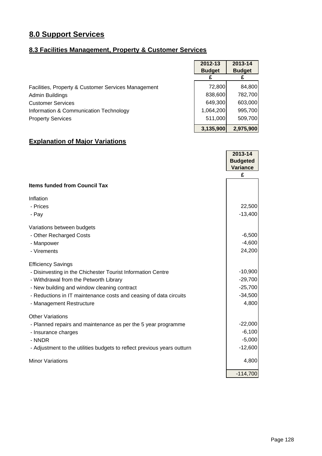#### **8.3 Facilities Management, Property & Customer Services**

|                                                     | 2012-13       | 2013-14       |
|-----------------------------------------------------|---------------|---------------|
|                                                     | <b>Budget</b> | <b>Budget</b> |
|                                                     |               |               |
| Facilities, Property & Customer Services Management | 72,800        | 84,800        |
| Admin Buildings                                     | 838,600       | 782,700       |
| <b>Customer Services</b>                            | 649,300       | 603,000       |
| Information & Communication Technology              | 1,064,200     | 995,700       |
| <b>Property Services</b>                            | 511,000       | 509,700       |
|                                                     | 3,135,900     | 2,975,900     |

## **Explanation of Major Variations**

|                                                                         | 2013-14<br><b>Budgeted</b> |
|-------------------------------------------------------------------------|----------------------------|
|                                                                         | <b>Variance</b>            |
|                                                                         | £                          |
| <b>Items funded from Council Tax</b>                                    |                            |
| Inflation                                                               |                            |
| - Prices                                                                | 22,500                     |
| - Pay                                                                   | $-13,400$                  |
| Variations between budgets                                              |                            |
| - Other Recharged Costs                                                 | $-6,500$                   |
| - Manpower                                                              | $-4,600$                   |
| - Virements                                                             | 24,200                     |
| <b>Efficiency Savings</b>                                               |                            |
| - Disinvesting in the Chichester Tourist Information Centre             | $-10,900$                  |
| - Withdrawal from the Petworth Library                                  | $-29,700$                  |
| - New building and window cleaning contract                             | $-25,700$                  |
| - Reductions in IT maintenance costs and ceasing of data circuits       | $-34,500$                  |
| - Management Restructure                                                | 4,800                      |
| <b>Other Variations</b>                                                 |                            |
| - Planned repairs and maintenance as per the 5 year programme           | $-22,000$                  |
| - Insurance charges                                                     | $-6,100$                   |
| - NNDR                                                                  | $-5,000$                   |
| - Adjustment to the utilities budgets to reflect previous years outturn | $-12,600$                  |
| <b>Minor Variations</b>                                                 | 4,800                      |
|                                                                         | $-114,700$                 |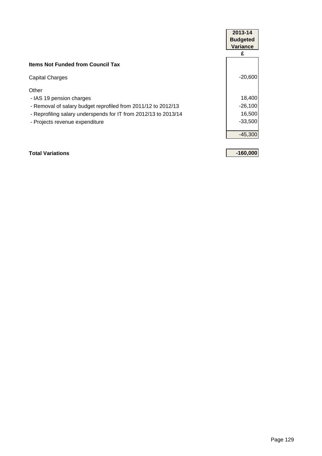|                                                                 | 2013-14         |  |
|-----------------------------------------------------------------|-----------------|--|
|                                                                 | <b>Budgeted</b> |  |
|                                                                 | <b>Variance</b> |  |
|                                                                 | £               |  |
| <b>Items Not Funded from Council Tax</b>                        |                 |  |
| <b>Capital Charges</b>                                          | $-20,600$       |  |
| Other                                                           |                 |  |
| - IAS 19 pension charges                                        | 18,400          |  |
| - Removal of salary budget reprofiled from 2011/12 to 2012/13   | $-26,100$       |  |
| - Reprofiling salary underspends for IT from 2012/13 to 2013/14 | 16,500          |  |
| - Projects revenue expenditure                                  | $-33,500$       |  |
|                                                                 | $-45,300$       |  |
| <b>Total Variations</b>                                         | $-160,000$      |  |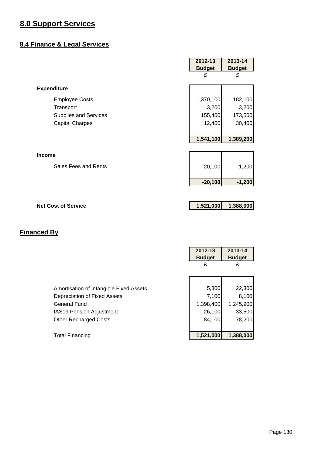#### **8.4 Finance & Legal Services**

|                              | 2012-13       | 2013-14       |
|------------------------------|---------------|---------------|
|                              | <b>Budget</b> | <b>Budget</b> |
|                              | £             | £             |
| <b>Expenditure</b>           |               |               |
| <b>Employee Costs</b>        | 1,370,100     | 1,182,100     |
| Transport                    | 3,200         | 3,200         |
| <b>Supplies and Services</b> | 155,400       | 173,500       |
| <b>Capital Charges</b>       | 12,400        | 30,400        |
|                              |               |               |
|                              | 1,541,100     | 1,389,200     |
|                              |               |               |
| <b>Income</b>                |               |               |
| Sales Fees and Rents         | $-20,100$     | $-1,200$      |
|                              | $-20,100$     | $-1,200$      |
|                              |               |               |
|                              |               |               |

## **Net Cost of Service** 1,521,000 1,388,000

|                                                                                                                                                            | 2012-13<br><b>Budget</b><br>£                   | 2013-14<br><b>Budget</b><br>£                    |
|------------------------------------------------------------------------------------------------------------------------------------------------------------|-------------------------------------------------|--------------------------------------------------|
| Amortisation of Intangible Fixed Assets<br>Depreciation of Fixed Assets<br>General Fund<br><b>IAS19 Pension Adjustment</b><br><b>Other Recharged Costs</b> | 5,300<br>7,100<br>1,398,400<br>26,100<br>84,100 | 22,300<br>8,100<br>1,245,900<br>33,500<br>78,200 |
| <b>Total Financing</b>                                                                                                                                     | 1,521,000                                       | 1,388,000                                        |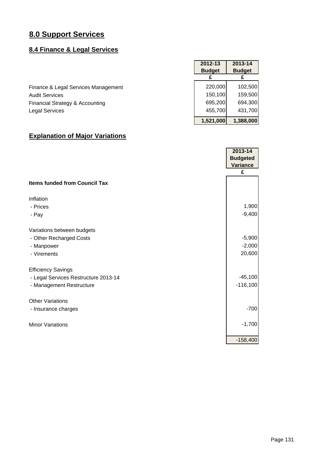## **8.4 Finance & Legal Services**

|                                     | 2012-13       | 2013-14       |
|-------------------------------------|---------------|---------------|
|                                     | <b>Budget</b> | <b>Budget</b> |
|                                     |               |               |
| Finance & Legal Services Management | 220,000       | 102,500       |
| <b>Audit Services</b>               | 150,100       | 159,500       |
| Financial Strategy & Accounting     | 695,200       | 694,300       |
| <b>Legal Services</b>               | 455,700       | 431,700       |
|                                     | 1,521,000     | 1,388,000     |

## **Explanation of Major Variations**

|                                      | 2013-14         |
|--------------------------------------|-----------------|
|                                      | <b>Budgeted</b> |
|                                      | <b>Variance</b> |
|                                      | £               |
| <b>Items funded from Council Tax</b> |                 |
| Inflation                            |                 |
| - Prices                             | 1,900           |
| - Pay                                | $-9,400$        |
| Variations between budgets           |                 |
| - Other Recharged Costs              | $-5,900$        |
| - Manpower                           | $-2,000$        |
| - Virements                          | 20,600          |
| <b>Efficiency Savings</b>            |                 |
| - Legal Services Restructure 2013-14 | $-45,100$       |
| - Management Restructure             | $-116,100$      |
| <b>Other Variations</b>              |                 |
| - Insurance charges                  | $-700$          |
| <b>Minor Variations</b>              | $-1,700$        |
|                                      | $-158,400$      |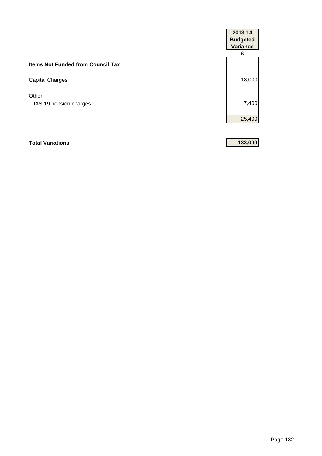|                                          | 2013-14<br><b>Budgeted</b><br><b>Variance</b> |
|------------------------------------------|-----------------------------------------------|
|                                          | £                                             |
| <b>Items Not Funded from Council Tax</b> |                                               |
| Capital Charges                          | 18,000                                        |
| Other                                    |                                               |
| - IAS 19 pension charges                 | 7,400                                         |
|                                          | 25,400                                        |

## **Total Variations -133,000**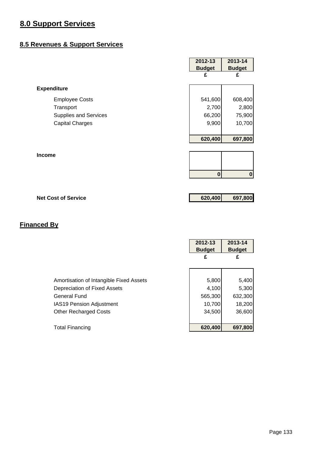#### **8.5 Revenues & Support Services**

|                              | 2012-13       | 2013-14          |
|------------------------------|---------------|------------------|
|                              | <b>Budget</b> | <b>Budget</b>    |
|                              | £             | £                |
| <b>Expenditure</b>           |               |                  |
| <b>Employee Costs</b>        | 541,600       | 608,400          |
| Transport                    | 2,700         | 2,800            |
| <b>Supplies and Services</b> | 66,200        | 75,900           |
| <b>Capital Charges</b>       | 9,900         | 10,700           |
|                              |               |                  |
|                              | 620,400       | 697,800          |
|                              |               |                  |
| Income                       |               |                  |
|                              |               |                  |
|                              | $\mathbf{0}$  | $\boldsymbol{0}$ |
|                              |               |                  |
| <b>Net Cost of Service</b>   | 620,400       | 697,800          |

|                                         | 2012-13<br><b>Budget</b> | 2013-14<br><b>Budget</b> |
|-----------------------------------------|--------------------------|--------------------------|
|                                         | £                        | £                        |
|                                         |                          |                          |
| Amortisation of Intangible Fixed Assets | 5,800                    | 5,400                    |
| Depreciation of Fixed Assets            | 4,100                    | 5,300                    |
| <b>General Fund</b>                     | 565,300                  | 632,300                  |
| <b>IAS19 Pension Adjustment</b>         | 10,700                   | 18,200                   |
| <b>Other Recharged Costs</b>            | 34,500                   | 36,600                   |
|                                         |                          |                          |
| <b>Total Financing</b>                  | 620,400                  | 697,800                  |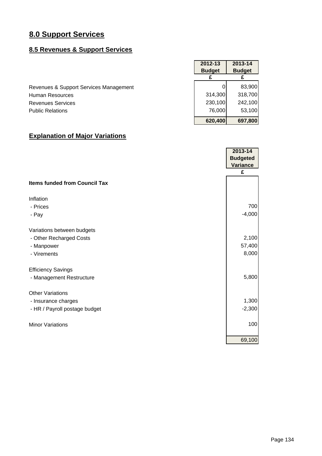## **8.5 Revenues & Support Services**

|                                        | 2012-13       | 2013-14       |
|----------------------------------------|---------------|---------------|
|                                        | <b>Budget</b> | <b>Budget</b> |
|                                        |               |               |
| Revenues & Support Services Management |               | 83,900        |
| Human Resources                        | 314,300       | 318,700       |
| <b>Revenues Services</b>               | 230,100       | 242,100       |
| <b>Public Relations</b>                | 76,000        | 53,100        |
|                                        | 620,400       | 697,800       |

## **Explanation of Major Variations**

|                                      | 2013-14         |
|--------------------------------------|-----------------|
|                                      | <b>Budgeted</b> |
|                                      | <b>Variance</b> |
|                                      | £               |
| <b>Items funded from Council Tax</b> |                 |
| Inflation                            |                 |
| - Prices                             | 700             |
| - Pay                                | $-4,000$        |
| Variations between budgets           |                 |
| - Other Recharged Costs              | 2,100           |
| - Manpower                           | 57,400          |
| - Virements                          | 8,000           |
| <b>Efficiency Savings</b>            |                 |
| - Management Restructure             | 5,800           |
| <b>Other Variations</b>              |                 |
| - Insurance charges                  | 1,300           |
| - HR / Payroll postage budget        | $-2,300$        |
| <b>Minor Variations</b>              | 100             |
|                                      | 69,100          |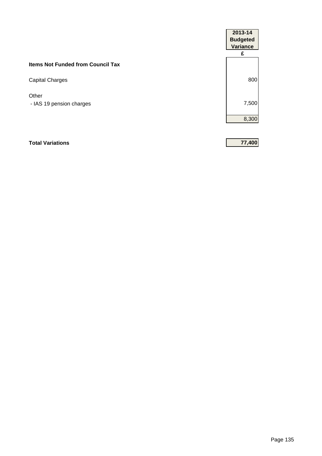| 2013-14<br><b>Budgeted</b><br><b>Variance</b> |
|-----------------------------------------------|
| £                                             |
|                                               |
| 800                                           |
|                                               |
| 7,500                                         |
| 8,300                                         |
|                                               |

## **Total Variations 77,400**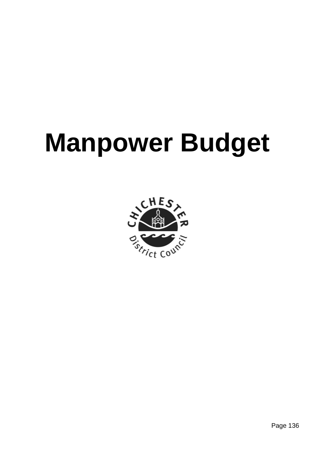# **Manpower Budget**

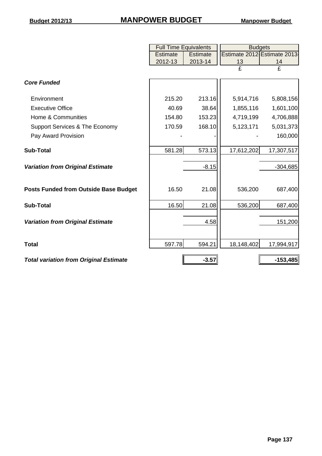#### **Budget 2012/13 Manpower Budget MANPOWER BUDGET**

|                                               | <b>Full Time Equivalents</b> |                 | <b>Budgets</b>          |                             |  |  |
|-----------------------------------------------|------------------------------|-----------------|-------------------------|-----------------------------|--|--|
|                                               | Estimate                     | <b>Estimate</b> |                         | Estimate 2012 Estimate 2013 |  |  |
|                                               | 2012-13                      | 2013-14         | 13                      | 14                          |  |  |
|                                               |                              |                 | $\overline{\mathbf{f}}$ | $\overline{\mathrm{f}}$     |  |  |
| <b>Core Funded</b>                            |                              |                 |                         |                             |  |  |
| Environment                                   | 215.20                       | 213.16          | 5,914,716               | 5,808,156                   |  |  |
| <b>Executive Office</b>                       | 40.69                        | 38.64           | 1,855,116               | 1,601,100                   |  |  |
| Home & Communities                            | 154.80                       | 153.23          | 4,719,199               | 4,706,888                   |  |  |
| Support Services & The Economy                | 170.59                       | 168.10          | 5,123,171               | 5,031,373                   |  |  |
| Pay Award Provision                           |                              |                 |                         | 160,000                     |  |  |
| <b>Sub-Total</b>                              | 581.28                       | 573.13          | 17,612,202              | 17,307,517                  |  |  |
| <b>Variation from Original Estimate</b>       |                              | $-8.15$         |                         | $-304,685$                  |  |  |
| <b>Posts Funded from Outside Base Budget</b>  | 16.50                        | 21.08           | 536,200                 | 687,400                     |  |  |
| <b>Sub-Total</b>                              | 16.50                        | 21.08           | 536,200                 | 687,400                     |  |  |
| <b>Variation from Original Estimate</b>       |                              | 4.58            |                         | 151,200                     |  |  |
| <b>Total</b>                                  | 597.78                       | 594.21          | 18,148,402              | 17,994,917                  |  |  |
| <b>Total variation from Original Estimate</b> |                              | $-3.57$         |                         | $-153,485$                  |  |  |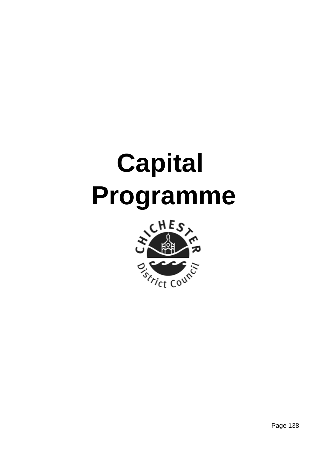# **Capital Programme**

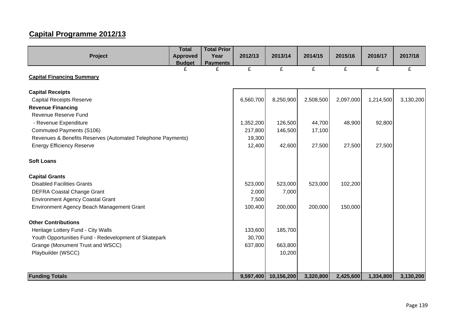# **Capital Programme 2012/13**

|                                                             | <b>Total</b>    | <b>Total Prior</b> |           |            |           |           |           |           |
|-------------------------------------------------------------|-----------------|--------------------|-----------|------------|-----------|-----------|-----------|-----------|
| Project                                                     | <b>Approved</b> | Year               | 2012/13   | 2013/14    | 2014/15   | 2015/16   | 2016/17   | 2017/18   |
|                                                             | <b>Budget</b>   | <b>Payments</b>    |           |            |           |           |           |           |
|                                                             | £               | £                  | £         | £          | £         | £         | £         | £         |
| <b>Capital Financing Summary</b>                            |                 |                    |           |            |           |           |           |           |
| <b>Capital Receipts</b>                                     |                 |                    |           |            |           |           |           |           |
| <b>Capital Receipts Reserve</b>                             |                 |                    | 6,560,700 | 8,250,900  | 2,508,500 | 2,097,000 | 1,214,500 | 3,130,200 |
| <b>Revenue Financing</b>                                    |                 |                    |           |            |           |           |           |           |
| Revenue Reserve Fund                                        |                 |                    |           |            |           |           |           |           |
| - Revenue Expenditure                                       |                 |                    | 1,352,200 | 126,500    | 44,700    | 48,900    | 92,800    |           |
| Commuted Payments (S106)                                    |                 |                    | 217,800   | 146,500    | 17,100    |           |           |           |
| Revenues & Benefits Reserves (Automated Telephone Payments) |                 |                    | 19,300    |            |           |           |           |           |
| <b>Energy Efficiency Reserve</b>                            |                 |                    | 12,400    | 42,600     | 27,500    | 27,500    | 27,500    |           |
| <b>Soft Loans</b>                                           |                 |                    |           |            |           |           |           |           |
| <b>Capital Grants</b>                                       |                 |                    |           |            |           |           |           |           |
| <b>Disabled Facilities Grants</b>                           |                 |                    | 523,000   | 523,000    | 523,000   | 102,200   |           |           |
| <b>DEFRA Coastal Change Grant</b>                           |                 |                    | 2,000     | 7,000      |           |           |           |           |
| <b>Environment Agency Coastal Grant</b>                     |                 |                    | 7,500     |            |           |           |           |           |
| Environment Agency Beach Management Grant                   |                 |                    | 100,400   | 200,000    | 200,000   | 150,000   |           |           |
| <b>Other Contributions</b>                                  |                 |                    |           |            |           |           |           |           |
| Heritage Lottery Fund - City Walls                          |                 |                    | 133,600   | 185,700    |           |           |           |           |
| Youth Opportunities Fund - Redevelopment of Skatepark       |                 |                    | 30,700    |            |           |           |           |           |
| Grange (Monument Trust and WSCC)                            |                 |                    | 637,800   | 663,800    |           |           |           |           |
| Playbuilder (WSCC)                                          |                 |                    |           | 10,200     |           |           |           |           |
|                                                             |                 |                    |           |            |           |           |           |           |
| <b>Funding Totals</b>                                       |                 |                    | 9,597,400 | 10,156,200 | 3,320,800 | 2,425,600 | 1,334,800 | 3,130,200 |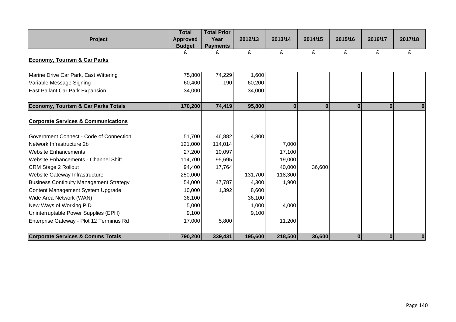|                                                | <b>Total</b>    | <b>Total Prior</b> |         |         |          |          |          |          |
|------------------------------------------------|-----------------|--------------------|---------|---------|----------|----------|----------|----------|
| Project                                        | <b>Approved</b> | Year               | 2012/13 | 2013/14 | 2014/15  | 2015/16  | 2016/17  | 2017/18  |
|                                                | <b>Budget</b>   | <b>Payments</b>    |         |         |          |          |          |          |
|                                                | £               | £                  | £       | £       | £        | £        | £        | £        |
| <b>Economy, Tourism &amp; Car Parks</b>        |                 |                    |         |         |          |          |          |          |
| Marine Drive Car Park, East Wittering          | 75,800          | 74,229             | 1,600   |         |          |          |          |          |
| Variable Message Signing                       | 60,400          | 190                | 60,200  |         |          |          |          |          |
| East Pallant Car Park Expansion                | 34,000          |                    | 34,000  |         |          |          |          |          |
|                                                |                 |                    |         |         |          |          |          |          |
| <b>Economy, Tourism &amp; Car Parks Totals</b> | 170,200         | 74,419             | 95,800  | 0       | $\bf{0}$ | $\bf{0}$ | $\bf{0}$ | $\bf{0}$ |
|                                                |                 |                    |         |         |          |          |          |          |
| <b>Corporate Services &amp; Communications</b> |                 |                    |         |         |          |          |          |          |
| Government Connect - Code of Connection        | 51,700          | 46,882             | 4,800   |         |          |          |          |          |
| Network Infrastructure 2b                      | 121,000         | 114,014            |         | 7,000   |          |          |          |          |
| <b>Website Enhancements</b>                    | 27,200          | 10,097             |         | 17,100  |          |          |          |          |
| Website Enhancements - Channel Shift           | 114,700         | 95,695             |         | 19,000  |          |          |          |          |
| <b>CRM Stage 2 Rollout</b>                     | 94,400          | 17,764             |         | 40,000  | 36,600   |          |          |          |
| Website Gateway Infrastructure                 | 250,000         |                    | 131,700 | 118,300 |          |          |          |          |
| <b>Business Continuity Management Strategy</b> | 54,000          | 47,787             | 4,300   | 1,900   |          |          |          |          |
| Content Management System Upgrade              | 10,000          | 1,392              | 8,600   |         |          |          |          |          |
| Wide Area Network (WAN)                        | 36,100          |                    | 36,100  |         |          |          |          |          |
| New Ways of Working PID                        | 5,000           |                    | 1,000   | 4,000   |          |          |          |          |
| Uninterruptable Power Supplies (EPH)           | 9,100           |                    | 9,100   |         |          |          |          |          |
| Enterprise Gateway - Plot 12 Terminus Rd       | 17,000          | 5,800              |         | 11,200  |          |          |          |          |
|                                                |                 |                    |         |         |          |          |          |          |
| <b>Corporate Services &amp; Comms Totals</b>   | 790,200         | 339,431            | 195,600 | 218,500 | 36,600   | $\bf{0}$ | $\bf{0}$ | 0        |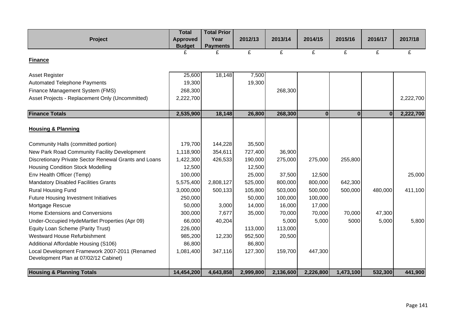|                                                       | <b>Total</b>    | <b>Total Prior</b> |           |           |           |              |         |           |
|-------------------------------------------------------|-----------------|--------------------|-----------|-----------|-----------|--------------|---------|-----------|
| Project                                               | <b>Approved</b> | Year               | 2012/13   | 2013/14   | 2014/15   | 2015/16      | 2016/17 | 2017/18   |
|                                                       | <b>Budget</b>   | <b>Payments</b>    |           |           |           |              |         |           |
|                                                       | £               | £                  | £         | £         | £         | £            | £       | £         |
| <b>Finance</b>                                        |                 |                    |           |           |           |              |         |           |
|                                                       |                 |                    |           |           |           |              |         |           |
| Asset Register                                        | 25,600          | 18,148             | 7,500     |           |           |              |         |           |
| <b>Automated Telephone Payments</b>                   | 19,300          |                    | 19,300    |           |           |              |         |           |
| Finance Management System (FMS)                       | 268,300         |                    |           | 268,300   |           |              |         |           |
| Asset Projects - Replacement Only (Uncommitted)       | 2,222,700       |                    |           |           |           |              |         | 2,222,700 |
|                                                       |                 |                    |           |           |           |              |         |           |
| <b>Finance Totals</b>                                 | 2,535,900       | 18,148             | 26,800    | 268,300   | 0         | $\mathbf{0}$ | 0       | 2,222,700 |
|                                                       |                 |                    |           |           |           |              |         |           |
| <b>Housing &amp; Planning</b>                         |                 |                    |           |           |           |              |         |           |
|                                                       |                 |                    |           |           |           |              |         |           |
| Community Halls (committed portion)                   | 179,700         | 144,228            | 35,500    |           |           |              |         |           |
| New Park Road Community Facility Development          | 1,118,900       | 354,611            | 727,400   | 36,900    |           |              |         |           |
| Discretionary Private Sector Renewal Grants and Loans | 1,422,300       | 426,533            | 190,000   | 275,000   | 275,000   | 255,800      |         |           |
| <b>Housing Condition Stock Modelling</b>              | 12,500          |                    | 12,500    |           |           |              |         |           |
| Env Health Officer (Temp)                             | 100,000         |                    | 25,000    | 37,500    | 12,500    |              |         | 25,000    |
| <b>Mandatory Disabled Facilities Grants</b>           | 5,575,400       | 2,808,127          | 525,000   | 800,000   | 800,000   | 642,300      |         |           |
| <b>Rural Housing Fund</b>                             | 3,000,000       | 500,133            | 105,800   | 503,000   | 500,000   | 500,000      | 480,000 | 411,100   |
| <b>Future Housing Investment Initiatives</b>          | 250,000         |                    | 50,000    | 100,000   | 100,000   |              |         |           |
| Mortgage Rescue                                       | 50,000          | 3,000              | 14,000    | 16,000    | 17,000    |              |         |           |
| Home Extensions and Conversions                       | 300,000         | 7,677              | 35,000    | 70,000    | 70,000    | 70,000       | 47,300  |           |
| Under-Occupied HydeMartlet Properties (Apr 09)        | 66,000          | 40,204             |           | 5,000     | 5,000     | 5000         | 5,000   | 5,800     |
| Equity Loan Scheme (Parity Trust)                     | 226,000         |                    | 113,000   | 113,000   |           |              |         |           |
| Westward House Refurbishment                          | 985,200         | 12,230             | 952,500   | 20,500    |           |              |         |           |
| Additional Affordable Housing (S106)                  | 86,800          |                    | 86,800    |           |           |              |         |           |
| Local Development Framework 2007-2011 (Renamed        | 1,081,400       | 347,116            | 127,300   | 159,700   | 447,300   |              |         |           |
| Development Plan at 07/02/12 Cabinet)                 |                 |                    |           |           |           |              |         |           |
|                                                       |                 |                    |           |           |           |              |         |           |
| <b>Housing &amp; Planning Totals</b>                  | 14,454,200      | 4,643,858          | 2,999,800 | 2,136,600 | 2,226,800 | 1,473,100    | 532,300 | 441,900   |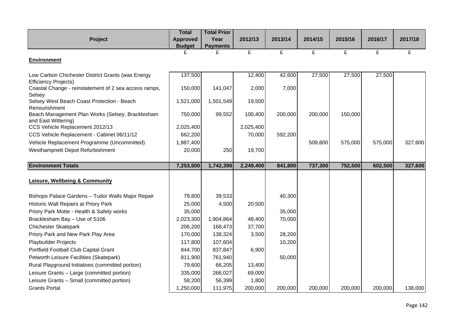|                                                                   | <b>Total</b>    | <b>Total Prior</b> |           |         |         |         |         |         |
|-------------------------------------------------------------------|-----------------|--------------------|-----------|---------|---------|---------|---------|---------|
| Project                                                           | <b>Approved</b> | Year               | 2012/13   | 2013/14 | 2014/15 | 2015/16 | 2016/17 | 2017/18 |
|                                                                   | <b>Budget</b>   | <b>Payments</b>    |           |         |         |         |         |         |
|                                                                   |                 | £                  | £         | £       | £       | £       | £       | £       |
| <b>Environment</b>                                                |                 |                    |           |         |         |         |         |         |
| Low Carbon Chichester District Grants (was Energy                 | 137,500         |                    | 12,400    | 42,600  | 27,500  | 27,500  | 27,500  |         |
| <b>Efficiency Projects)</b>                                       |                 |                    |           |         |         |         |         |         |
| Coastal Change - reinstatement of 2 sea access ramps,             | 150,000         | 141,047            | 2,000     | 7,000   |         |         |         |         |
| Selsey                                                            |                 |                    |           |         |         |         |         |         |
| Selsey West Beach Coast Protection - Beach                        | 1,521,000       | 1,501,549          | 19,500    |         |         |         |         |         |
| Renourishment<br>Beach Management Plan Works (Selsey, Bracklesham | 750,000         | 99,552             | 100,400   | 200,000 | 200,000 | 150,000 |         |         |
| and East Wittering)                                               |                 |                    |           |         |         |         |         |         |
| CCS Vehicle Replacement 2012/13                                   | 2,025,400       |                    | 2,025,400 |         |         |         |         |         |
| CCS Vehicle Replacement - Cabinet 06/11/12                        | 662,200         |                    | 70,000    | 592,200 |         |         |         |         |
| Vehicle Replacement Programme (Uncommitted)                       | 1,987,400       |                    |           |         | 509,800 | 575,000 | 575,000 | 327,600 |
| Westhampnett Depot Refurbishment                                  | 20,000          | 250                | 19,700    |         |         |         |         |         |
|                                                                   |                 |                    |           |         |         |         |         |         |
| <b>Environment Totals</b>                                         | 7,253,500       | 1,742,398          | 2,249,400 | 841,800 | 737,300 | 752,500 | 602,500 | 327,600 |
|                                                                   |                 |                    |           |         |         |         |         |         |
|                                                                   |                 |                    |           |         |         |         |         |         |
| <b>Leisure, Wellbeing &amp; Community</b>                         |                 |                    |           |         |         |         |         |         |
|                                                                   |                 |                    |           |         |         |         |         |         |
| Bishops Palace Gardens - Tudor Walls Major Repair                 | 79,800          | 39,533             |           | 40,300  |         |         |         |         |
| Historic Wall Repairs at Priory Park                              | 25,000          | 4,500              | 20,500    |         |         |         |         |         |
| Priory Park Motte - Health & Safety works                         | 35,000          |                    |           | 35,000  |         |         |         |         |
| Bracklesham Bay - Use of S106                                     | 2,023,300       | 1,904,864          | 48,400    | 70,000  |         |         |         |         |
| <b>Chichester Skatepark</b>                                       | 206,200         | 168,473            | 37,700    |         |         |         |         |         |
| Priory Park and New Park Play Area                                | 170,000         | 138,324            | 3,500     | 28,200  |         |         |         |         |
| <b>Playbuilder Projects</b>                                       | 117,800         | 107,604            |           | 10,200  |         |         |         |         |
| Portfield Football Club Capital Grant                             | 844,700         | 837,847            | 6,900     |         |         |         |         |         |
| Petworth Leisure Facilities (Skatepark)                           | 811,900         | 761,940            |           | 50,000  |         |         |         |         |
| Rural Playground Initiatives (committed portion)                  | 79,600          | 66,205             | 13,400    |         |         |         |         |         |
| Leisure Grants - Large (committed portion)                        | 335,000         | 266,027            | 69,000    |         |         |         |         |         |
| Leisure Grants - Small (committed portion)                        | 58,200          | 56,399             | 1,800     |         |         |         |         |         |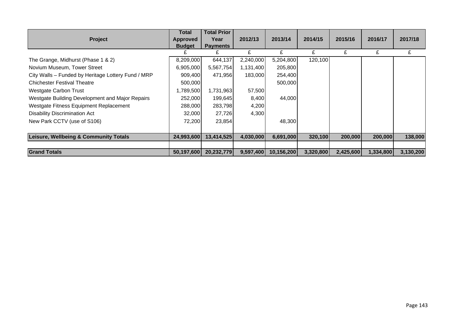|                                                    | Total           | <b>Total Prior</b> |           |            |           |           |           |           |
|----------------------------------------------------|-----------------|--------------------|-----------|------------|-----------|-----------|-----------|-----------|
| <b>Project</b>                                     | <b>Approved</b> | Year               | 2012/13   | 2013/14    | 2014/15   | 2015/16   | 2016/17   | 2017/18   |
|                                                    | <b>Budget</b>   | <b>Payments</b>    |           |            |           |           |           |           |
|                                                    |                 |                    | £         | £          | £         | £         | £         | £         |
| The Grange, Midhurst (Phase 1 & 2)                 | 8,209,000       | 644,137            | 2,240,000 | 5,204,800  | 120,100   |           |           |           |
| Novium Museum, Tower Street                        | 6,905,000       | 5,567,754          | 1,131,400 | 205,800    |           |           |           |           |
| City Walls - Funded by Heritage Lottery Fund / MRP | 909,400         | 471,956            | 183,000   | 254,400    |           |           |           |           |
| <b>Chichester Festival Theatre</b>                 | 500,000         |                    |           | 500,000    |           |           |           |           |
| Westgate Carbon Trust                              | 1,789,500       | 1,731,963          | 57,500    |            |           |           |           |           |
| Westgate Building Development and Major Repairs    | 252,000         | 199,645            | 8,400     | 44,000     |           |           |           |           |
| Westgate Fitness Equipment Replacement             | 288,000         | 283,798            | 4,200     |            |           |           |           |           |
| <b>Disability Discrimination Act</b>               | 32,000          | 27,726             | 4,300     |            |           |           |           |           |
| New Park CCTV (use of S106)                        | 72,200          | 23,854             |           | 48,300     |           |           |           |           |
|                                                    |                 |                    |           |            |           |           |           |           |
| Leisure, Wellbeing & Community Totals              | 24,993,600      | 13,414,525         | 4,030,000 | 6,691,000  | 320,100   | 200,000   | 200,000   | 138,000   |
|                                                    |                 |                    |           |            |           |           |           |           |
| <b>Grand Totals</b>                                | 50,197,600      | 20,232,779         | 9,597,400 | 10,156,200 | 3,320,800 | 2,425,600 | 1,334,800 | 3,130,200 |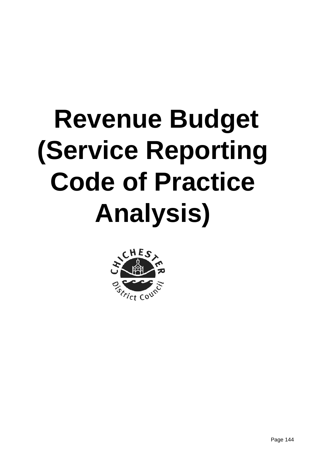# **Revenue Budget (Service Reporting Code of Practice Analysis)**

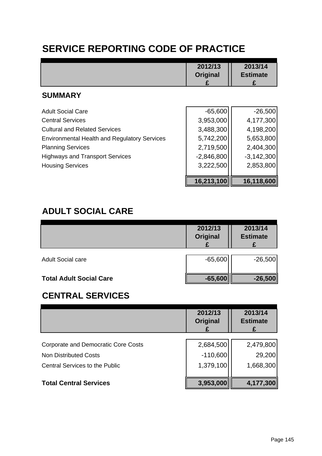# **SERVICE REPORTING CODE OF PRACTICE**

|                                                     | 2012/13<br>Original | 2013/14<br><b>Estimate</b> |
|-----------------------------------------------------|---------------------|----------------------------|
| <b>SUMMARY</b>                                      |                     |                            |
| <b>Adult Social Care</b>                            | $-65,600$           | $-26,500$                  |
| <b>Central Services</b>                             | 3,953,000           | 4,177,300                  |
| <b>Cultural and Related Services</b>                | 3,488,300           | 4,198,200                  |
| <b>Environmental Health and Regulatory Services</b> | 5,742,200           | 5,653,800                  |
| <b>Planning Services</b>                            | 2,719,500           | 2,404,300                  |
| <b>Highways and Transport Services</b>              | $-2,846,800$        | $-3,142,300$               |
| <b>Housing Services</b>                             | 3,222,500           | 2,853,800                  |
|                                                     | 16,213,100          | 16,118,600                 |

#### **ADULT SOCIAL CARE**

|                                | 2012/13<br>Original | 2013/14<br><b>Estimate</b> |
|--------------------------------|---------------------|----------------------------|
| <b>Adult Social care</b>       | $-65,600$           | $-26,500$                  |
| <b>Total Adult Social Care</b> | $-65,600$           | $-26,500$                  |

# **CENTRAL SERVICES**

|                                       | 2012/13<br><b>Original</b> | 2013/14<br><b>Estimate</b> |
|---------------------------------------|----------------------------|----------------------------|
| Corporate and Democratic Core Costs   | 2,684,500                  | 2,479,800                  |
| <b>Non Distributed Costs</b>          | $-110,600$                 | 29,200                     |
| <b>Central Services to the Public</b> | 1,379,100                  | 1,668,300                  |
| <b>Total Central Services</b>         | 3,953,000                  | 4,177,300                  |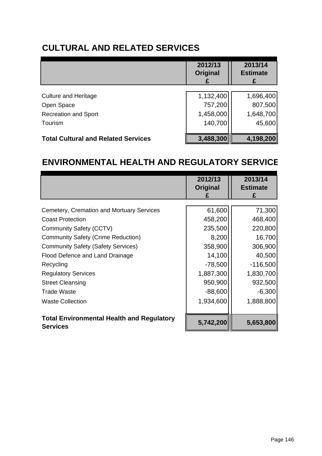# **CULTURAL AND RELATED SERVICES**

|                                            | 2012/13<br><b>Original</b> | 2013/14<br><b>Estimate</b><br>£ |
|--------------------------------------------|----------------------------|---------------------------------|
| <b>Culture and Heritage</b>                | 1,132,400                  | 1,696,400                       |
| Open Space                                 | 757,200                    | 807,500                         |
| <b>Recreation and Sport</b>                | 1,458,000                  | 1,648,700                       |
| Tourism                                    | 140,700                    | 45,600                          |
|                                            |                            |                                 |
| <b>Total Cultural and Related Services</b> | 3,488,300                  | 4,198,200                       |

### **ENVIRONMENTAL HEALTH AND REGULATORY SERVICE**

|                                                                     | 2012/13<br><b>Original</b> | 2013/14<br><b>Estimate</b> |
|---------------------------------------------------------------------|----------------------------|----------------------------|
| Cemetery, Cremation and Mortuary Services                           | 61,600                     | 71,300                     |
| <b>Coast Protection</b>                                             | 458,200                    | 468,400                    |
| Community Safety (CCTV)                                             | 235,500                    | 220,800                    |
| <b>Community Safety (Crime Reduction)</b>                           | 8,200                      | 16,700                     |
| <b>Community Safety (Safety Services)</b>                           | 358,900                    | 306,900                    |
| Flood Defence and Land Drainage                                     | 14,100                     | 40,500                     |
| Recycling                                                           | $-78,500$                  | $-116,500$                 |
| <b>Regulatory Services</b>                                          | 1,887,300                  | 1,830,700                  |
| <b>Street Cleansing</b>                                             | 950,900                    | 932,500                    |
| <b>Trade Waste</b>                                                  | $-88,600$                  | $-6,300$                   |
| <b>Waste Collection</b>                                             | 1,934,600                  | 1,888,800                  |
| <b>Total Environmental Health and Regulatory</b><br><b>Services</b> | 5,742,200                  | 5,653,800                  |